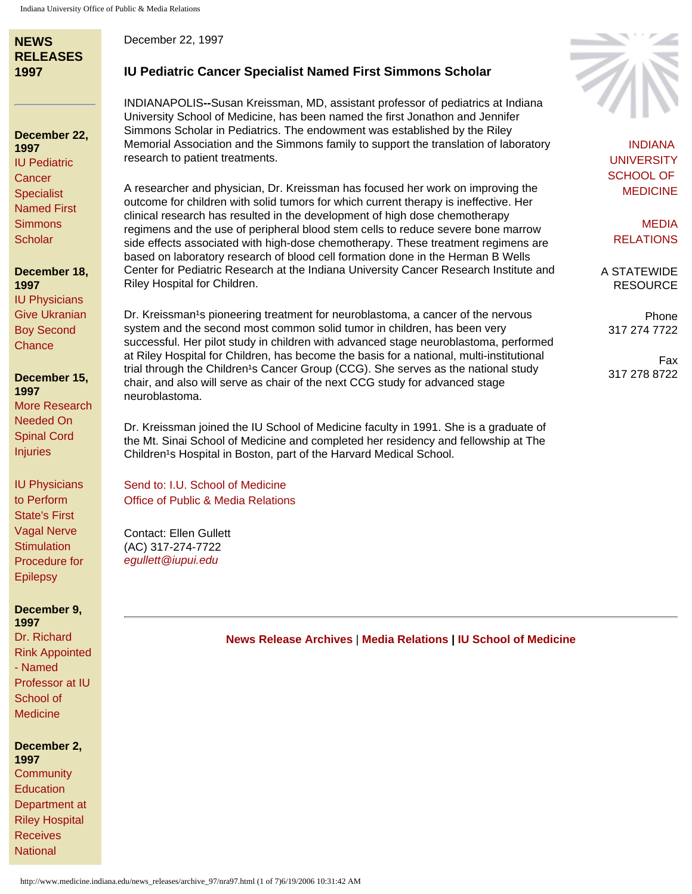| NEWS            |
|-----------------|
| <b>RELEASES</b> |
| 1997            |

**December 22, 1997** [IU Pediatric](#page-7-0)  **[Cancer](#page-7-0) Specialist** [Named First](#page-7-0)  **Simmons [Scholar](#page-7-0)** 

**December 18, 1997** [IU Physicians](#page-8-0)  [Give Ukranian](#page-8-0) [Boy Second](#page-8-0)

**[Chance](#page-8-0)** 

[Injuries](#page-10-0)

**December 15, 1997** [More Research](#page-10-0)  [Needed On](#page-10-0) [Spinal Cord](#page-10-0)

[IU Physicians](#page-12-0)  [to Perform](#page-12-0)  [State's First](#page-12-0)  [Vagal Nerve](#page-12-0) **Stimulation** [Procedure for](#page-12-0)  **[Epilepsy](#page-12-0)** 

**December 9, 1997**

[Dr. Richard](#page-14-0)  [Rink Appointed](#page-14-0)  [- Named](#page-14-0) [Professor at IU](#page-14-0)  [School of](#page-14-0)  **[Medicine](#page-14-0)** 

**December 2, 1997 Community Education** [Department at](#page-15-0) [Riley Hospital](#page-15-0) **[Receives](#page-15-0) National** 

December 22, 1997

## **IU Pediatric Cancer Specialist Named First Simmons Scholar**

INDIANAPOLIS**--**Susan Kreissman, MD, assistant professor of pediatrics at Indiana University School of Medicine, has been named the first Jonathon and Jennifer Simmons Scholar in Pediatrics. The endowment was established by the Riley Memorial Association and the Simmons family to support the translation of laboratory research to patient treatments.

A researcher and physician, Dr. Kreissman has focused her work on improving the outcome for children with solid tumors for which current therapy is ineffective. Her clinical research has resulted in the development of high dose chemotherapy regimens and the use of peripheral blood stem cells to reduce severe bone marrow side effects associated with high-dose chemotherapy. These treatment regimens are based on laboratory research of blood cell formation done in the Herman B Wells Center for Pediatric Research at the Indiana University Cancer Research Institute and Riley Hospital for Children.

Dr. Kreissman<sup>1</sup>s pioneering treatment for neuroblastoma, a cancer of the nervous system and the second most common solid tumor in children, has been very successful. Her pilot study in children with advanced stage neuroblastoma, performed at Riley Hospital for Children, has become the basis for a national, multi-institutional trial through the Children<sup>1</sup>s Cancer Group (CCG). She serves as the national study chair, and also will serve as chair of the next CCG study for advanced stage neuroblastoma.

Dr. Kreissman joined the IU School of Medicine faculty in 1991. She is a graduate of the Mt. Sinai School of Medicine and completed her residency and fellowship at The Children<sup>1</sup>s Hospital in Boston, part of the Harvard Medical School.

[Send to: I.U. School of Medicine](mailto:mbrunsma@iupui.edu) [Office of Public & Media Relations](mailto:mbrunsma@iupui.edu)

Contact: Ellen Gullett (AC) 317-274-7722 *[egullett@iupui.edu](mailto:mbrunsma@iupui.edu)*

**[News Release Archives](http://www.medicine.indiana.edu/news_releases/nra.html)** | **[Media Relations](http://www.medicine.indiana.edu/) | [IU School of Medicine](http://medicine.iu.edu/)**



[INDIANA](http://medicine.iu.edu/) **UNIVERSITY** [SCHOOL OF](http://medicine.iu.edu/) [MEDICINE](http://medicine.iu.edu/)

[MEDIA](http://www.medicine.indiana.edu/)  [RELATIONS](http://www.medicine.indiana.edu/)

A STATEWIDE RESOURCE

> Phone 317 274 7722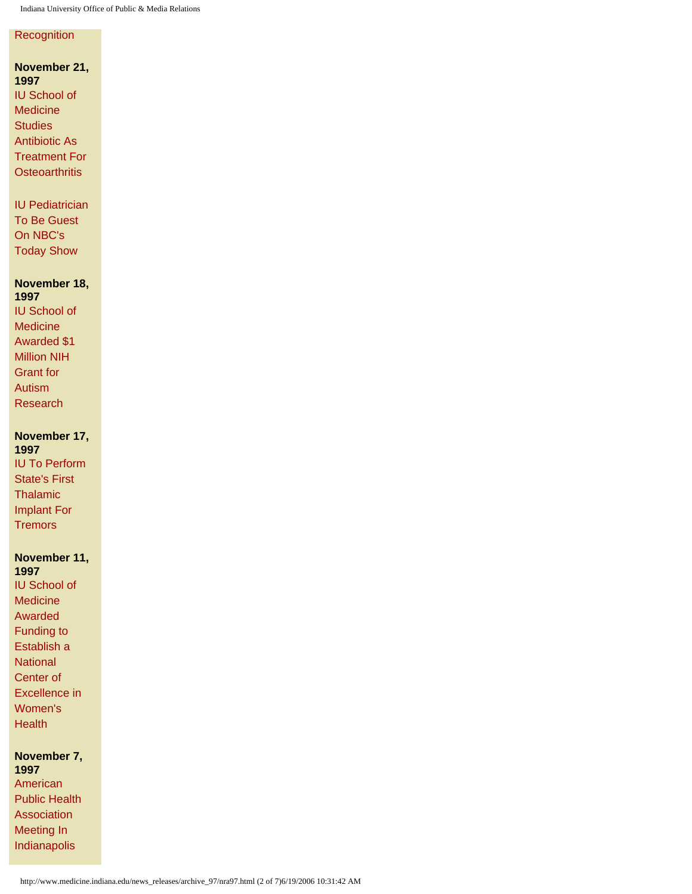#### **[Recognition](#page-15-0)**

**November 21, 1997** [IU School of](#page-17-0)  **[Medicine](#page-17-0) [Studies](#page-17-0)** [Antibiotic As](#page-17-0) [Treatment For](#page-17-0) **[Osteoarthritis](#page-17-0)** 

[IU Pediatrician](#page-19-0) [To Be Guest](#page-19-0) [On NBC's](#page-19-0) [Today Show](#page-19-0) 

**November 18,** 

**1997** [IU School of](#page-20-0)  **[Medicine](#page-20-0)** [Awarded \\$1](#page-20-0) [Million NIH](#page-20-0) [Grant for](#page-20-0) [Autism](#page-20-0)  [Research](#page-20-0)

| November 17,         |
|----------------------|
| 1997                 |
| <b>IU To Perform</b> |
| <b>State's First</b> |
| Thalamic             |
| <b>Implant For</b>   |
| Tremors              |

**November 11, 1997**

[IU School of](#page-24-0)  [Medicine](#page-24-0) [Awarded](#page-24-0) [Funding to](#page-24-0) [Establish a](#page-24-0)  **National** [Center of](#page-24-0) [Excellence in](#page-24-0) [Women's](#page-24-0) **Health** 

**November 7, 1997** [American](#page-26-0) [Public Health](#page-26-0) [Association](#page-26-0) [Meeting In](#page-26-0)  [Indianapolis](#page-26-0)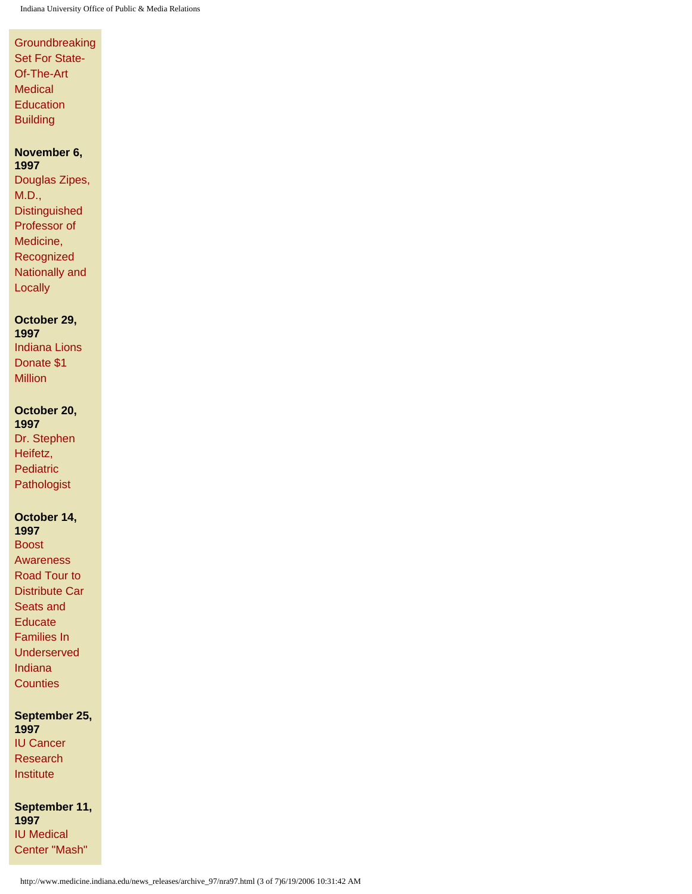**Groundbreaking** [Set For State-](#page-29-0)[Of-The-Art](#page-29-0) **[Medical](#page-29-0) Education Building** 

### **November 6,**

**1997** [Douglas Zipes,](#page-31-0)  [M.D.,](#page-31-0)  **[Distinguished](#page-31-0)** [Professor of](#page-31-0) [Medicine,](#page-31-0)  [Recognized](#page-31-0)  [Nationally and](#page-31-0) **[Locally](#page-31-0)** 

#### **October 29, 1997**

[Indiana Lions](#page-32-0)  [Donate \\$1](#page-32-0) [Million](#page-32-0)

#### **October 20, 1997**

| IMJ 1            |
|------------------|
| Dr. Stephen      |
| Heifetz,         |
| <b>Pediatric</b> |
| Pathologist      |

#### **October 14,**

| 1997                  |
|-----------------------|
| Boost                 |
| <b>Awareness</b>      |
| <b>Road Tour to</b>   |
| <b>Distribute Car</b> |
| Seats and             |
| Educate               |
| Families In           |
| Underserved           |
| Indiana               |
| <b>Counties</b>       |

#### **September 25, 1997** [IU Cancer](#page-38-0) [Research](#page-38-0)  **[Institute](#page-38-0)**

**September 11, 1997** [IU Medical](#page-39-0) [Center "Mash"](#page-39-0)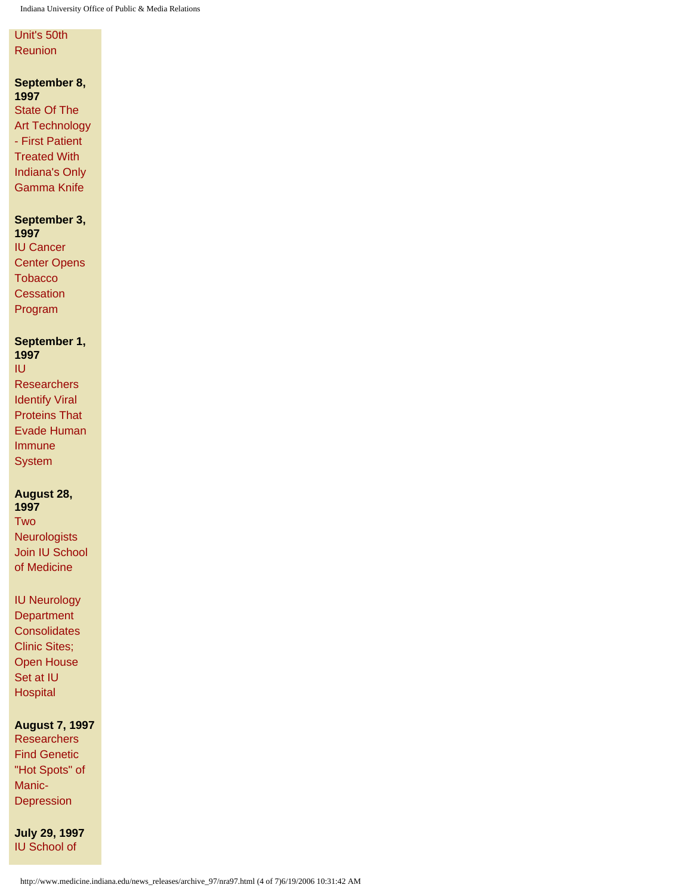#### [Unit's 50th](#page-39-0)  [Reunion](#page-39-0)

**September 8,** 

**1997** [State Of The](#page-41-0)  [Art Technology](#page-41-0) [- First Patient](#page-41-0)  [Treated With](#page-41-0) [Indiana's Only](#page-41-0) [Gamma Knife](#page-41-0)

#### **September 3,**

**1997** [IU Cancer](#page-43-0) [Center Opens](#page-43-0) **[Tobacco](#page-43-0) Cessation** [Program](#page-43-0)

## **September 1,**

| 1997                  |
|-----------------------|
| IU                    |
| <b>Researchers</b>    |
| <b>Identify Viral</b> |
| <b>Proteins That</b>  |
| <b>Evade Human</b>    |
| Immune                |
| System                |

## **August 28,**

**1997** [Two](#page-47-0)  [Neurologists](#page-47-0)  [Join IU School](#page-47-0)  [of Medicine](#page-47-0)

| <b>IU Neurology</b>  |
|----------------------|
| <b>Department</b>    |
| <b>Consolidates</b>  |
| <b>Clinic Sites;</b> |
| <b>Open House</b>    |
| Set at IU            |
| <b>Hospital</b>      |

#### **August 7, 1997**

**Researchers** [Find Genetic](#page-51-0)  ["Hot Spots" of](#page-51-0) [Manic-](#page-51-0)[Depression](#page-51-0) 

**July 29, 1997** [IU School of](#page-53-0)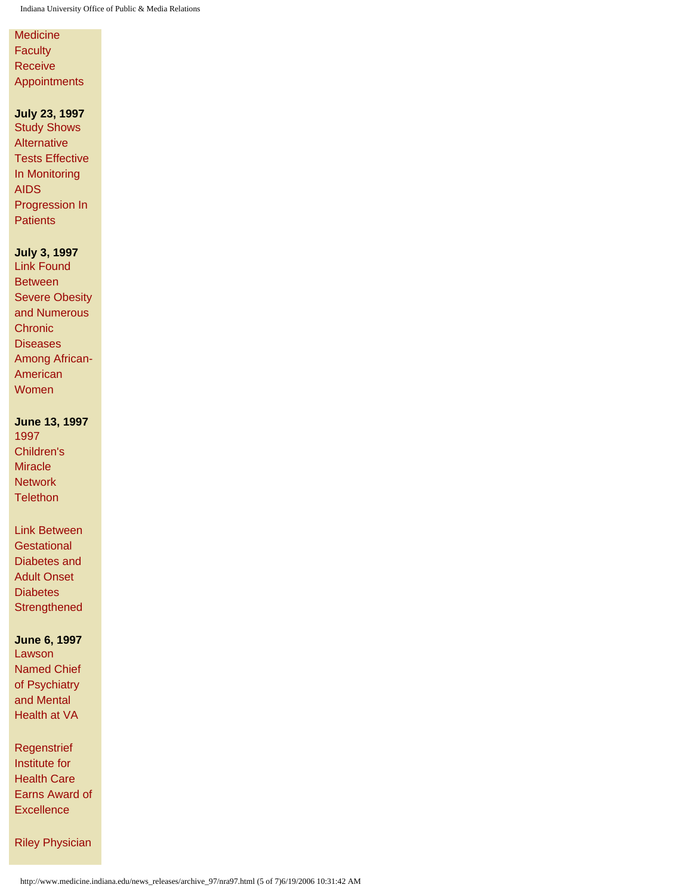## **[Medicine](#page-53-0) [Faculty](#page-53-0)** [Receive](#page-53-0) [Appointments](#page-53-0)

### **July 23, 1997**

[Study Shows](#page-54-0) [Alternative](#page-54-0) [Tests Effective](#page-54-0)  [In Monitoring](#page-54-0)  [AIDS](#page-54-0) [Progression In](#page-54-0)  **[Patients](#page-54-0)** 

#### **July 3, 1997**

[Link Found](#page-56-0)  [Between](#page-56-0)  [Severe Obesity](#page-56-0)  [and Numerous](#page-56-0)  **[Chronic](#page-56-0) [Diseases](#page-56-0)** [Among African-](#page-56-0)[American](#page-56-0) [Women](#page-56-0)

#### **June 13, 1997**

| 1997       |
|------------|
| Children's |
| Miracle    |
| Network    |
| Telethon   |

| Link Between    |
|-----------------|
| Gestational     |
| Diabetes and    |
| Adult Onset     |
| <b>Diabetes</b> |
| Strengthened    |

#### **June 6, 1997**

[Lawson](#page-61-0) [Named Chief](#page-61-0) [of Psychiatry](#page-61-0) [and Mental](#page-61-0)  [Health at VA](#page-61-0)

**[Regenstrief](#page-62-0)** [Institute for](#page-62-0)  [Health Care](#page-62-0) [Earns Award of](#page-62-0)  **[Excellence](#page-62-0)** 

[Riley Physician](#page-63-0)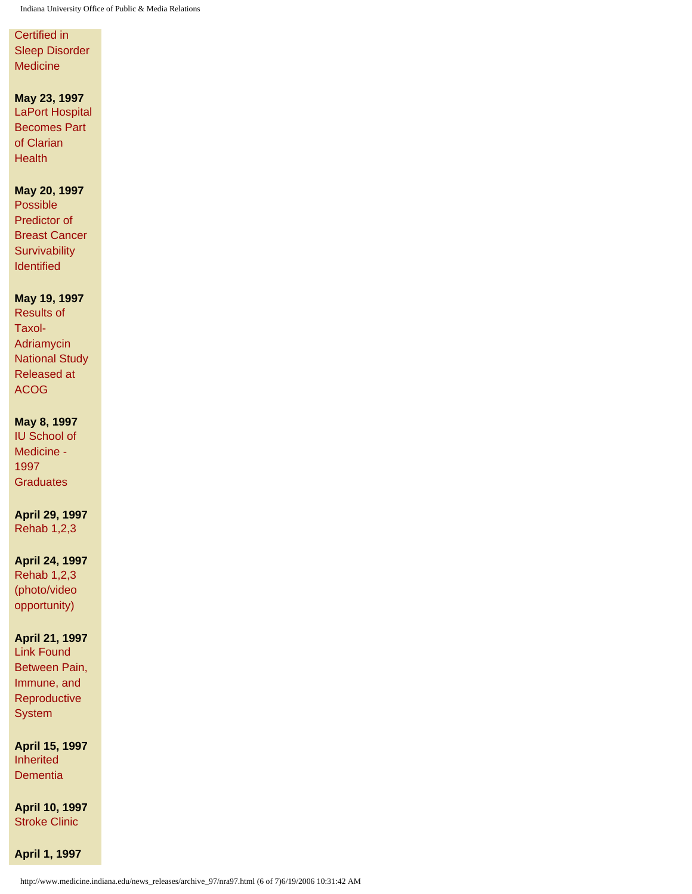### [Certified in](#page-63-0)  [Sleep Disorder](#page-63-0) **[Medicine](#page-63-0)**

**May 23, 1997**

[LaPort Hospital](#page-64-0)  [Becomes Part](#page-64-0)  [of Clarian](#page-64-0)  **Health** 

#### **May 20, 1997**

[Possible](#page-66-0)  [Predictor of](#page-66-0) [Breast Cancer](#page-66-0) **[Survivability](#page-66-0)** [Identified](#page-66-0) 

#### **May 19, 1997**

[Results of](#page-68-0)  [Taxol-](#page-68-0)[Adriamycin](#page-68-0)  [National Study](#page-68-0) [Released at](#page-68-0) [ACOG](#page-68-0)

#### **May 8, 1997**

[IU School of](#page-70-0)  [Medicine -](#page-70-0) [1997](#page-70-0) **Graduates** 

**April 29, 1997** [Rehab 1,2,3](#page-72-0) 

#### **April 24, 1997**

[Rehab 1,2,3](#page-74-0)  [\(photo/video](#page-74-0) [opportunity\)](#page-74-0) 

#### **April 21, 1997**

[Link Found](#page-75-0)  [Between Pain,](#page-75-0)  [Immune, and](#page-75-0) **[Reproductive](#page-75-0) [System](#page-75-0)** 

**April 15, 1997 Inherited Dementia** 

**April 10, 1997** [Stroke Clinic](#page-79-0)

**April 1, 1997**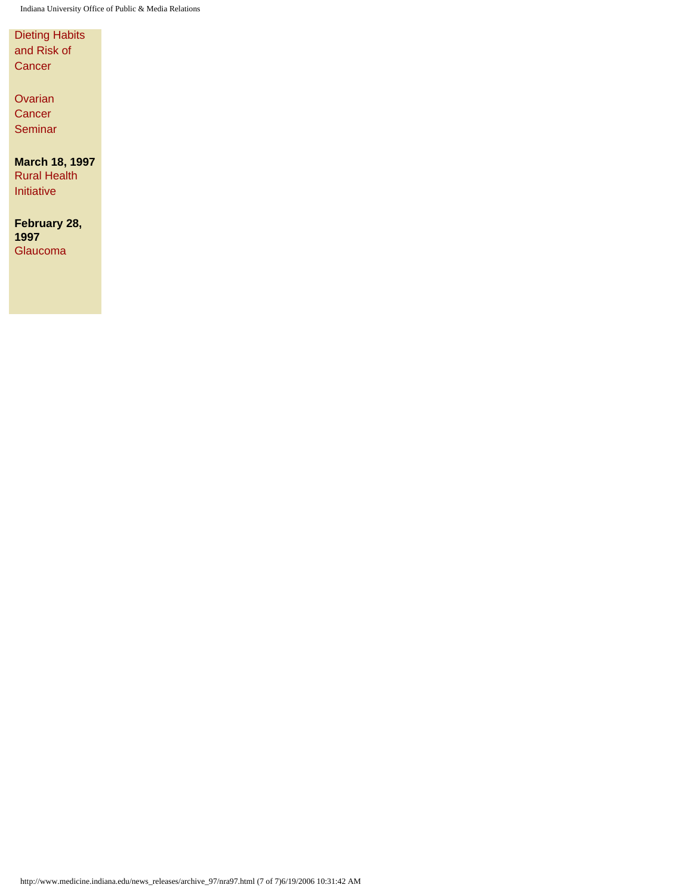[Dieting Habits](#page-81-0) [and Risk of](#page-81-0) **[Cancer](#page-81-0)** 

**[Ovarian](#page-83-0) [Cancer](#page-83-0)** [Seminar](#page-83-0)

**March 18, 1997** [Rural Health](#page-84-0)  [Initiative](#page-84-0) 

**February 28, 1997** [Glaucoma](#page-86-0)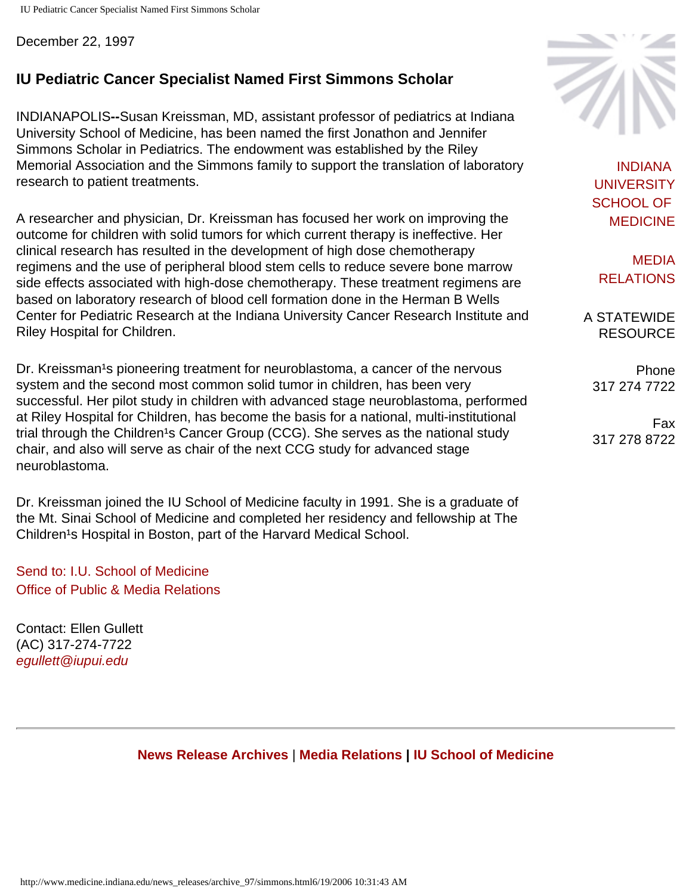<span id="page-7-0"></span>IU Pediatric Cancer Specialist Named First Simmons Scholar

December 22, 1997

## **IU Pediatric Cancer Specialist Named First Simmons Scholar**

INDIANAPOLIS**--**Susan Kreissman, MD, assistant professor of pediatrics at Indiana University School of Medicine, has been named the first Jonathon and Jennifer Simmons Scholar in Pediatrics. The endowment was established by the Riley Memorial Association and the Simmons family to support the translation of laboratory research to patient treatments.

A researcher and physician, Dr. Kreissman has focused her work on improving the outcome for children with solid tumors for which current therapy is ineffective. Her clinical research has resulted in the development of high dose chemotherapy regimens and the use of peripheral blood stem cells to reduce severe bone marrow side effects associated with high-dose chemotherapy. These treatment regimens are based on laboratory research of blood cell formation done in the Herman B Wells Center for Pediatric Research at the Indiana University Cancer Research Institute and Riley Hospital for Children.

Dr. Kreissman<sup>1</sup>s pioneering treatment for neuroblastoma, a cancer of the nervous system and the second most common solid tumor in children, has been very successful. Her pilot study in children with advanced stage neuroblastoma, performed at Riley Hospital for Children, has become the basis for a national, multi-institutional trial through the Children<sup>1</sup>s Cancer Group (CCG). She serves as the national study chair, and also will serve as chair of the next CCG study for advanced stage neuroblastoma.

Dr. Kreissman joined the IU School of Medicine faculty in 1991. She is a graduate of the Mt. Sinai School of Medicine and completed her residency and fellowship at The Children<sup>1</sup>s Hospital in Boston, part of the Harvard Medical School.

[Send to: I.U. School of Medicine](mailto:mbrunsma@iupui.edu) [Office of Public & Media Relations](mailto:mbrunsma@iupui.edu)

Contact: Ellen Gullett (AC) 317-274-7722 *[egullett@iupui.edu](mailto:mbrunsma@iupui.edu)*



[INDIANA](http://medicine.iu.edu/) [UNIVERSITY](http://medicine.iu.edu/)  [SCHOOL OF](http://medicine.iu.edu/) [MEDICINE](http://medicine.iu.edu/)

[MEDIA](http://www.medicine.indiana.edu/)  [RELATIONS](http://www.medicine.indiana.edu/)

A STATEWIDE RESOURCE

> Phone 317 274 7722

> Fax 317 278 8722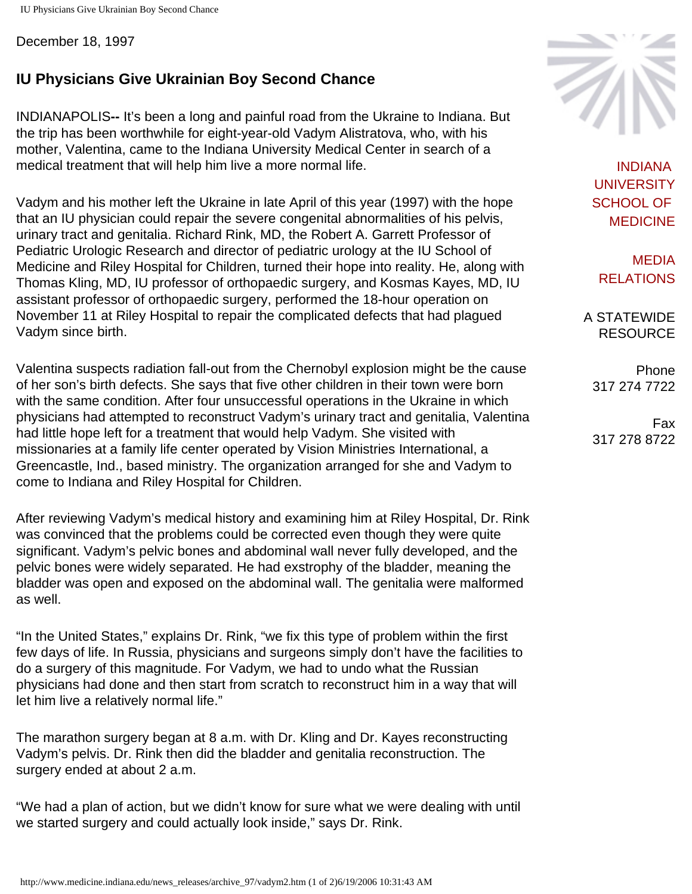<span id="page-8-0"></span>IU Physicians Give Ukrainian Boy Second Chance

December 18, 1997

## **IU Physicians Give Ukrainian Boy Second Chance**

INDIANAPOLIS**--** It's been a long and painful road from the Ukraine to Indiana. But the trip has been worthwhile for eight-year-old Vadym Alistratova, who, with his mother, Valentina, came to the Indiana University Medical Center in search of a medical treatment that will help him live a more normal life.

Vadym and his mother left the Ukraine in late April of this year (1997) with the hope that an IU physician could repair the severe congenital abnormalities of his pelvis, urinary tract and genitalia. Richard Rink, MD, the Robert A. Garrett Professor of Pediatric Urologic Research and director of pediatric urology at the IU School of Medicine and Riley Hospital for Children, turned their hope into reality. He, along with Thomas Kling, MD, IU professor of orthopaedic surgery, and Kosmas Kayes, MD, IU assistant professor of orthopaedic surgery, performed the 18-hour operation on November 11 at Riley Hospital to repair the complicated defects that had plagued Vadym since birth.

Valentina suspects radiation fall-out from the Chernobyl explosion might be the cause of her son's birth defects. She says that five other children in their town were born with the same condition. After four unsuccessful operations in the Ukraine in which physicians had attempted to reconstruct Vadym's urinary tract and genitalia, Valentina had little hope left for a treatment that would help Vadym. She visited with missionaries at a family life center operated by Vision Ministries International, a Greencastle, Ind., based ministry. The organization arranged for she and Vadym to come to Indiana and Riley Hospital for Children.

After reviewing Vadym's medical history and examining him at Riley Hospital, Dr. Rink was convinced that the problems could be corrected even though they were quite significant. Vadym's pelvic bones and abdominal wall never fully developed, and the pelvic bones were widely separated. He had exstrophy of the bladder, meaning the bladder was open and exposed on the abdominal wall. The genitalia were malformed as well.

"In the United States," explains Dr. Rink, "we fix this type of problem within the first few days of life. In Russia, physicians and surgeons simply don't have the facilities to do a surgery of this magnitude. For Vadym, we had to undo what the Russian physicians had done and then start from scratch to reconstruct him in a way that will let him live a relatively normal life."

The marathon surgery began at 8 a.m. with Dr. Kling and Dr. Kayes reconstructing Vadym's pelvis. Dr. Rink then did the bladder and genitalia reconstruction. The surgery ended at about 2 a.m.

"We had a plan of action, but we didn't know for sure what we were dealing with until we started surgery and could actually look inside," says Dr. Rink.



[INDIANA](http://medicine.iu.edu/) [UNIVERSITY](http://medicine.iu.edu/)  [SCHOOL OF](http://medicine.iu.edu/) [MEDICINE](http://medicine.iu.edu/)

[MEDIA](http://www.medicine.indiana.edu/)  [RELATIONS](http://www.medicine.indiana.edu/)

A STATEWIDE RESOURCE

Phone 317 274 7722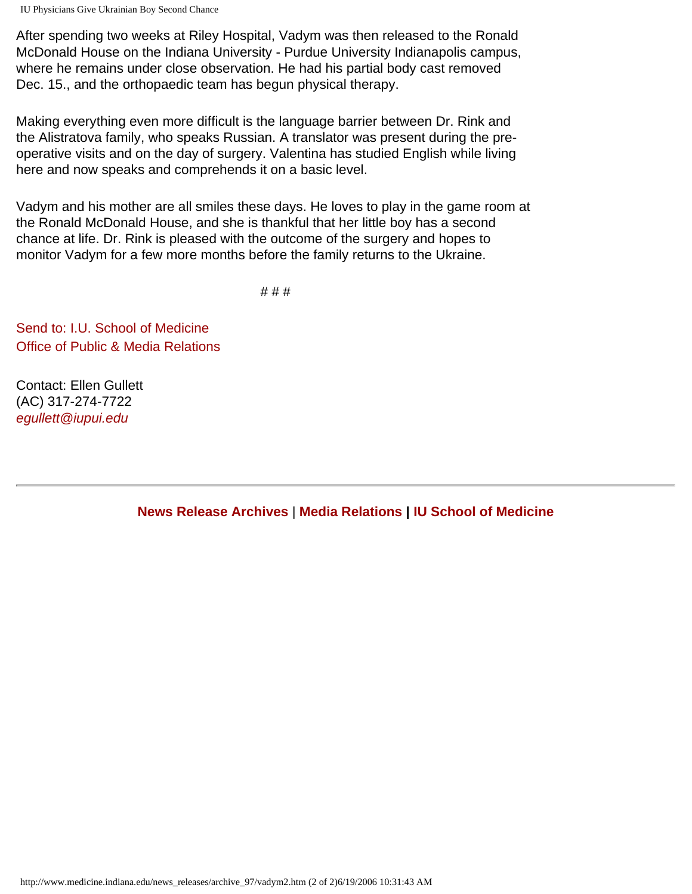IU Physicians Give Ukrainian Boy Second Chance

After spending two weeks at Riley Hospital, Vadym was then released to the Ronald McDonald House on the Indiana University - Purdue University Indianapolis campus, where he remains under close observation. He had his partial body cast removed Dec. 15., and the orthopaedic team has begun physical therapy.

Making everything even more difficult is the language barrier between Dr. Rink and the Alistratova family, who speaks Russian. A translator was present during the preoperative visits and on the day of surgery. Valentina has studied English while living here and now speaks and comprehends it on a basic level.

Vadym and his mother are all smiles these days. He loves to play in the game room at the Ronald McDonald House, and she is thankful that her little boy has a second chance at life. Dr. Rink is pleased with the outcome of the surgery and hopes to monitor Vadym for a few more months before the family returns to the Ukraine.

# # #

[Send to: I.U. School of Medicine](mailto:mbrunsma@iupui.edu) [Office of Public & Media Relations](mailto:mbrunsma@iupui.edu)

Contact: Ellen Gullett (AC) 317-274-7722 *[egullett@iupui.edu](mailto:mbrunsma@iupui.edu)*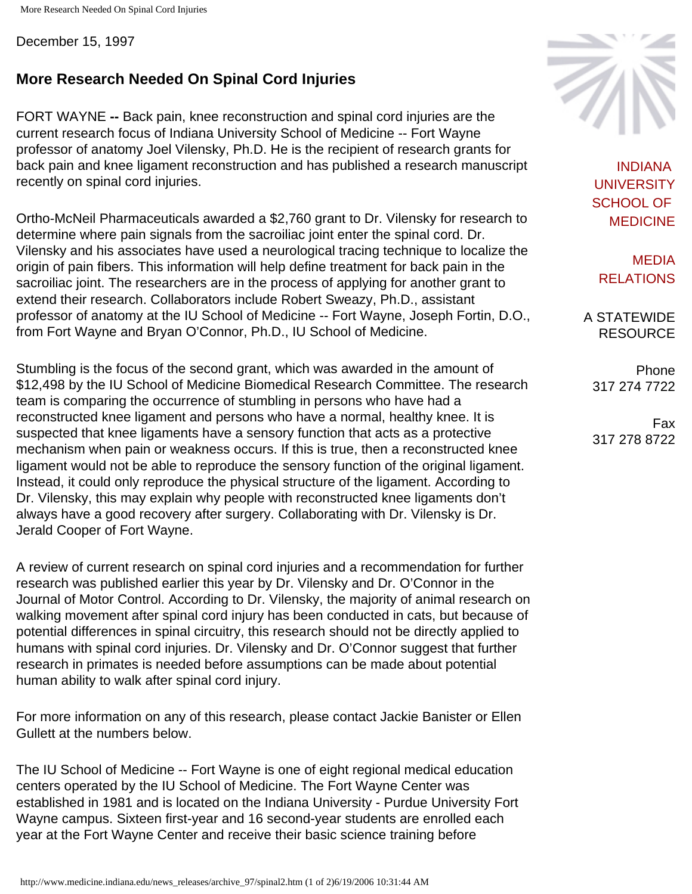<span id="page-10-0"></span>December 15, 1997

# **More Research Needed On Spinal Cord Injuries**

FORT WAYNE **--** Back pain, knee reconstruction and spinal cord injuries are the current research focus of Indiana University School of Medicine -- Fort Wayne professor of anatomy Joel Vilensky, Ph.D. He is the recipient of research grants for back pain and knee ligament reconstruction and has published a research manuscript recently on spinal cord injuries.

Ortho-McNeil Pharmaceuticals awarded a \$2,760 grant to Dr. Vilensky for research to determine where pain signals from the sacroiliac joint enter the spinal cord. Dr. Vilensky and his associates have used a neurological tracing technique to localize the origin of pain fibers. This information will help define treatment for back pain in the sacroiliac joint. The researchers are in the process of applying for another grant to extend their research. Collaborators include Robert Sweazy, Ph.D., assistant professor of anatomy at the IU School of Medicine -- Fort Wayne, Joseph Fortin, D.O., from Fort Wayne and Bryan O'Connor, Ph.D., IU School of Medicine.

Stumbling is the focus of the second grant, which was awarded in the amount of \$12,498 by the IU School of Medicine Biomedical Research Committee. The research team is comparing the occurrence of stumbling in persons who have had a reconstructed knee ligament and persons who have a normal, healthy knee. It is suspected that knee ligaments have a sensory function that acts as a protective mechanism when pain or weakness occurs. If this is true, then a reconstructed knee ligament would not be able to reproduce the sensory function of the original ligament. Instead, it could only reproduce the physical structure of the ligament. According to Dr. Vilensky, this may explain why people with reconstructed knee ligaments don't always have a good recovery after surgery. Collaborating with Dr. Vilensky is Dr. Jerald Cooper of Fort Wayne.

A review of current research on spinal cord injuries and a recommendation for further research was published earlier this year by Dr. Vilensky and Dr. O'Connor in the Journal of Motor Control. According to Dr. Vilensky, the majority of animal research on walking movement after spinal cord injury has been conducted in cats, but because of potential differences in spinal circuitry, this research should not be directly applied to humans with spinal cord injuries. Dr. Vilensky and Dr. O'Connor suggest that further research in primates is needed before assumptions can be made about potential human ability to walk after spinal cord injury.

For more information on any of this research, please contact Jackie Banister or Ellen Gullett at the numbers below.

The IU School of Medicine -- Fort Wayne is one of eight regional medical education centers operated by the IU School of Medicine. The Fort Wayne Center was established in 1981 and is located on the Indiana University - Purdue University Fort Wayne campus. Sixteen first-year and 16 second-year students are enrolled each year at the Fort Wayne Center and receive their basic science training before



[INDIANA](http://medicine.iu.edu/) [UNIVERSITY](http://medicine.iu.edu/)  [SCHOOL OF](http://medicine.iu.edu/) [MEDICINE](http://medicine.iu.edu/)

[MEDIA](http://www.medicine.indiana.edu/)  [RELATIONS](http://www.medicine.indiana.edu/)

A STATEWIDE RESOURCE

> Phone 317 274 7722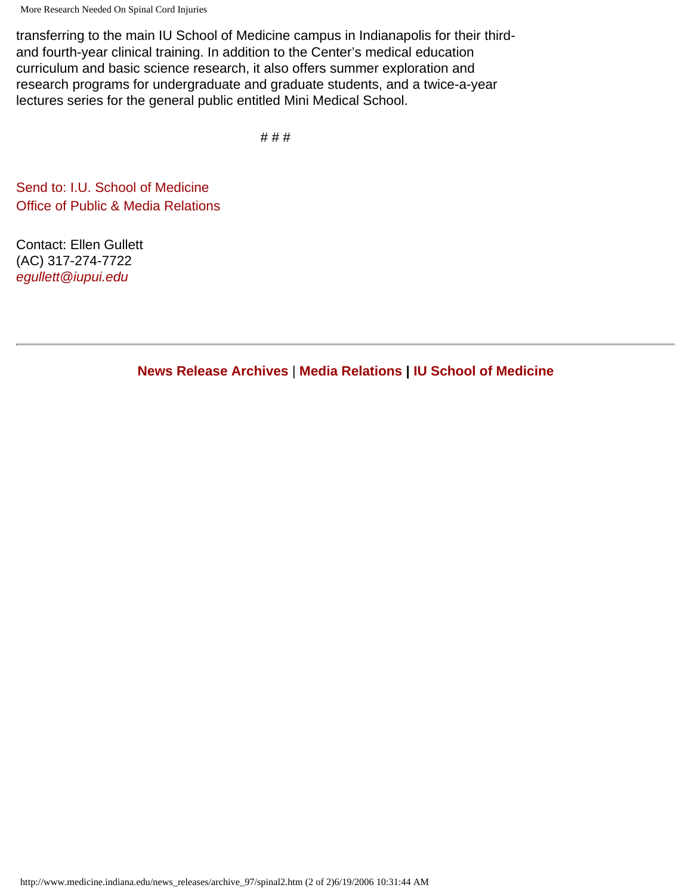More Research Needed On Spinal Cord Injuries

transferring to the main IU School of Medicine campus in Indianapolis for their thirdand fourth-year clinical training. In addition to the Center's medical education curriculum and basic science research, it also offers summer exploration and research programs for undergraduate and graduate students, and a twice-a-year lectures series for the general public entitled Mini Medical School.

# # #

[Send to: I.U. School of Medicine](mailto:mbrunsma@iupui.edu) [Office of Public & Media Relations](mailto:mbrunsma@iupui.edu)

Contact: Ellen Gullett (AC) 317-274-7722 *[egullett@iupui.edu](mailto:mbrunsma@iupui.edu)*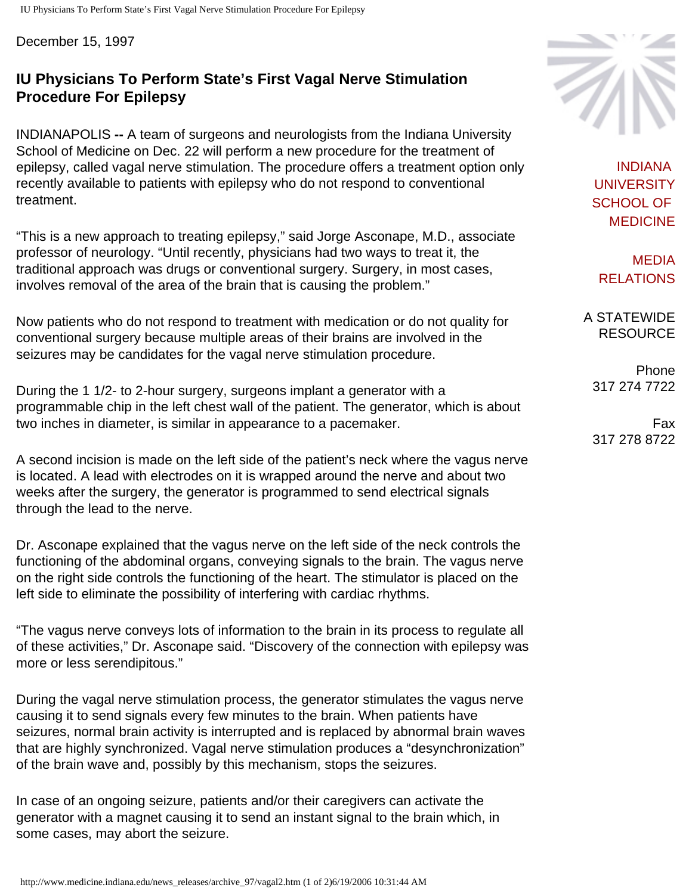<span id="page-12-0"></span>December 15, 1997

## **IU Physicians To Perform State's First Vagal Nerve Stimulation Procedure For Epilepsy**

INDIANAPOLIS **--** A team of surgeons and neurologists from the Indiana University School of Medicine on Dec. 22 will perform a new procedure for the treatment of epilepsy, called vagal nerve stimulation. The procedure offers a treatment option only recently available to patients with epilepsy who do not respond to conventional treatment.

"This is a new approach to treating epilepsy," said Jorge Asconape, M.D., associate professor of neurology. "Until recently, physicians had two ways to treat it, the traditional approach was drugs or conventional surgery. Surgery, in most cases, involves removal of the area of the brain that is causing the problem."

Now patients who do not respond to treatment with medication or do not quality for conventional surgery because multiple areas of their brains are involved in the seizures may be candidates for the vagal nerve stimulation procedure.

During the 1 1/2- to 2-hour surgery, surgeons implant a generator with a programmable chip in the left chest wall of the patient. The generator, which is about two inches in diameter, is similar in appearance to a pacemaker.

A second incision is made on the left side of the patient's neck where the vagus nerve is located. A lead with electrodes on it is wrapped around the nerve and about two weeks after the surgery, the generator is programmed to send electrical signals through the lead to the nerve.

Dr. Asconape explained that the vagus nerve on the left side of the neck controls the functioning of the abdominal organs, conveying signals to the brain. The vagus nerve on the right side controls the functioning of the heart. The stimulator is placed on the left side to eliminate the possibility of interfering with cardiac rhythms.

"The vagus nerve conveys lots of information to the brain in its process to regulate all of these activities," Dr. Asconape said. "Discovery of the connection with epilepsy was more or less serendipitous."

During the vagal nerve stimulation process, the generator stimulates the vagus nerve causing it to send signals every few minutes to the brain. When patients have seizures, normal brain activity is interrupted and is replaced by abnormal brain waves that are highly synchronized. Vagal nerve stimulation produces a "desynchronization" of the brain wave and, possibly by this mechanism, stops the seizures.

In case of an ongoing seizure, patients and/or their caregivers can activate the generator with a magnet causing it to send an instant signal to the brain which, in some cases, may abort the seizure.



[INDIANA](http://medicine.iu.edu/) [UNIVERSITY](http://medicine.iu.edu/)  [SCHOOL OF](http://medicine.iu.edu/) [MEDICINE](http://medicine.iu.edu/)

[MEDIA](http://www.medicine.indiana.edu/)  [RELATIONS](http://www.medicine.indiana.edu/)

A STATEWIDE RESOURCE

Phone 317 274 7722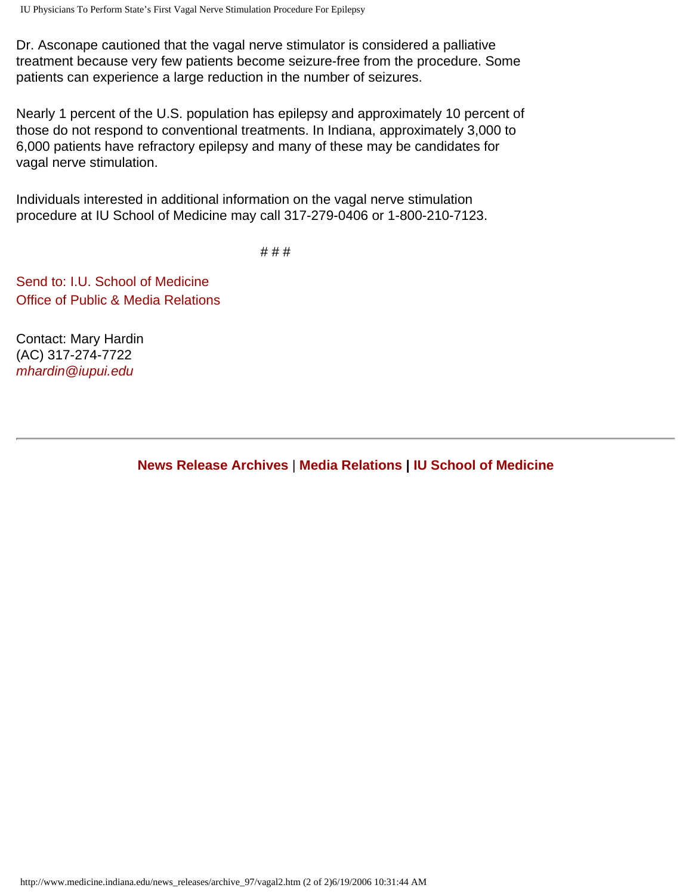IU Physicians To Perform State's First Vagal Nerve Stimulation Procedure For Epilepsy

Dr. Asconape cautioned that the vagal nerve stimulator is considered a palliative treatment because very few patients become seizure-free from the procedure. Some patients can experience a large reduction in the number of seizures.

Nearly 1 percent of the U.S. population has epilepsy and approximately 10 percent of those do not respond to conventional treatments. In Indiana, approximately 3,000 to 6,000 patients have refractory epilepsy and many of these may be candidates for vagal nerve stimulation.

Individuals interested in additional information on the vagal nerve stimulation procedure at IU School of Medicine may call 317-279-0406 or 1-800-210-7123.

# # #

[Send to: I.U. School of Medicine](mailto:mbrunsma@iupui.edu) [Office of Public & Media Relations](mailto:mbrunsma@iupui.edu)

Contact: Mary Hardin (AC) 317-274-7722 *[mhardin@iupui.edu](mailto:mhardin@iupui.edu)*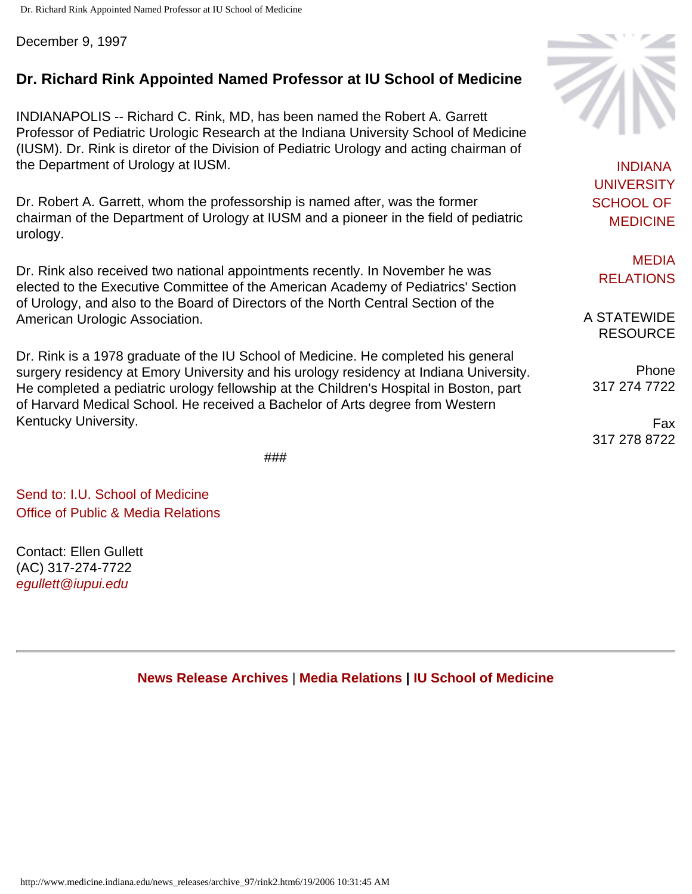<span id="page-14-0"></span>Dr. Richard Rink Appointed Named Professor at IU School of Medicine

December 9, 1997

## **Dr. Richard Rink Appointed Named Professor at IU School of Medicine**

INDIANAPOLIS -- Richard C. Rink, MD, has been named the Robert A. Garrett Professor of Pediatric Urologic Research at the Indiana University School of Medicine (IUSM). Dr. Rink is diretor of the Division of Pediatric Urology and acting chairman of the Department of Urology at IUSM.

Dr. Robert A. Garrett, whom the professorship is named after, was the former chairman of the Department of Urology at IUSM and a pioneer in the field of pediatric urology.

Dr. Rink also received two national appointments recently. In November he was elected to the Executive Committee of the American Academy of Pediatrics' Section of Urology, and also to the Board of Directors of the North Central Section of the American Urologic Association.

Dr. Rink is a 1978 graduate of the IU School of Medicine. He completed his general surgery residency at Emory University and his urology residency at Indiana University. He completed a pediatric urology fellowship at the Children's Hospital in Boston, part of Harvard Medical School. He received a Bachelor of Arts degree from Western Kentucky University.

###

[Send to: I.U. School of Medicine](mailto:mbrunsma@iupui.edu) [Office of Public & Media Relations](mailto:mbrunsma@iupui.edu)

Contact: Ellen Gullett (AC) 317-274-7722 *[egullett@iupui.edu](mailto:mbrusma@iupui.edu)*

**[News Release Archives](http://www.medicine.indiana.edu/news_releases/nra.html)** | **[Media Relations](http://www.medicine.indiana.edu/) | [IU School of Medicine](http://medicine.iu.edu/)**



[INDIANA](http://medicine.iu.edu/) [UNIVERSITY](http://medicine.iu.edu/)  [SCHOOL OF](http://medicine.iu.edu/) [MEDICINE](http://medicine.iu.edu/)

[MEDIA](http://www.medicine.indiana.edu/)  [RELATIONS](http://www.medicine.indiana.edu/)

A STATEWIDE RESOURCE

Phone 317 274 7722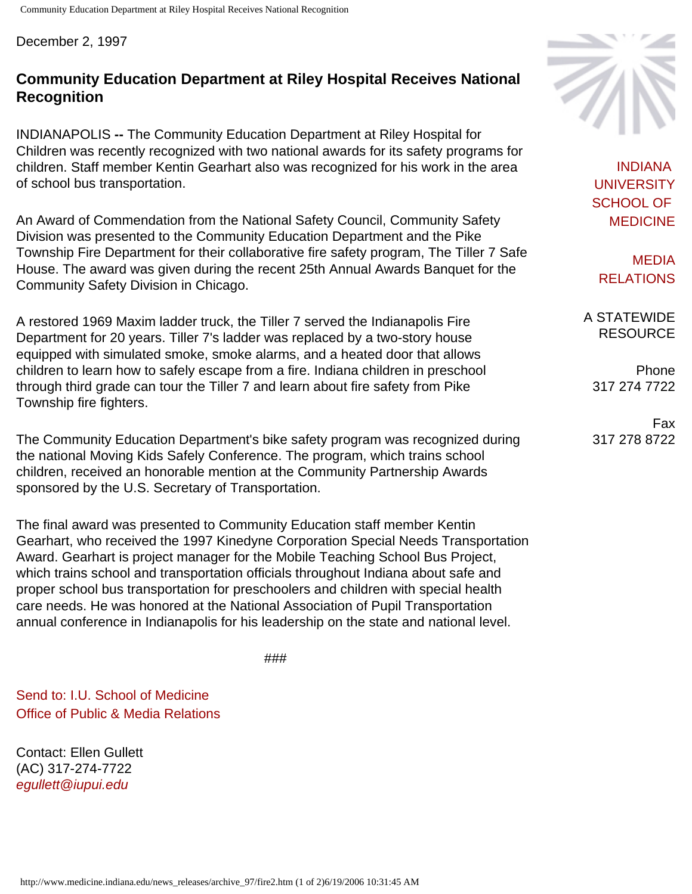<span id="page-15-0"></span>December 2, 1997

## **Community Education Department at Riley Hospital Receives National Recognition**

INDIANAPOLIS **--** The Community Education Department at Riley Hospital for Children was recently recognized with two national awards for its safety programs for children. Staff member Kentin Gearhart also was recognized for his work in the area of school bus transportation.

An Award of Commendation from the National Safety Council, Community Safety Division was presented to the Community Education Department and the Pike Township Fire Department for their collaborative fire safety program, The Tiller 7 Safe House. The award was given during the recent 25th Annual Awards Banquet for the Community Safety Division in Chicago.

A restored 1969 Maxim ladder truck, the Tiller 7 served the Indianapolis Fire Department for 20 years. Tiller 7's ladder was replaced by a two-story house equipped with simulated smoke, smoke alarms, and a heated door that allows children to learn how to safely escape from a fire. Indiana children in preschool through third grade can tour the Tiller 7 and learn about fire safety from Pike Township fire fighters.

The Community Education Department's bike safety program was recognized during the national Moving Kids Safely Conference. The program, which trains school children, received an honorable mention at the Community Partnership Awards sponsored by the U.S. Secretary of Transportation.

The final award was presented to Community Education staff member Kentin Gearhart, who received the 1997 Kinedyne Corporation Special Needs Transportation Award. Gearhart is project manager for the Mobile Teaching School Bus Project, which trains school and transportation officials throughout Indiana about safe and proper school bus transportation for preschoolers and children with special health care needs. He was honored at the National Association of Pupil Transportation annual conference in Indianapolis for his leadership on the state and national level.

###

[Send to: I.U. School of Medicine](mailto:mbrunsma@iupui.edu) [Office of Public & Media Relations](mailto:mbrunsma@iupui.edu)

Contact: Ellen Gullett (AC) 317-274-7722 *[egullett@iupui.edu](mailto:mbrunsma@iupui.edu)*



[INDIANA](http://medicine.iu.edu/) [UNIVERSITY](http://medicine.iu.edu/)  [SCHOOL OF](http://medicine.iu.edu/) [MEDICINE](http://medicine.iu.edu/)

[MEDIA](http://www.medicine.indiana.edu/)  [RELATIONS](http://www.medicine.indiana.edu/)

A STATEWIDE RESOURCE

Phone 317 274 7722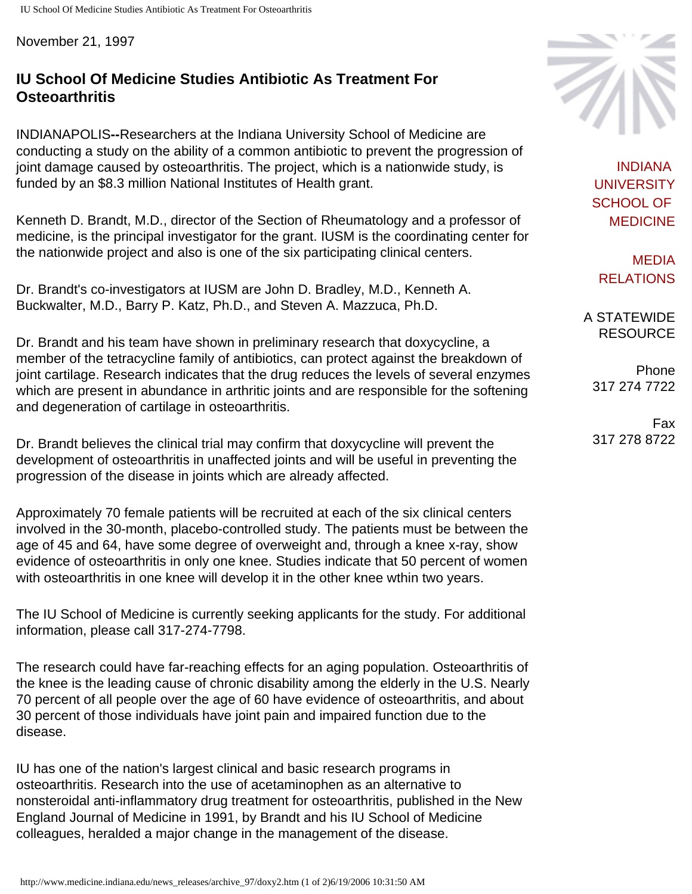<span id="page-17-0"></span>IU School Of Medicine Studies Antibiotic As Treatment For Osteoarthritis

November 21, 1997

## **IU School Of Medicine Studies Antibiotic As Treatment For Osteoarthritis**

INDIANAPOLIS**--**Researchers at the Indiana University School of Medicine are conducting a study on the ability of a common antibiotic to prevent the progression of joint damage caused by osteoarthritis. The project, which is a nationwide study, is funded by an \$8.3 million National Institutes of Health grant.

Kenneth D. Brandt, M.D., director of the Section of Rheumatology and a professor of medicine, is the principal investigator for the grant. IUSM is the coordinating center for the nationwide project and also is one of the six participating clinical centers.

Dr. Brandt's co-investigators at IUSM are John D. Bradley, M.D., Kenneth A. Buckwalter, M.D., Barry P. Katz, Ph.D., and Steven A. Mazzuca, Ph.D.

Dr. Brandt and his team have shown in preliminary research that doxycycline, a member of the tetracycline family of antibiotics, can protect against the breakdown of joint cartilage. Research indicates that the drug reduces the levels of several enzymes which are present in abundance in arthritic joints and are responsible for the softening and degeneration of cartilage in osteoarthritis.

Dr. Brandt believes the clinical trial may confirm that doxycycline will prevent the development of osteoarthritis in unaffected joints and will be useful in preventing the progression of the disease in joints which are already affected.

Approximately 70 female patients will be recruited at each of the six clinical centers involved in the 30-month, placebo-controlled study. The patients must be between the age of 45 and 64, have some degree of overweight and, through a knee x-ray, show evidence of osteoarthritis in only one knee. Studies indicate that 50 percent of women with osteoarthritis in one knee will develop it in the other knee wthin two years.

The IU School of Medicine is currently seeking applicants for the study. For additional information, please call 317-274-7798.

The research could have far-reaching effects for an aging population. Osteoarthritis of the knee is the leading cause of chronic disability among the elderly in the U.S. Nearly 70 percent of all people over the age of 60 have evidence of osteoarthritis, and about 30 percent of those individuals have joint pain and impaired function due to the disease.

IU has one of the nation's largest clinical and basic research programs in osteoarthritis. Research into the use of acetaminophen as an alternative to nonsteroidal anti-inflammatory drug treatment for osteoarthritis, published in the New England Journal of Medicine in 1991, by Brandt and his IU School of Medicine colleagues, heralded a major change in the management of the disease.



[INDIANA](http://medicine.iu.edu/) [UNIVERSITY](http://medicine.iu.edu/)  [SCHOOL OF](http://medicine.iu.edu/) [MEDICINE](http://medicine.iu.edu/)

[MEDIA](http://www.medicine.indiana.edu/)  [RELATIONS](http://www.medicine.indiana.edu/)

A STATEWIDE RESOURCE

Phone 317 274 7722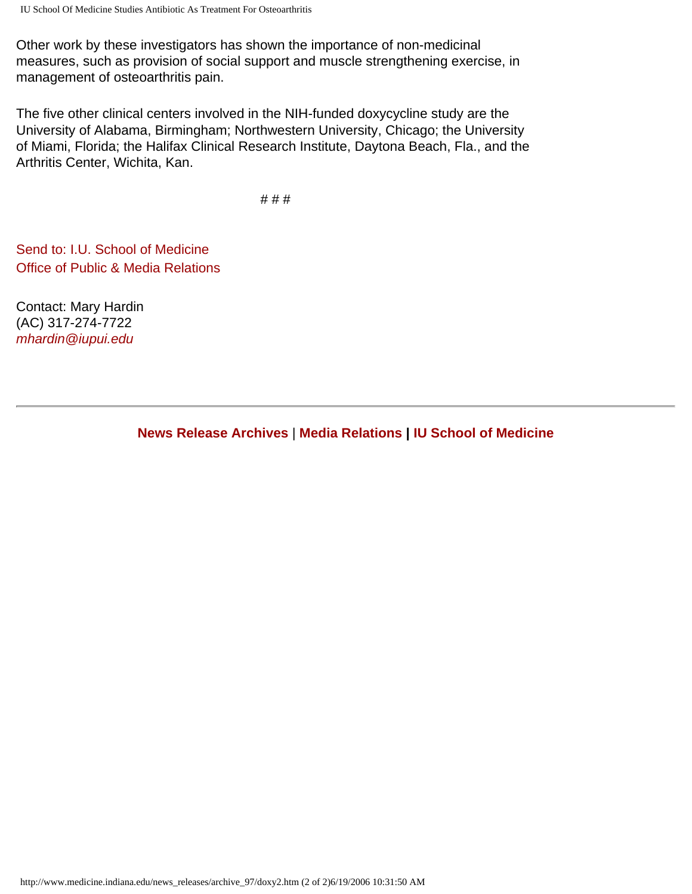IU School Of Medicine Studies Antibiotic As Treatment For Osteoarthritis

Other work by these investigators has shown the importance of non-medicinal measures, such as provision of social support and muscle strengthening exercise, in management of osteoarthritis pain.

The five other clinical centers involved in the NIH-funded doxycycline study are the University of Alabama, Birmingham; Northwestern University, Chicago; the University of Miami, Florida; the Halifax Clinical Research Institute, Daytona Beach, Fla., and the Arthritis Center, Wichita, Kan.

# # #

[Send to: I.U. School of Medicine](mailto:mbrunsma@iupui.edu) [Office of Public & Media Relations](mailto:mbrunsma@iupui.edu)

Contact: Mary Hardin (AC) 317-274-7722 *[mhardin@iupui.edu](mailto:mhardin@iupui.edu)*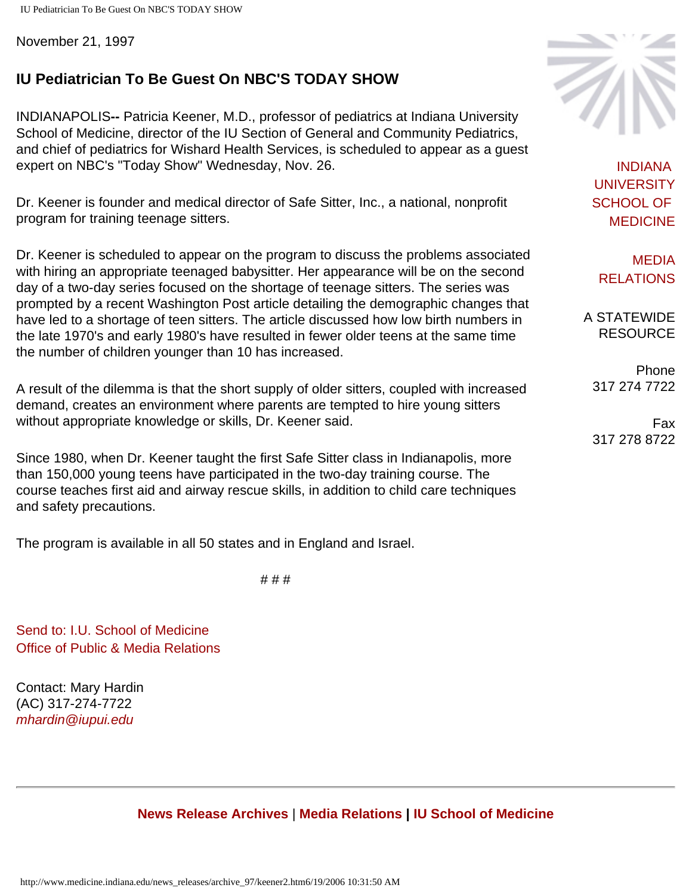<span id="page-19-0"></span>IU Pediatrician To Be Guest On NBC'S TODAY SHOW

November 21, 1997

## **IU Pediatrician To Be Guest On NBC'S TODAY SHOW**

INDIANAPOLIS**--** Patricia Keener, M.D., professor of pediatrics at Indiana University School of Medicine, director of the IU Section of General and Community Pediatrics, and chief of pediatrics for Wishard Health Services, is scheduled to appear as a guest expert on NBC's "Today Show" Wednesday, Nov. 26.

Dr. Keener is founder and medical director of Safe Sitter, Inc., a national, nonprofit program for training teenage sitters.

Dr. Keener is scheduled to appear on the program to discuss the problems associated with hiring an appropriate teenaged babysitter. Her appearance will be on the second day of a two-day series focused on the shortage of teenage sitters. The series was prompted by a recent Washington Post article detailing the demographic changes that have led to a shortage of teen sitters. The article discussed how low birth numbers in the late 1970's and early 1980's have resulted in fewer older teens at the same time the number of children younger than 10 has increased.

A result of the dilemma is that the short supply of older sitters, coupled with increased demand, creates an environment where parents are tempted to hire young sitters without appropriate knowledge or skills, Dr. Keener said.

Since 1980, when Dr. Keener taught the first Safe Sitter class in Indianapolis, more than 150,000 young teens have participated in the two-day training course. The course teaches first aid and airway rescue skills, in addition to child care techniques and safety precautions.

The program is available in all 50 states and in England and Israel.

# # #

[Send to: I.U. School of Medicine](mailto:mbrunsma@iupui.edu) [Office of Public & Media Relations](mailto:mbrunsma@iupui.edu)

Contact: Mary Hardin (AC) 317-274-7722 *[mhardin@iupui.edu](mailto:mhardin@iupui.edu)*





[INDIANA](http://medicine.iu.edu/) [UNIVERSITY](http://medicine.iu.edu/)  [SCHOOL OF](http://medicine.iu.edu/) [MEDICINE](http://medicine.iu.edu/)

[MEDIA](http://www.medicine.indiana.edu/)  [RELATIONS](http://www.medicine.indiana.edu/)

A STATEWIDE RESOURCE

Phone 317 274 7722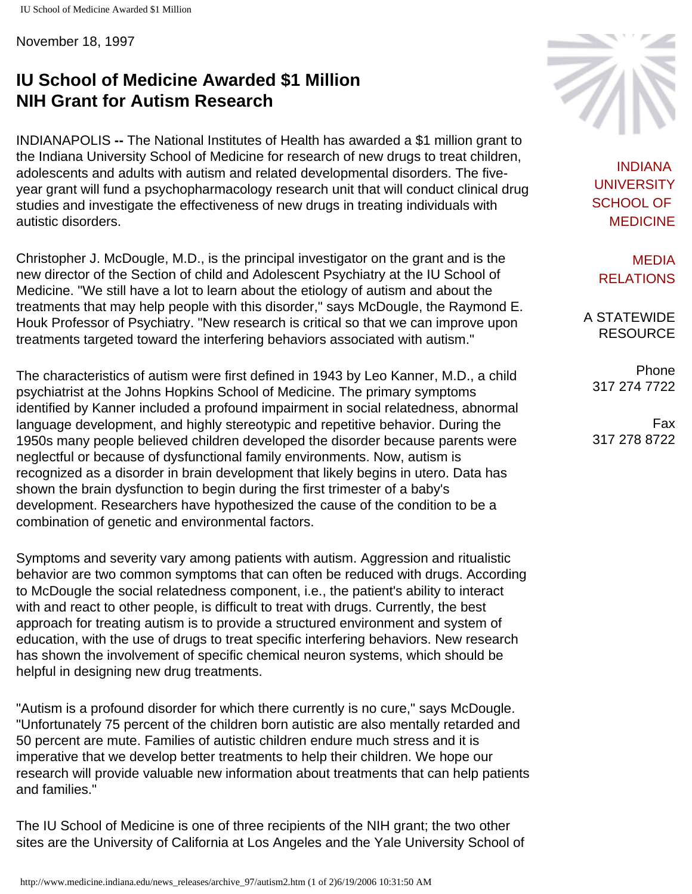<span id="page-20-0"></span>IU School of Medicine Awarded \$1 Million

November 18, 1997

# **IU School of Medicine Awarded \$1 Million NIH Grant for Autism Research**

INDIANAPOLIS **--** The National Institutes of Health has awarded a \$1 million grant to the Indiana University School of Medicine for research of new drugs to treat children, adolescents and adults with autism and related developmental disorders. The fiveyear grant will fund a psychopharmacology research unit that will conduct clinical drug studies and investigate the effectiveness of new drugs in treating individuals with autistic disorders.

Christopher J. McDougle, M.D., is the principal investigator on the grant and is the new director of the Section of child and Adolescent Psychiatry at the IU School of Medicine. "We still have a lot to learn about the etiology of autism and about the treatments that may help people with this disorder," says McDougle, the Raymond E. Houk Professor of Psychiatry. "New research is critical so that we can improve upon treatments targeted toward the interfering behaviors associated with autism."

The characteristics of autism were first defined in 1943 by Leo Kanner, M.D., a child psychiatrist at the Johns Hopkins School of Medicine. The primary symptoms identified by Kanner included a profound impairment in social relatedness, abnormal language development, and highly stereotypic and repetitive behavior. During the 1950s many people believed children developed the disorder because parents were neglectful or because of dysfunctional family environments. Now, autism is recognized as a disorder in brain development that likely begins in utero. Data has shown the brain dysfunction to begin during the first trimester of a baby's development. Researchers have hypothesized the cause of the condition to be a combination of genetic and environmental factors.

Symptoms and severity vary among patients with autism. Aggression and ritualistic behavior are two common symptoms that can often be reduced with drugs. According to McDougle the social relatedness component, i.e., the patient's ability to interact with and react to other people, is difficult to treat with drugs. Currently, the best approach for treating autism is to provide a structured environment and system of education, with the use of drugs to treat specific interfering behaviors. New research has shown the involvement of specific chemical neuron systems, which should be helpful in designing new drug treatments.

"Autism is a profound disorder for which there currently is no cure," says McDougle. "Unfortunately 75 percent of the children born autistic are also mentally retarded and 50 percent are mute. Families of autistic children endure much stress and it is imperative that we develop better treatments to help their children. We hope our research will provide valuable new information about treatments that can help patients and families."

The IU School of Medicine is one of three recipients of the NIH grant; the two other sites are the University of California at Los Angeles and the Yale University School of



[INDIANA](http://medicine.iu.edu/) [UNIVERSITY](http://medicine.iu.edu/)  [SCHOOL OF](http://medicine.iu.edu/) [MEDICINE](http://medicine.iu.edu/)

[MEDIA](http://www.medicine.indiana.edu/)  [RELATIONS](http://www.medicine.indiana.edu/)

A STATEWIDE RESOURCE

Phone 317 274 7722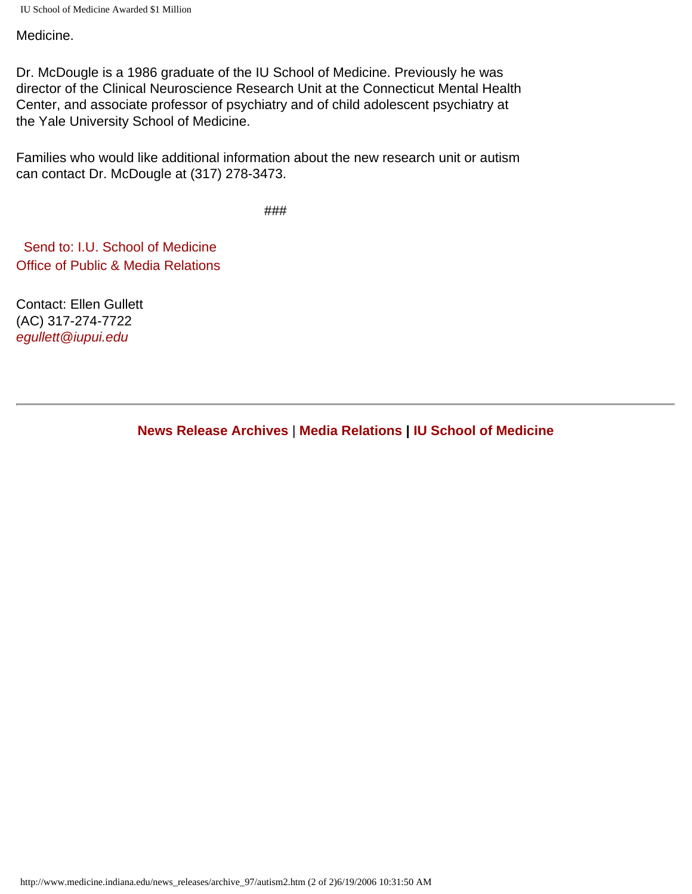IU School of Medicine Awarded \$1 Million

Medicine.

Dr. McDougle is a 1986 graduate of the IU School of Medicine. Previously he was director of the Clinical Neuroscience Research Unit at the Connecticut Mental Health Center, and associate professor of psychiatry and of child adolescent psychiatry at the Yale University School of Medicine.

Families who would like additional information about the new research unit or autism can contact Dr. McDougle at (317) 278-3473.

###

 [Send to: I.U. School of Medicine](mailto:mbrunsma@iupui.edu)  [Office of Public & Media Relations](mailto:mbrunsma@iupui.edu)

Contact: Ellen Gullett (AC) 317-274-7722 *[egullett@iupui.edu](mailto:mbrunsma@iupui.edu)*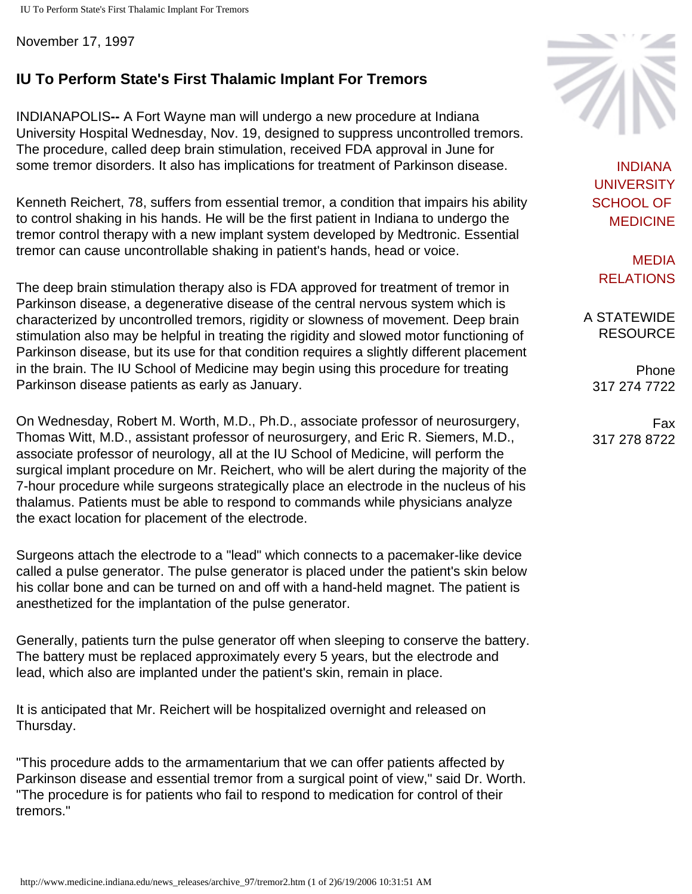<span id="page-22-0"></span>IU To Perform State's First Thalamic Implant For Tremors

November 17, 1997

## **IU To Perform State's First Thalamic Implant For Tremors**

INDIANAPOLIS**--** A Fort Wayne man will undergo a new procedure at Indiana University Hospital Wednesday, Nov. 19, designed to suppress uncontrolled tremors. The procedure, called deep brain stimulation, received FDA approval in June for some tremor disorders. It also has implications for treatment of Parkinson disease.

Kenneth Reichert, 78, suffers from essential tremor, a condition that impairs his ability to control shaking in his hands. He will be the first patient in Indiana to undergo the tremor control therapy with a new implant system developed by Medtronic. Essential tremor can cause uncontrollable shaking in patient's hands, head or voice.

The deep brain stimulation therapy also is FDA approved for treatment of tremor in Parkinson disease, a degenerative disease of the central nervous system which is characterized by uncontrolled tremors, rigidity or slowness of movement. Deep brain stimulation also may be helpful in treating the rigidity and slowed motor functioning of Parkinson disease, but its use for that condition requires a slightly different placement in the brain. The IU School of Medicine may begin using this procedure for treating Parkinson disease patients as early as January.

On Wednesday, Robert M. Worth, M.D., Ph.D., associate professor of neurosurgery, Thomas Witt, M.D., assistant professor of neurosurgery, and Eric R. Siemers, M.D., associate professor of neurology, all at the IU School of Medicine, will perform the surgical implant procedure on Mr. Reichert, who will be alert during the majority of the 7-hour procedure while surgeons strategically place an electrode in the nucleus of his thalamus. Patients must be able to respond to commands while physicians analyze the exact location for placement of the electrode.

Surgeons attach the electrode to a "lead" which connects to a pacemaker-like device called a pulse generator. The pulse generator is placed under the patient's skin below his collar bone and can be turned on and off with a hand-held magnet. The patient is anesthetized for the implantation of the pulse generator.

Generally, patients turn the pulse generator off when sleeping to conserve the battery. The battery must be replaced approximately every 5 years, but the electrode and lead, which also are implanted under the patient's skin, remain in place.

It is anticipated that Mr. Reichert will be hospitalized overnight and released on Thursday.

"This procedure adds to the armamentarium that we can offer patients affected by Parkinson disease and essential tremor from a surgical point of view," said Dr. Worth. "The procedure is for patients who fail to respond to medication for control of their tremors."



[INDIANA](http://medicine.iu.edu/) [UNIVERSITY](http://medicine.iu.edu/)  [SCHOOL OF](http://medicine.iu.edu/) [MEDICINE](http://medicine.iu.edu/)

[MEDIA](http://www.medicine.indiana.edu/)  [RELATIONS](http://www.medicine.indiana.edu/)

A STATEWIDE RESOURCE

> Phone 317 274 7722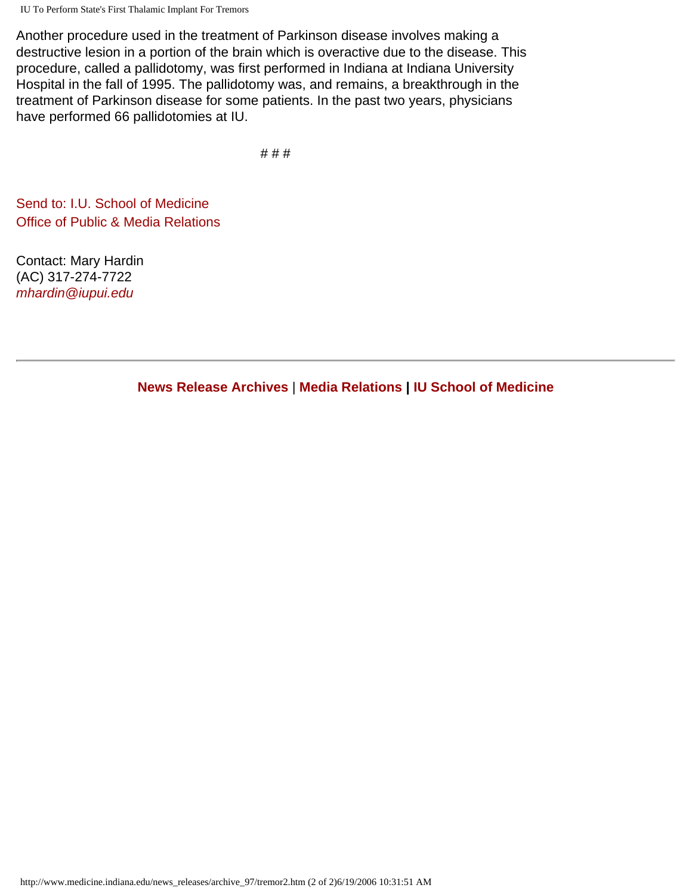IU To Perform State's First Thalamic Implant For Tremors

Another procedure used in the treatment of Parkinson disease involves making a destructive lesion in a portion of the brain which is overactive due to the disease. This procedure, called a pallidotomy, was first performed in Indiana at Indiana University Hospital in the fall of 1995. The pallidotomy was, and remains, a breakthrough in the treatment of Parkinson disease for some patients. In the past two years, physicians have performed 66 pallidotomies at IU.

# # #

[Send to: I.U. School of Medicine](mailto:mbrunsma@iupui.edu) [Office of Public & Media Relations](mailto:mbrunsma@iupui.edu)

Contact: Mary Hardin (AC) 317-274-7722 *[mhardin@iupui.edu](mailto:mhardin@iupui.edu)*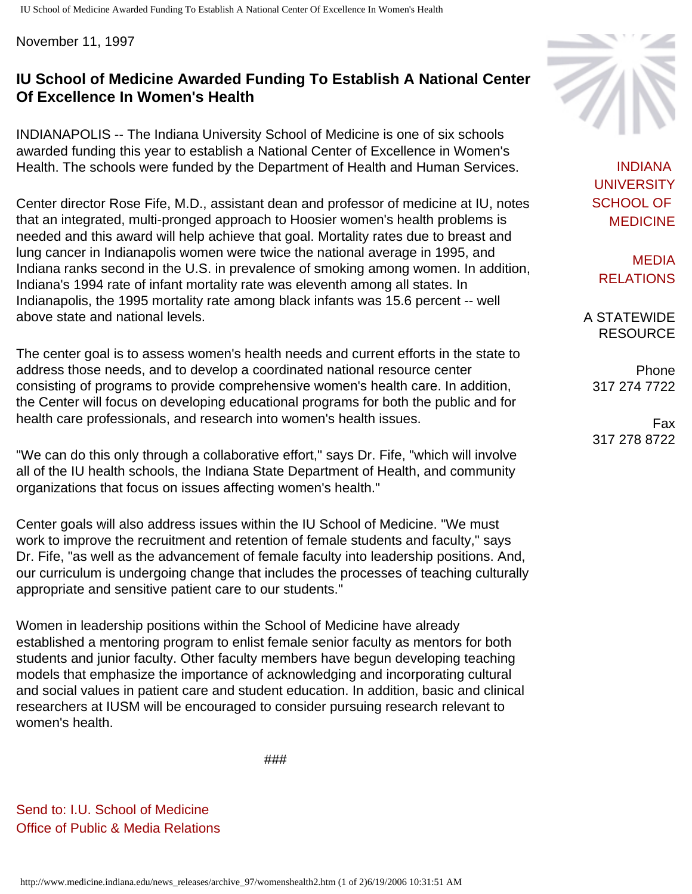<span id="page-24-0"></span>IU School of Medicine Awarded Funding To Establish A National Center Of Excellence In Women's Health

November 11, 1997

## **IU School of Medicine Awarded Funding To Establish A National Center Of Excellence In Women's Health**

INDIANAPOLIS -- The Indiana University School of Medicine is one of six schools awarded funding this year to establish a National Center of Excellence in Women's Health. The schools were funded by the Department of Health and Human Services.

Center director Rose Fife, M.D., assistant dean and professor of medicine at IU, notes that an integrated, multi-pronged approach to Hoosier women's health problems is needed and this award will help achieve that goal. Mortality rates due to breast and lung cancer in Indianapolis women were twice the national average in 1995, and Indiana ranks second in the U.S. in prevalence of smoking among women. In addition, Indiana's 1994 rate of infant mortality rate was eleventh among all states. In Indianapolis, the 1995 mortality rate among black infants was 15.6 percent -- well above state and national levels.

The center goal is to assess women's health needs and current efforts in the state to address those needs, and to develop a coordinated national resource center consisting of programs to provide comprehensive women's health care. In addition, the Center will focus on developing educational programs for both the public and for health care professionals, and research into women's health issues.

"We can do this only through a collaborative effort," says Dr. Fife, "which will involve all of the IU health schools, the Indiana State Department of Health, and community organizations that focus on issues affecting women's health."

Center goals will also address issues within the IU School of Medicine. "We must work to improve the recruitment and retention of female students and faculty," says Dr. Fife, "as well as the advancement of female faculty into leadership positions. And, our curriculum is undergoing change that includes the processes of teaching culturally appropriate and sensitive patient care to our students."

Women in leadership positions within the School of Medicine have already established a mentoring program to enlist female senior faculty as mentors for both students and junior faculty. Other faculty members have begun developing teaching models that emphasize the importance of acknowledging and incorporating cultural and social values in patient care and student education. In addition, basic and clinical researchers at IUSM will be encouraged to consider pursuing research relevant to women's health.

###

[Send to: I.U. School of Medicine](mailto:mbrunsma@iupui.edu) [Office of Public & Media Relations](mailto:mbrunsma@iupui.edu)



[INDIANA](http://medicine.iu.edu/) [UNIVERSITY](http://medicine.iu.edu/)  [SCHOOL OF](http://medicine.iu.edu/) [MEDICINE](http://medicine.iu.edu/)

[MEDIA](http://www.medicine.indiana.edu/)  [RELATIONS](http://www.medicine.indiana.edu/)

A STATEWIDE RESOURCE

Phone 317 274 7722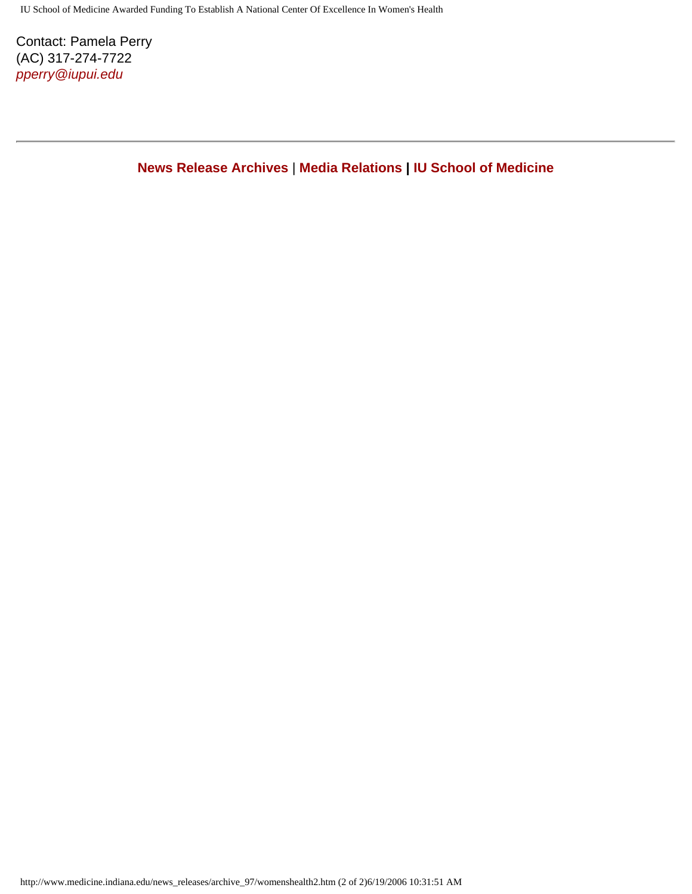Contact: Pamela Perry (AC) 317-274-7722 *[pperry@iupui.edu](mailto:pperry@iupui.edu)*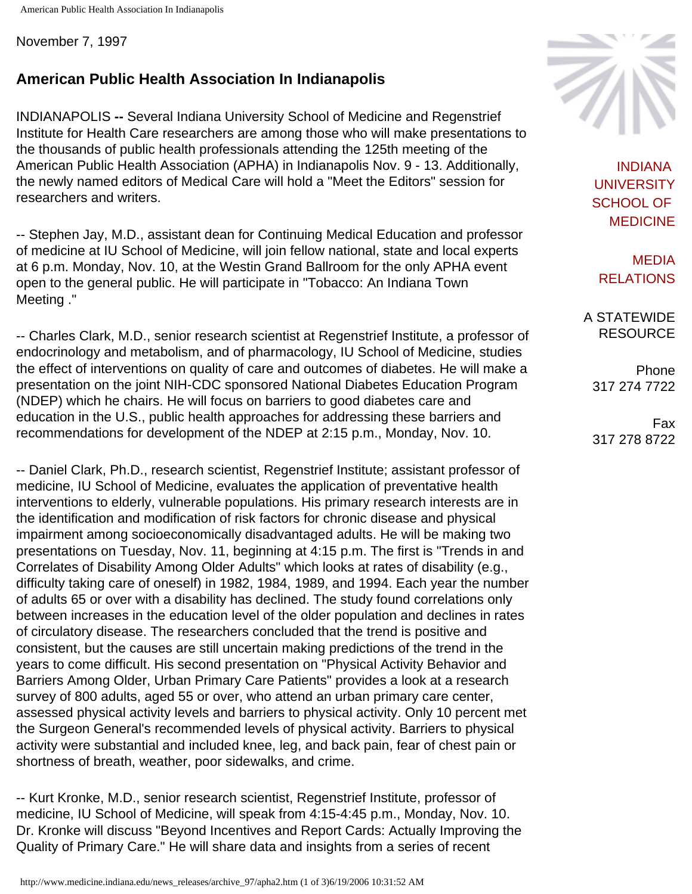<span id="page-26-0"></span>American Public Health Association In Indianapolis

November 7, 1997

# **American Public Health Association In Indianapolis**

INDIANAPOLIS **--** Several Indiana University School of Medicine and Regenstrief Institute for Health Care researchers are among those who will make presentations to the thousands of public health professionals attending the 125th meeting of the American Public Health Association (APHA) in Indianapolis Nov. 9 - 13. Additionally, the newly named editors of Medical Care will hold a "Meet the Editors" session for researchers and writers.

-- Stephen Jay, M.D., assistant dean for Continuing Medical Education and professor of medicine at IU School of Medicine, will join fellow national, state and local experts at 6 p.m. Monday, Nov. 10, at the Westin Grand Ballroom for the only APHA event open to the general public. He will participate in "Tobacco: An Indiana Town Meeting ."

-- Charles Clark, M.D., senior research scientist at Regenstrief Institute, a professor of endocrinology and metabolism, and of pharmacology, IU School of Medicine, studies the effect of interventions on quality of care and outcomes of diabetes. He will make a presentation on the joint NIH-CDC sponsored National Diabetes Education Program (NDEP) which he chairs. He will focus on barriers to good diabetes care and education in the U.S., public health approaches for addressing these barriers and recommendations for development of the NDEP at 2:15 p.m., Monday, Nov. 10.

-- Daniel Clark, Ph.D., research scientist, Regenstrief Institute; assistant professor of medicine, IU School of Medicine, evaluates the application of preventative health interventions to elderly, vulnerable populations. His primary research interests are in the identification and modification of risk factors for chronic disease and physical impairment among socioeconomically disadvantaged adults. He will be making two presentations on Tuesday, Nov. 11, beginning at 4:15 p.m. The first is "Trends in and Correlates of Disability Among Older Adults" which looks at rates of disability (e.g., difficulty taking care of oneself) in 1982, 1984, 1989, and 1994. Each year the number of adults 65 or over with a disability has declined. The study found correlations only between increases in the education level of the older population and declines in rates of circulatory disease. The researchers concluded that the trend is positive and consistent, but the causes are still uncertain making predictions of the trend in the years to come difficult. His second presentation on "Physical Activity Behavior and Barriers Among Older, Urban Primary Care Patients" provides a look at a research survey of 800 adults, aged 55 or over, who attend an urban primary care center, assessed physical activity levels and barriers to physical activity. Only 10 percent met the Surgeon General's recommended levels of physical activity. Barriers to physical activity were substantial and included knee, leg, and back pain, fear of chest pain or shortness of breath, weather, poor sidewalks, and crime.

-- Kurt Kronke, M.D., senior research scientist, Regenstrief Institute, professor of medicine, IU School of Medicine, will speak from 4:15-4:45 p.m., Monday, Nov. 10. Dr. Kronke will discuss "Beyond Incentives and Report Cards: Actually Improving the Quality of Primary Care." He will share data and insights from a series of recent



[INDIANA](http://medicine.iu.edu/) [UNIVERSITY](http://medicine.iu.edu/)  [SCHOOL OF](http://medicine.iu.edu/) [MEDICINE](http://medicine.iu.edu/)

[MEDIA](http://www.medicine.indiana.edu/)  [RELATIONS](http://www.medicine.indiana.edu/)

A STATEWIDE RESOURCE

> Phone 317 274 7722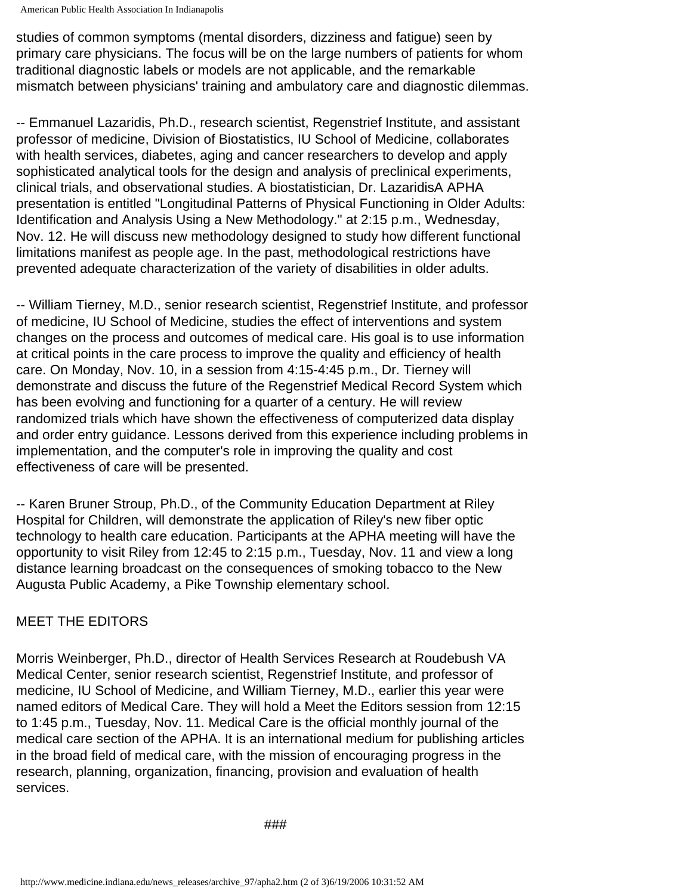American Public Health Association In Indianapolis

studies of common symptoms (mental disorders, dizziness and fatigue) seen by primary care physicians. The focus will be on the large numbers of patients for whom traditional diagnostic labels or models are not applicable, and the remarkable mismatch between physicians' training and ambulatory care and diagnostic dilemmas.

-- Emmanuel Lazaridis, Ph.D., research scientist, Regenstrief Institute, and assistant professor of medicine, Division of Biostatistics, IU School of Medicine, collaborates with health services, diabetes, aging and cancer researchers to develop and apply sophisticated analytical tools for the design and analysis of preclinical experiments, clinical trials, and observational studies. A biostatistician, Dr. LazaridisA APHA presentation is entitled "Longitudinal Patterns of Physical Functioning in Older Adults: Identification and Analysis Using a New Methodology." at 2:15 p.m., Wednesday, Nov. 12. He will discuss new methodology designed to study how different functional limitations manifest as people age. In the past, methodological restrictions have prevented adequate characterization of the variety of disabilities in older adults.

-- William Tierney, M.D., senior research scientist, Regenstrief Institute, and professor of medicine, IU School of Medicine, studies the effect of interventions and system changes on the process and outcomes of medical care. His goal is to use information at critical points in the care process to improve the quality and efficiency of health care. On Monday, Nov. 10, in a session from 4:15-4:45 p.m., Dr. Tierney will demonstrate and discuss the future of the Regenstrief Medical Record System which has been evolving and functioning for a quarter of a century. He will review randomized trials which have shown the effectiveness of computerized data display and order entry guidance. Lessons derived from this experience including problems in implementation, and the computer's role in improving the quality and cost effectiveness of care will be presented.

-- Karen Bruner Stroup, Ph.D., of the Community Education Department at Riley Hospital for Children, will demonstrate the application of Riley's new fiber optic technology to health care education. Participants at the APHA meeting will have the opportunity to visit Riley from 12:45 to 2:15 p.m., Tuesday, Nov. 11 and view a long distance learning broadcast on the consequences of smoking tobacco to the New Augusta Public Academy, a Pike Township elementary school.

## MEET THE EDITORS

Morris Weinberger, Ph.D., director of Health Services Research at Roudebush VA Medical Center, senior research scientist, Regenstrief Institute, and professor of medicine, IU School of Medicine, and William Tierney, M.D., earlier this year were named editors of Medical Care. They will hold a Meet the Editors session from 12:15 to 1:45 p.m., Tuesday, Nov. 11. Medical Care is the official monthly journal of the medical care section of the APHA. It is an international medium for publishing articles in the broad field of medical care, with the mission of encouraging progress in the research, planning, organization, financing, provision and evaluation of health services.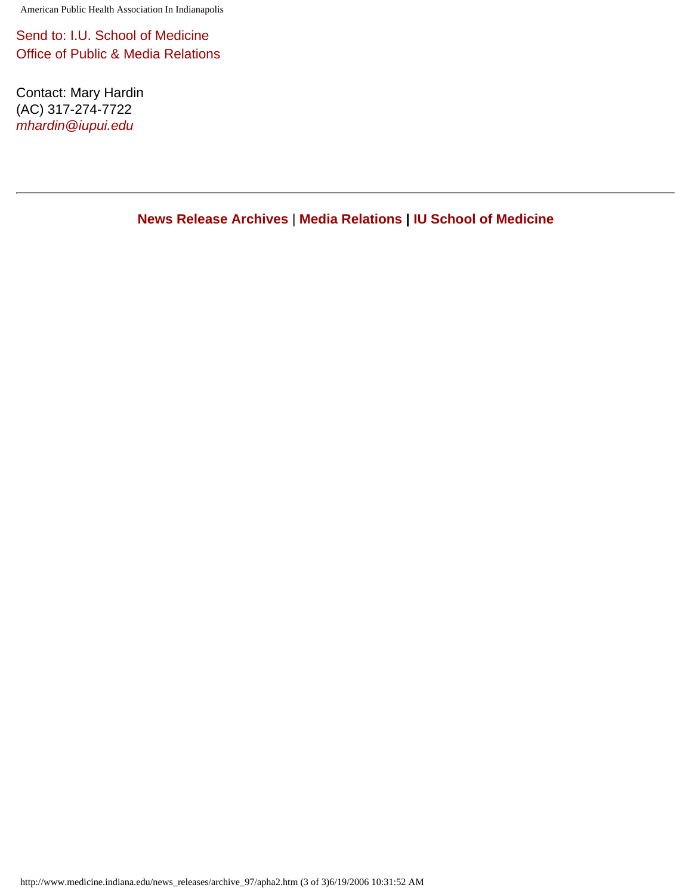American Public Health Association In Indianapolis

[Send to: I.U. School of Medicine](mailto:mbrunsma@iupui.edu) [Office of Public & Media Relations](mailto:mbrunsma@iupui.edu)

Contact: Mary Hardin (AC) 317-274-7722 *[mhardin@iupui.edu](mailto:mhardin@iupui.edu)*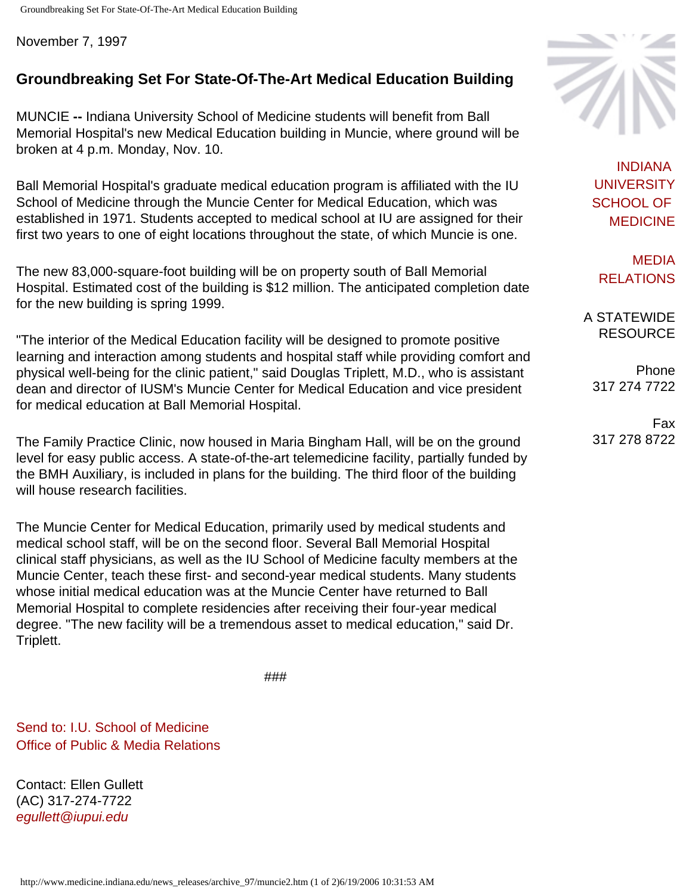<span id="page-29-0"></span>November 7, 1997

## **Groundbreaking Set For State-Of-The-Art Medical Education Building**

MUNCIE **--** Indiana University School of Medicine students will benefit from Ball Memorial Hospital's new Medical Education building in Muncie, where ground will be broken at 4 p.m. Monday, Nov. 10.

Ball Memorial Hospital's graduate medical education program is affiliated with the IU School of Medicine through the Muncie Center for Medical Education, which was established in 1971. Students accepted to medical school at IU are assigned for their first two years to one of eight locations throughout the state, of which Muncie is one.

The new 83,000-square-foot building will be on property south of Ball Memorial Hospital. Estimated cost of the building is \$12 million. The anticipated completion date for the new building is spring 1999.

"The interior of the Medical Education facility will be designed to promote positive learning and interaction among students and hospital staff while providing comfort and physical well-being for the clinic patient," said Douglas Triplett, M.D., who is assistant dean and director of IUSM's Muncie Center for Medical Education and vice president for medical education at Ball Memorial Hospital.

The Family Practice Clinic, now housed in Maria Bingham Hall, will be on the ground level for easy public access. A state-of-the-art telemedicine facility, partially funded by the BMH Auxiliary, is included in plans for the building. The third floor of the building will house research facilities.

The Muncie Center for Medical Education, primarily used by medical students and medical school staff, will be on the second floor. Several Ball Memorial Hospital clinical staff physicians, as well as the IU School of Medicine faculty members at the Muncie Center, teach these first- and second-year medical students. Many students whose initial medical education was at the Muncie Center have returned to Ball Memorial Hospital to complete residencies after receiving their four-year medical degree. "The new facility will be a tremendous asset to medical education," said Dr. Triplett.

###

[Send to: I.U. School of Medicine](mailto:mbrunsma@iupui.edu) [Office of Public & Media Relations](mailto:mbrunsma@iupui.edu)

Contact: Ellen Gullett (AC) 317-274-7722 *[egullett@iupui.edu](mailto:mbrunsma@iupui.edu)*



[INDIANA](http://medicine.iu.edu/) [UNIVERSITY](http://medicine.iu.edu/)  [SCHOOL OF](http://medicine.iu.edu/) [MEDICINE](http://medicine.iu.edu/)

[MEDIA](http://www.medicine.indiana.edu/)  [RELATIONS](http://www.medicine.indiana.edu/)

A STATEWIDE RESOURCE

Phone 317 274 7722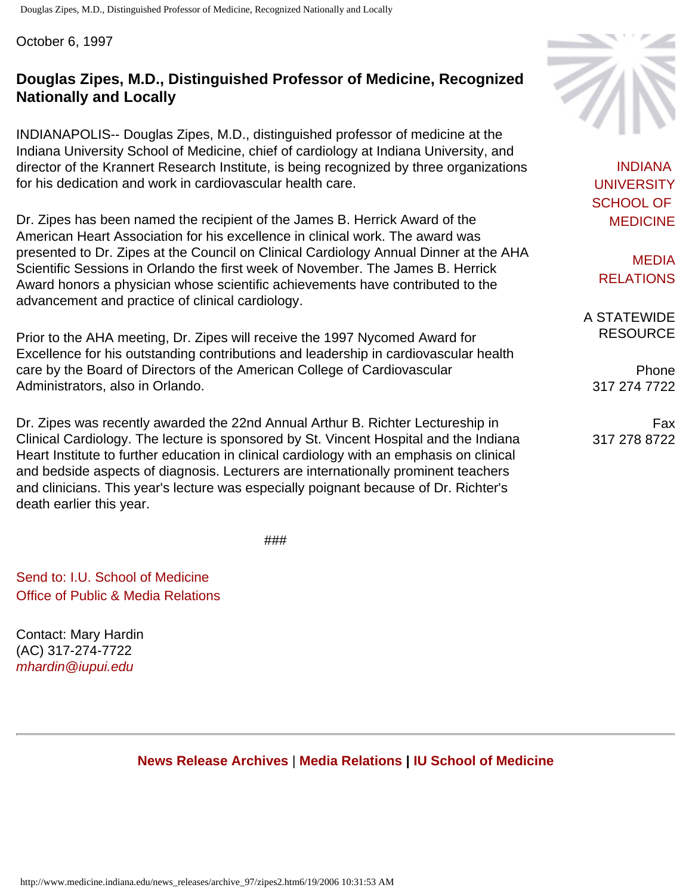<span id="page-31-0"></span>Douglas Zipes, M.D., Distinguished Professor of Medicine, Recognized Nationally and Locally

October 6, 1997

## **Douglas Zipes, M.D., Distinguished Professor of Medicine, Recognized Nationally and Locally**

INDIANAPOLIS-- Douglas Zipes, M.D., distinguished professor of medicine at the Indiana University School of Medicine, chief of cardiology at Indiana University, and director of the Krannert Research Institute, is being recognized by three organizations for his dedication and work in cardiovascular health care.

Dr. Zipes has been named the recipient of the James B. Herrick Award of the American Heart Association for his excellence in clinical work. The award was presented to Dr. Zipes at the Council on Clinical Cardiology Annual Dinner at the AHA Scientific Sessions in Orlando the first week of November. The James B. Herrick Award honors a physician whose scientific achievements have contributed to the advancement and practice of clinical cardiology.

Prior to the AHA meeting, Dr. Zipes will receive the 1997 Nycomed Award for Excellence for his outstanding contributions and leadership in cardiovascular health care by the Board of Directors of the American College of Cardiovascular Administrators, also in Orlando.

Dr. Zipes was recently awarded the 22nd Annual Arthur B. Richter Lectureship in Clinical Cardiology. The lecture is sponsored by St. Vincent Hospital and the Indiana Heart Institute to further education in clinical cardiology with an emphasis on clinical and bedside aspects of diagnosis. Lecturers are internationally prominent teachers and clinicians. This year's lecture was especially poignant because of Dr. Richter's death earlier this year.

###

[Send to: I.U. School of Medicine](mailto:mbrunsma@iupui.edu) [Office of Public & Media Relations](mailto:mbrunsma@iupui.edu)

Contact: Mary Hardin (AC) 317-274-7722 *[mhardin@iupui.edu](mailto:mhardin@iupui.edu)*

**[News Release Archives](http://www.medicine.indiana.edu/news_releases/nra.html)** | **[Media Relations](http://www.medicine.indiana.edu/) | [IU School of Medicine](http://medicine.iu.edu/)**



[INDIANA](http://medicine.iu.edu/) [UNIVERSITY](http://medicine.iu.edu/)  [SCHOOL OF](http://medicine.iu.edu/) [MEDICINE](http://medicine.iu.edu/)

[MEDIA](http://www.medicine.indiana.edu/)  [RELATIONS](http://www.medicine.indiana.edu/)

A STATEWIDE RESOURCE

Phone 317 274 7722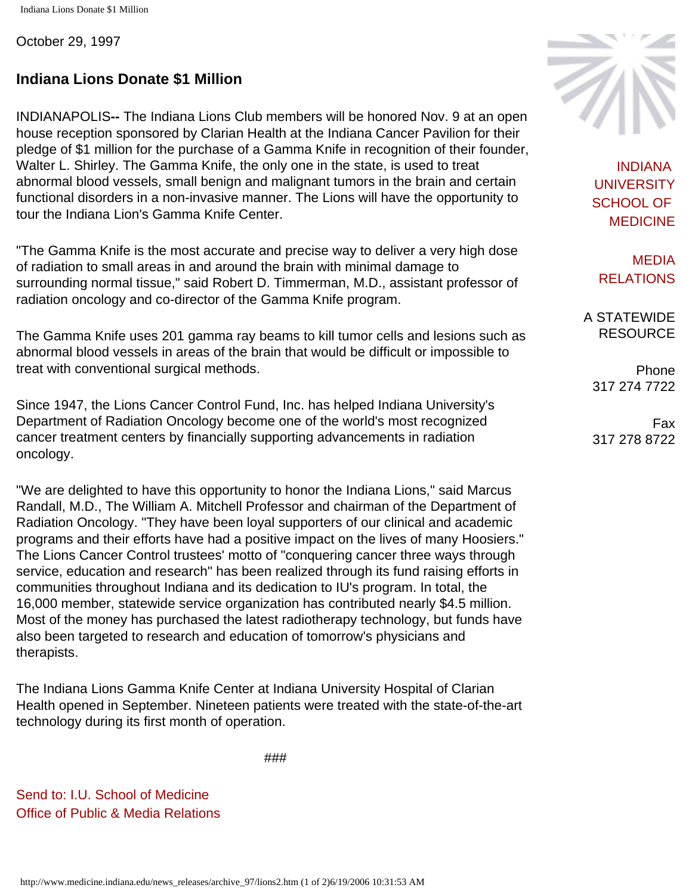<span id="page-32-0"></span>October 29, 1997

## **Indiana Lions Donate \$1 Million**

INDIANAPOLIS**--** The Indiana Lions Club members will be honored Nov. 9 at an open house reception sponsored by Clarian Health at the Indiana Cancer Pavilion for their pledge of \$1 million for the purchase of a Gamma Knife in recognition of their founder, Walter L. Shirley. The Gamma Knife, the only one in the state, is used to treat abnormal blood vessels, small benign and malignant tumors in the brain and certain functional disorders in a non-invasive manner. The Lions will have the opportunity to tour the Indiana Lion's Gamma Knife Center.

"The Gamma Knife is the most accurate and precise way to deliver a very high dose of radiation to small areas in and around the brain with minimal damage to surrounding normal tissue," said Robert D. Timmerman, M.D., assistant professor of radiation oncology and co-director of the Gamma Knife program.

The Gamma Knife uses 201 gamma ray beams to kill tumor cells and lesions such as abnormal blood vessels in areas of the brain that would be difficult or impossible to treat with conventional surgical methods.

Since 1947, the Lions Cancer Control Fund, Inc. has helped Indiana University's Department of Radiation Oncology become one of the world's most recognized cancer treatment centers by financially supporting advancements in radiation oncology.

"We are delighted to have this opportunity to honor the Indiana Lions," said Marcus Randall, M.D., The William A. Mitchell Professor and chairman of the Department of Radiation Oncology. "They have been loyal supporters of our clinical and academic programs and their efforts have had a positive impact on the lives of many Hoosiers." The Lions Cancer Control trustees' motto of "conquering cancer three ways through service, education and research" has been realized through its fund raising efforts in communities throughout Indiana and its dedication to IU's program. In total, the 16,000 member, statewide service organization has contributed nearly \$4.5 million. Most of the money has purchased the latest radiotherapy technology, but funds have also been targeted to research and education of tomorrow's physicians and therapists.

The Indiana Lions Gamma Knife Center at Indiana University Hospital of Clarian Health opened in September. Nineteen patients were treated with the state-of-the-art technology during its first month of operation.

###

[Send to: I.U. School of Medicine](mailto:mbrunsma@iupui.edu) [Office of Public & Media Relations](mailto:mbrunsma@iupui.edu)



[INDIANA](http://medicine.iu.edu/) [UNIVERSITY](http://medicine.iu.edu/)  [SCHOOL OF](http://medicine.iu.edu/) [MEDICINE](http://medicine.iu.edu/)

[MEDIA](http://www.medicine.indiana.edu/)  [RELATIONS](http://www.medicine.indiana.edu/)

A STATEWIDE RESOURCE

Phone 317 274 7722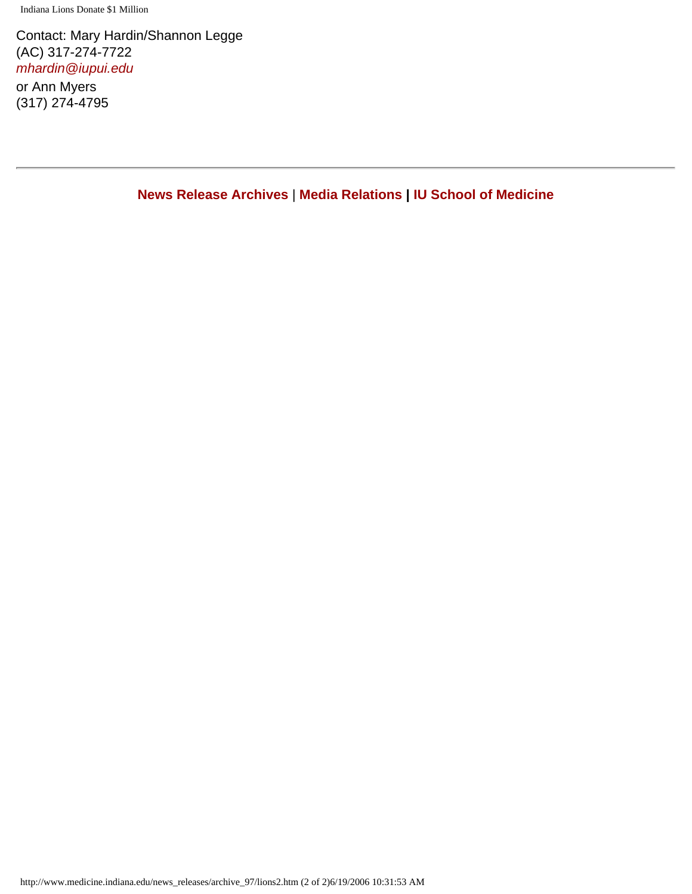Indiana Lions Donate \$1 Million

Contact: Mary Hardin/Shannon Legge (AC) 317-274-7722 *[mhardin@iupui.edu](mailto:mhardin@iupui.edu)*

or Ann Myers (317) 274-4795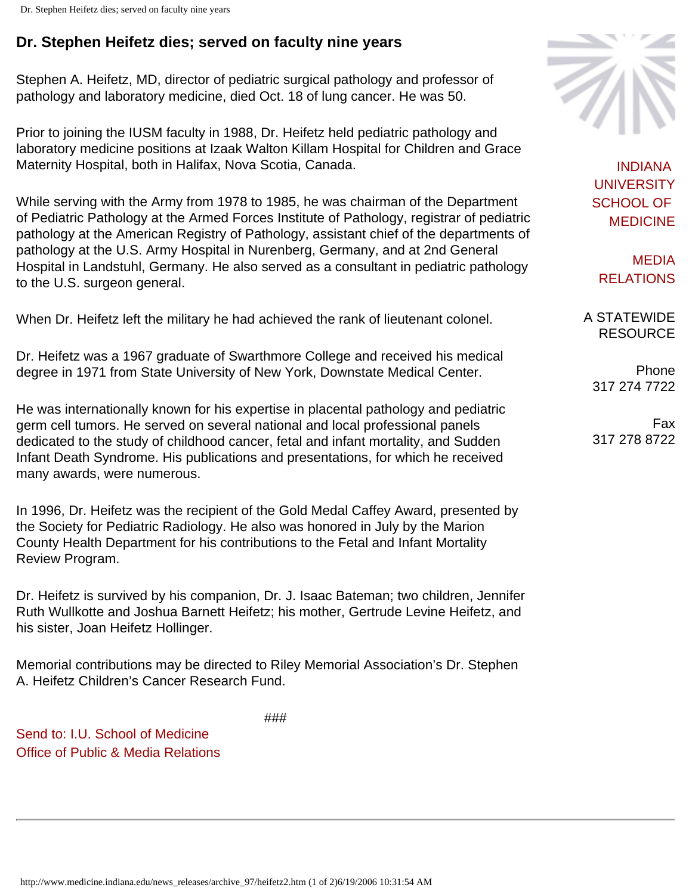## <span id="page-34-0"></span>**Dr. Stephen Heifetz dies; served on faculty nine years**

Stephen A. Heifetz, MD, director of pediatric surgical pathology and professor of pathology and laboratory medicine, died Oct. 18 of lung cancer. He was 50.

Prior to joining the IUSM faculty in 1988, Dr. Heifetz held pediatric pathology and laboratory medicine positions at Izaak Walton Killam Hospital for Children and Grace Maternity Hospital, both in Halifax, Nova Scotia, Canada.

While serving with the Army from 1978 to 1985, he was chairman of the Department of Pediatric Pathology at the Armed Forces Institute of Pathology, registrar of pediatric pathology at the American Registry of Pathology, assistant chief of the departments of pathology at the U.S. Army Hospital in Nurenberg, Germany, and at 2nd General Hospital in Landstuhl, Germany. He also served as a consultant in pediatric pathology to the U.S. surgeon general.

When Dr. Heifetz left the military he had achieved the rank of lieutenant colonel.

Dr. Heifetz was a 1967 graduate of Swarthmore College and received his medical degree in 1971 from State University of New York, Downstate Medical Center.

He was internationally known for his expertise in placental pathology and pediatric germ cell tumors. He served on several national and local professional panels dedicated to the study of childhood cancer, fetal and infant mortality, and Sudden Infant Death Syndrome. His publications and presentations, for which he received many awards, were numerous.

In 1996, Dr. Heifetz was the recipient of the Gold Medal Caffey Award, presented by the Society for Pediatric Radiology. He also was honored in July by the Marion County Health Department for his contributions to the Fetal and Infant Mortality Review Program.

Dr. Heifetz is survived by his companion, Dr. J. Isaac Bateman; two children, Jennifer Ruth Wullkotte and Joshua Barnett Heifetz; his mother, Gertrude Levine Heifetz, and his sister, Joan Heifetz Hollinger.

Memorial contributions may be directed to Riley Memorial Association's Dr. Stephen A. Heifetz Children's Cancer Research Fund.

###

[Send to: I.U. School of Medicine](mailto:mbrunsma@iupui.edu) [Office of Public & Media Relations](mailto:mbrunsma@iupui.edu)



[INDIANA](http://medicine.iu.edu/) [UNIVERSITY](http://medicine.iu.edu/)  [SCHOOL OF](http://medicine.iu.edu/) [MEDICINE](http://medicine.iu.edu/)

[MEDIA](http://www.medicine.indiana.edu/)  [RELATIONS](http://www.medicine.indiana.edu/)

A STATEWIDE RESOURCE

Phone 317 274 7722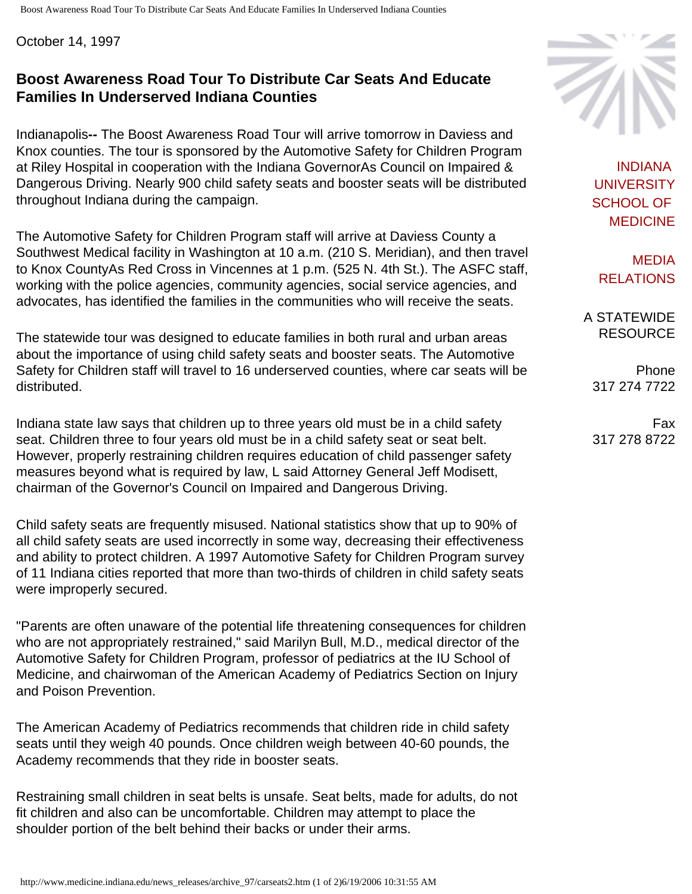Boost Awareness Road Tour To Distribute Car Seats And Educate Families In Underserved Indiana Counties

October 14, 1997

#### **Boost Awareness Road Tour To Distribute Car Seats And Educate Families In Underserved Indiana Counties**

Indianapolis**--** The Boost Awareness Road Tour will arrive tomorrow in Daviess and Knox counties. The tour is sponsored by the Automotive Safety for Children Program at Riley Hospital in cooperation with the Indiana GovernorAs Council on Impaired & Dangerous Driving. Nearly 900 child safety seats and booster seats will be distributed throughout Indiana during the campaign.

The Automotive Safety for Children Program staff will arrive at Daviess County a Southwest Medical facility in Washington at 10 a.m. (210 S. Meridian), and then travel to Knox CountyAs Red Cross in Vincennes at 1 p.m. (525 N. 4th St.). The ASFC staff, working with the police agencies, community agencies, social service agencies, and advocates, has identified the families in the communities who will receive the seats.

The statewide tour was designed to educate families in both rural and urban areas about the importance of using child safety seats and booster seats. The Automotive Safety for Children staff will travel to 16 underserved counties, where car seats will be distributed.

Indiana state law says that children up to three years old must be in a child safety seat. Children three to four years old must be in a child safety seat or seat belt. However, properly restraining children requires education of child passenger safety measures beyond what is required by law, L said Attorney General Jeff Modisett, chairman of the Governor's Council on Impaired and Dangerous Driving.

Child safety seats are frequently misused. National statistics show that up to 90% of all child safety seats are used incorrectly in some way, decreasing their effectiveness and ability to protect children. A 1997 Automotive Safety for Children Program survey of 11 Indiana cities reported that more than two-thirds of children in child safety seats were improperly secured.

"Parents are often unaware of the potential life threatening consequences for children who are not appropriately restrained," said Marilyn Bull, M.D., medical director of the Automotive Safety for Children Program, professor of pediatrics at the IU School of Medicine, and chairwoman of the American Academy of Pediatrics Section on Injury and Poison Prevention.

The American Academy of Pediatrics recommends that children ride in child safety seats until they weigh 40 pounds. Once children weigh between 40-60 pounds, the Academy recommends that they ride in booster seats.

Restraining small children in seat belts is unsafe. Seat belts, made for adults, do not fit children and also can be uncomfortable. Children may attempt to place the shoulder portion of the belt behind their backs or under their arms.



[INDIANA](http://medicine.iu.edu/) [UNIVERSITY](http://medicine.iu.edu/)  [SCHOOL OF](http://medicine.iu.edu/) [MEDICINE](http://medicine.iu.edu/)

[MEDIA](http://www.medicine.indiana.edu/)  [RELATIONS](http://www.medicine.indiana.edu/)

A STATEWIDE RESOURCE

> Phone 317 274 7722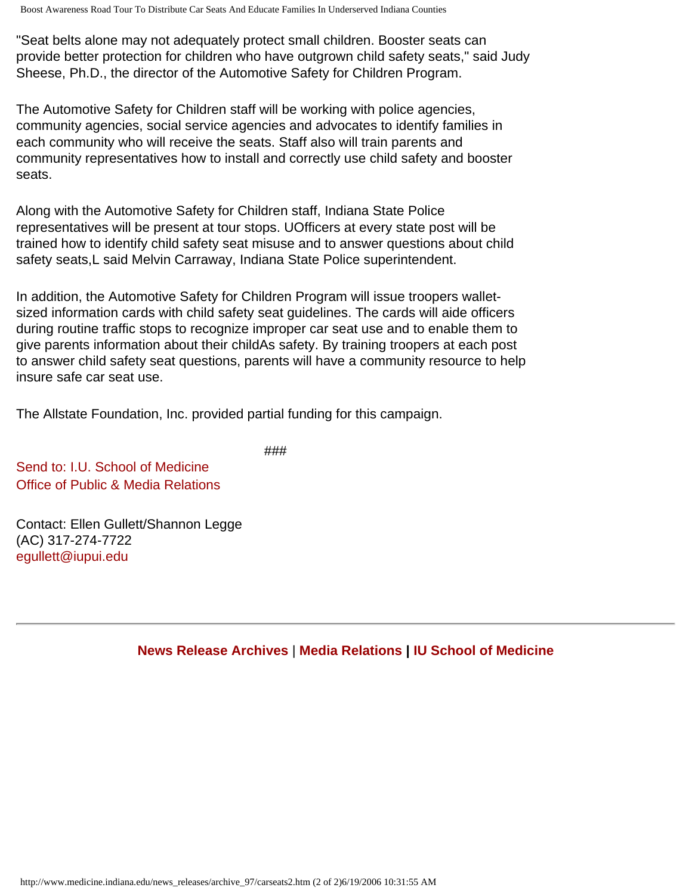Boost Awareness Road Tour To Distribute Car Seats And Educate Families In Underserved Indiana Counties

"Seat belts alone may not adequately protect small children. Booster seats can provide better protection for children who have outgrown child safety seats," said Judy Sheese, Ph.D., the director of the Automotive Safety for Children Program.

The Automotive Safety for Children staff will be working with police agencies, community agencies, social service agencies and advocates to identify families in each community who will receive the seats. Staff also will train parents and community representatives how to install and correctly use child safety and booster seats.

Along with the Automotive Safety for Children staff, Indiana State Police representatives will be present at tour stops. UOfficers at every state post will be trained how to identify child safety seat misuse and to answer questions about child safety seats,L said Melvin Carraway, Indiana State Police superintendent.

In addition, the Automotive Safety for Children Program will issue troopers walletsized information cards with child safety seat guidelines. The cards will aide officers during routine traffic stops to recognize improper car seat use and to enable them to give parents information about their childAs safety. By training troopers at each post to answer child safety seat questions, parents will have a community resource to help insure safe car seat use.

The Allstate Foundation, Inc. provided partial funding for this campaign.

###

[Send to: I.U. School of Medicine](mailto:mbrunsma@iupui.edu) [Office of Public & Media Relations](mailto:mbrunsma@iupui.edu)

Contact: Ellen Gullett/Shannon Legge (AC) 317-274-7722 [egullett@iupui.edu](mailto:mbrunsma@iupui.edu)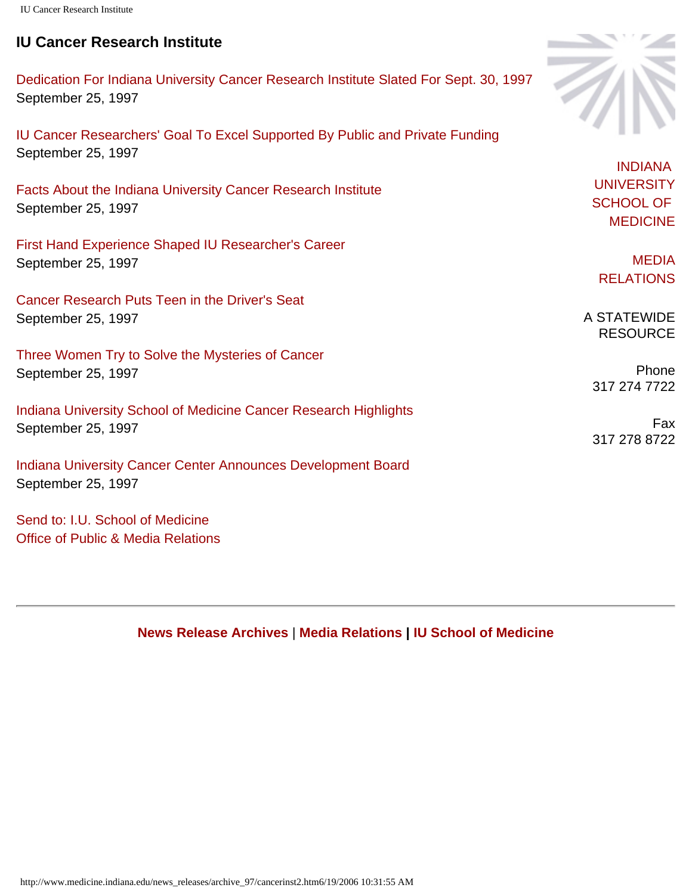#### **IU Cancer Research Institute**

[Dedication For Indiana University Cancer Research Institute Slated For Sept. 30, 1997](http://www.medicine.indiana.edu/news_releases/archive_97/cancerded.htm) September 25, 1997

[IU Cancer Researchers' Goal To Excel Supported By Public and Private Funding](http://www.medicine.indiana.edu/news_releases/archive_97/funding.htm) September 25, 1997

[Facts About the Indiana University Cancer Research Institute](http://www.medicine.indiana.edu/news_releases/archive_97/facts.htm) September 25, 1997

[First Hand Experience Shaped IU Researcher's Career](http://www.medicine.indiana.edu/news_releases/archive_97/maze.html) September 25, 1997

[Cancer Research Puts Teen in the Driver's Seat](http://www.medicine.indiana.edu/news_releases/archive_97/toliver.htm) September 25, 1997

[Three Women Try to Solve the Mysteries of Cancer](http://www.medicine.indiana.edu/news_releases/archive_97/threewomen.htm) September 25, 1997

[Indiana University School of Medicine Cancer Research Highlights](http://www.medicine.indiana.edu/news_releases/archive_97/facts2.htm) September 25, 1997

[Indiana University Cancer Center Announces Development Board](http://www.medicine.indiana.edu/news_releases/archive_97/develp.htm) September 25, 1997

[Send to: I.U. School of Medicine](mailto:mbrunsma@iupui.edu) [Office of Public & Media Relations](mailto:mbrunsma@iupui.edu)

**[News Release Archives](http://www.medicine.indiana.edu/news_releases/nra.html)** | **[Media Relations](http://www.medicine.indiana.edu/) | [IU School of Medicine](http://medicine.iu.edu/)**



[INDIANA](http://medicine.iu.edu/) **UNIVERSITY** [SCHOOL OF](http://medicine.iu.edu/) [MEDICINE](http://medicine.iu.edu/)

[MEDIA](http://www.medicine.indiana.edu/) 

[RELATIONS](http://www.medicine.indiana.edu/)

Phone 317 274 7722

A STATEWIDE RESOURCE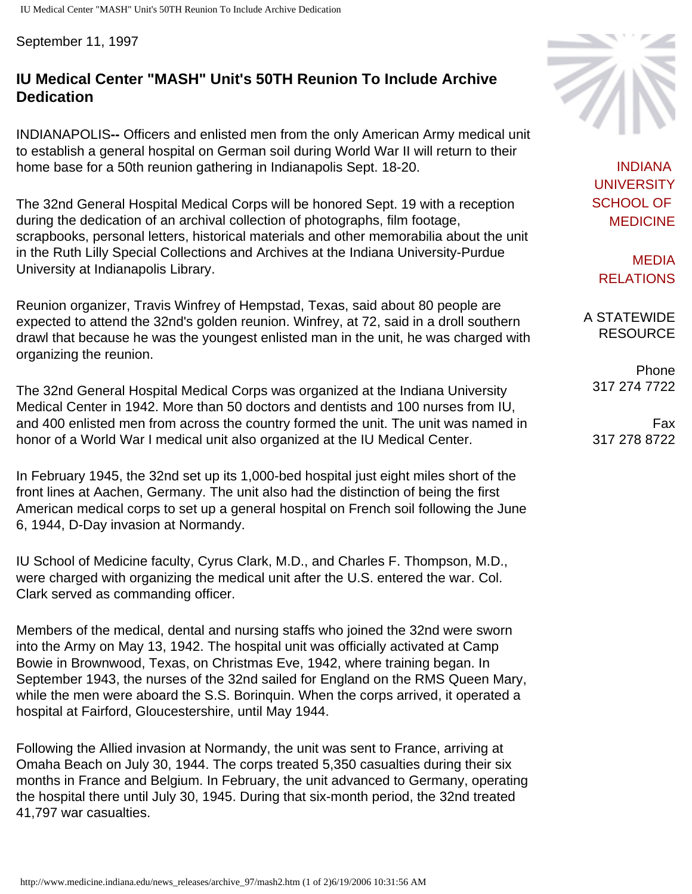IU Medical Center "MASH" Unit's 50TH Reunion To Include Archive Dedication

September 11, 1997

#### **IU Medical Center "MASH" Unit's 50TH Reunion To Include Archive Dedication**

INDIANAPOLIS**--** Officers and enlisted men from the only American Army medical unit to establish a general hospital on German soil during World War II will return to their home base for a 50th reunion gathering in Indianapolis Sept. 18-20.

The 32nd General Hospital Medical Corps will be honored Sept. 19 with a reception during the dedication of an archival collection of photographs, film footage, scrapbooks, personal letters, historical materials and other memorabilia about the unit in the Ruth Lilly Special Collections and Archives at the Indiana University-Purdue University at Indianapolis Library.

Reunion organizer, Travis Winfrey of Hempstad, Texas, said about 80 people are expected to attend the 32nd's golden reunion. Winfrey, at 72, said in a droll southern drawl that because he was the youngest enlisted man in the unit, he was charged with organizing the reunion.

The 32nd General Hospital Medical Corps was organized at the Indiana University Medical Center in 1942. More than 50 doctors and dentists and 100 nurses from IU, and 400 enlisted men from across the country formed the unit. The unit was named in honor of a World War I medical unit also organized at the IU Medical Center.

In February 1945, the 32nd set up its 1,000-bed hospital just eight miles short of the front lines at Aachen, Germany. The unit also had the distinction of being the first American medical corps to set up a general hospital on French soil following the June 6, 1944, D-Day invasion at Normandy.

IU School of Medicine faculty, Cyrus Clark, M.D., and Charles F. Thompson, M.D., were charged with organizing the medical unit after the U.S. entered the war. Col. Clark served as commanding officer.

Members of the medical, dental and nursing staffs who joined the 32nd were sworn into the Army on May 13, 1942. The hospital unit was officially activated at Camp Bowie in Brownwood, Texas, on Christmas Eve, 1942, where training began. In September 1943, the nurses of the 32nd sailed for England on the RMS Queen Mary, while the men were aboard the S.S. Borinquin. When the corps arrived, it operated a hospital at Fairford, Gloucestershire, until May 1944.

Following the Allied invasion at Normandy, the unit was sent to France, arriving at Omaha Beach on July 30, 1944. The corps treated 5,350 casualties during their six months in France and Belgium. In February, the unit advanced to Germany, operating the hospital there until July 30, 1945. During that six-month period, the 32nd treated 41,797 war casualties.



[INDIANA](http://medicine.iu.edu/) [UNIVERSITY](http://medicine.iu.edu/)  [SCHOOL OF](http://medicine.iu.edu/) [MEDICINE](http://medicine.iu.edu/)

[MEDIA](http://www.medicine.indiana.edu/)  [RELATIONS](http://www.medicine.indiana.edu/)

A STATEWIDE RESOURCE

Phone 317 274 7722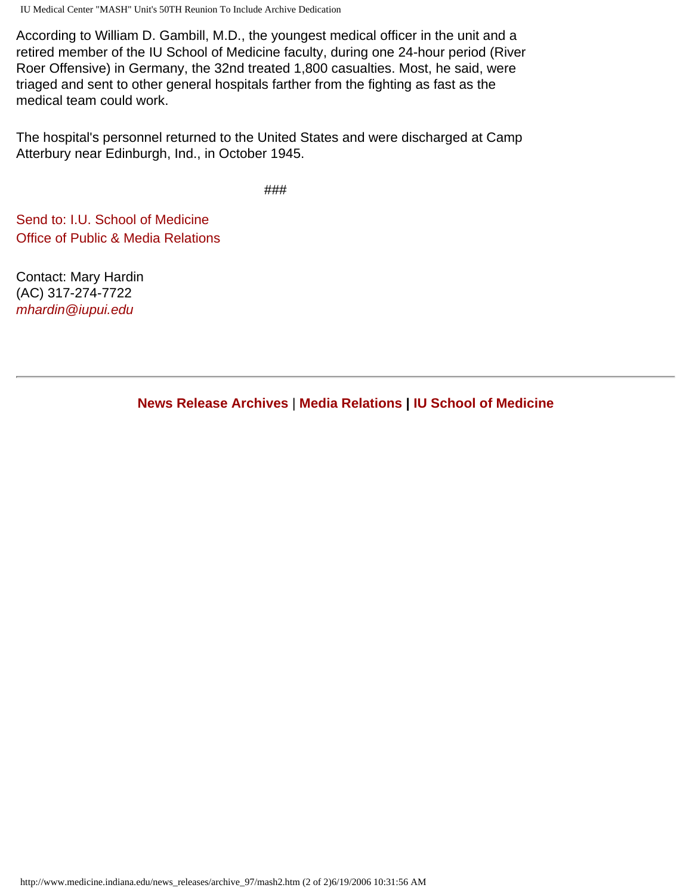IU Medical Center "MASH" Unit's 50TH Reunion To Include Archive Dedication

According to William D. Gambill, M.D., the youngest medical officer in the unit and a retired member of the IU School of Medicine faculty, during one 24-hour period (River Roer Offensive) in Germany, the 32nd treated 1,800 casualties. Most, he said, were triaged and sent to other general hospitals farther from the fighting as fast as the medical team could work.

The hospital's personnel returned to the United States and were discharged at Camp Atterbury near Edinburgh, Ind., in October 1945.

###

[Send to: I.U. School of Medicine](mailto:mbrunsma@iupui.edu) [Office of Public & Media Relations](mailto:mbrunsma@iupui.edu)

Contact: Mary Hardin (AC) 317-274-7722 *[mhardin@iupui.edu](mailto:mhardin@iupui.edu)*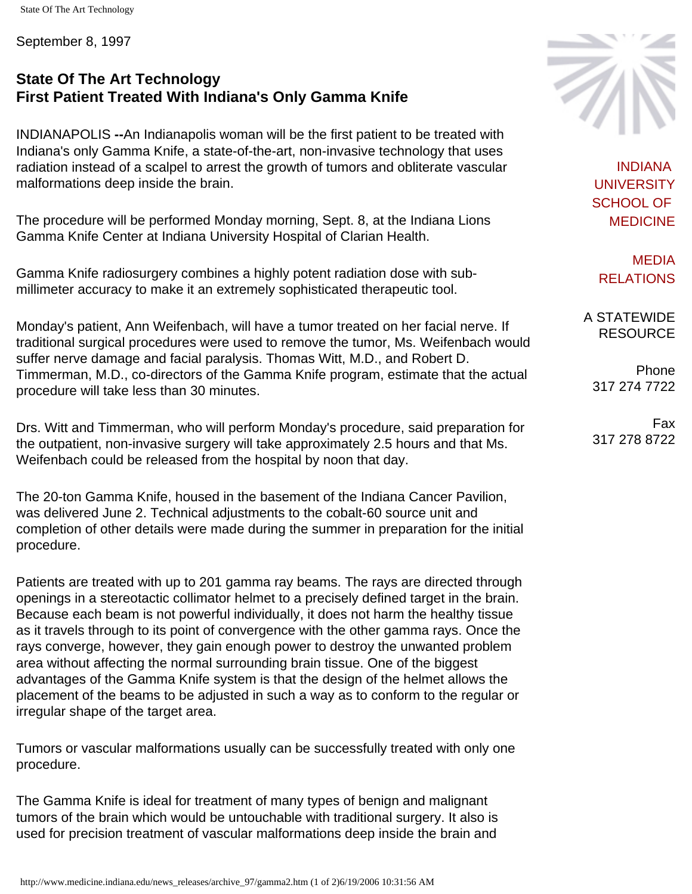State Of The Art Technology

September 8, 1997

## **State Of The Art Technology First Patient Treated With Indiana's Only Gamma Knife**

INDIANAPOLIS **--**An Indianapolis woman will be the first patient to be treated with Indiana's only Gamma Knife, a state-of-the-art, non-invasive technology that uses radiation instead of a scalpel to arrest the growth of tumors and obliterate vascular malformations deep inside the brain.

The procedure will be performed Monday morning, Sept. 8, at the Indiana Lions Gamma Knife Center at Indiana University Hospital of Clarian Health.

Gamma Knife radiosurgery combines a highly potent radiation dose with submillimeter accuracy to make it an extremely sophisticated therapeutic tool.

Monday's patient, Ann Weifenbach, will have a tumor treated on her facial nerve. If traditional surgical procedures were used to remove the tumor, Ms. Weifenbach would suffer nerve damage and facial paralysis. Thomas Witt, M.D., and Robert D. Timmerman, M.D., co-directors of the Gamma Knife program, estimate that the actual procedure will take less than 30 minutes.

Drs. Witt and Timmerman, who will perform Monday's procedure, said preparation for the outpatient, non-invasive surgery will take approximately 2.5 hours and that Ms. Weifenbach could be released from the hospital by noon that day.

The 20-ton Gamma Knife, housed in the basement of the Indiana Cancer Pavilion, was delivered June 2. Technical adjustments to the cobalt-60 source unit and completion of other details were made during the summer in preparation for the initial procedure.

Patients are treated with up to 201 gamma ray beams. The rays are directed through openings in a stereotactic collimator helmet to a precisely defined target in the brain. Because each beam is not powerful individually, it does not harm the healthy tissue as it travels through to its point of convergence with the other gamma rays. Once the rays converge, however, they gain enough power to destroy the unwanted problem area without affecting the normal surrounding brain tissue. One of the biggest advantages of the Gamma Knife system is that the design of the helmet allows the placement of the beams to be adjusted in such a way as to conform to the regular or irregular shape of the target area.

Tumors or vascular malformations usually can be successfully treated with only one procedure.

The Gamma Knife is ideal for treatment of many types of benign and malignant tumors of the brain which would be untouchable with traditional surgery. It also is used for precision treatment of vascular malformations deep inside the brain and



[INDIANA](http://medicine.iu.edu/) [UNIVERSITY](http://medicine.iu.edu/)  [SCHOOL OF](http://medicine.iu.edu/) [MEDICINE](http://medicine.iu.edu/)

[MEDIA](http://www.medicine.indiana.edu/)  [RELATIONS](http://www.medicine.indiana.edu/)

A STATEWIDE RESOURCE

Phone 317 274 7722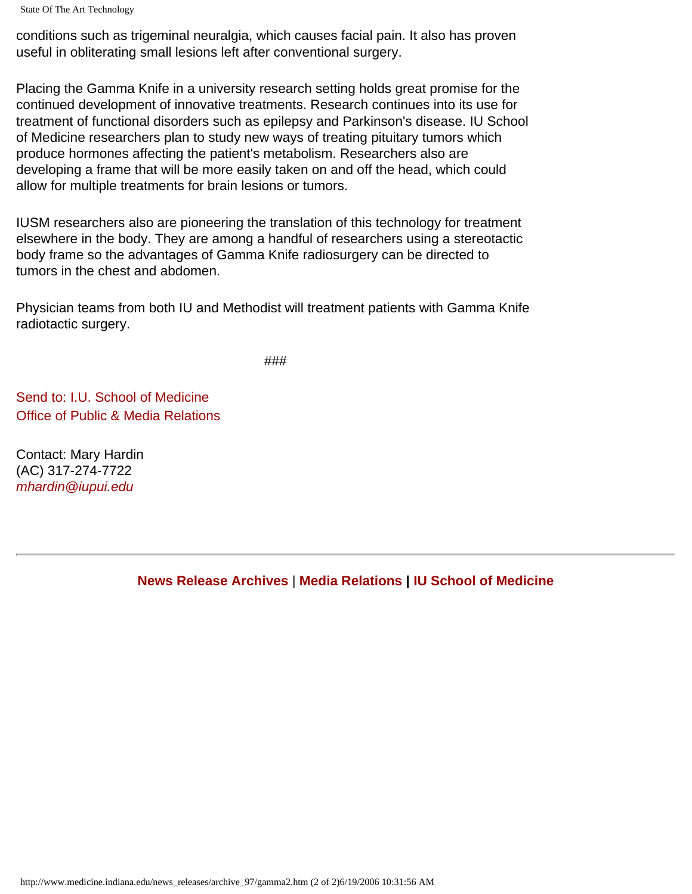State Of The Art Technology

conditions such as trigeminal neuralgia, which causes facial pain. It also has proven useful in obliterating small lesions left after conventional surgery.

Placing the Gamma Knife in a university research setting holds great promise for the continued development of innovative treatments. Research continues into its use for treatment of functional disorders such as epilepsy and Parkinson's disease. IU School of Medicine researchers plan to study new ways of treating pituitary tumors which produce hormones affecting the patient's metabolism. Researchers also are developing a frame that will be more easily taken on and off the head, which could allow for multiple treatments for brain lesions or tumors.

IUSM researchers also are pioneering the translation of this technology for treatment elsewhere in the body. They are among a handful of researchers using a stereotactic body frame so the advantages of Gamma Knife radiosurgery can be directed to tumors in the chest and abdomen.

Physician teams from both IU and Methodist will treatment patients with Gamma Knife radiotactic surgery.

###

[Send to: I.U. School of Medicine](mailto:mbrunsma@iupui.edu) [Office of Public & Media Relations](mailto:mbrunsma@iupui.edu)

Contact: Mary Hardin (AC) 317-274-7722 *[mhardin@iupui.edu](mailto:mhardin@iupui.edu)*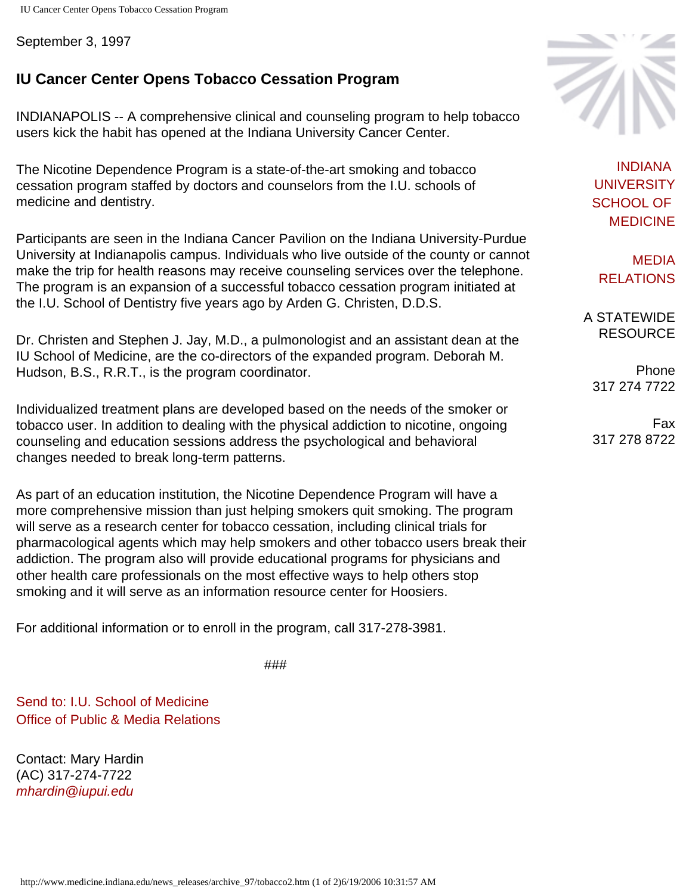IU Cancer Center Opens Tobacco Cessation Program

September 3, 1997

# **IU Cancer Center Opens Tobacco Cessation Program**

INDIANAPOLIS -- A comprehensive clinical and counseling program to help tobacco users kick the habit has opened at the Indiana University Cancer Center.

The Nicotine Dependence Program is a state-of-the-art smoking and tobacco cessation program staffed by doctors and counselors from the I.U. schools of medicine and dentistry.

Participants are seen in the Indiana Cancer Pavilion on the Indiana University-Purdue University at Indianapolis campus. Individuals who live outside of the county or cannot make the trip for health reasons may receive counseling services over the telephone. The program is an expansion of a successful tobacco cessation program initiated at the I.U. School of Dentistry five years ago by Arden G. Christen, D.D.S.

Dr. Christen and Stephen J. Jay, M.D., a pulmonologist and an assistant dean at the IU School of Medicine, are the co-directors of the expanded program. Deborah M. Hudson, B.S., R.R.T., is the program coordinator.

Individualized treatment plans are developed based on the needs of the smoker or tobacco user. In addition to dealing with the physical addiction to nicotine, ongoing counseling and education sessions address the psychological and behavioral changes needed to break long-term patterns.

As part of an education institution, the Nicotine Dependence Program will have a more comprehensive mission than just helping smokers quit smoking. The program will serve as a research center for tobacco cessation, including clinical trials for pharmacological agents which may help smokers and other tobacco users break their addiction. The program also will provide educational programs for physicians and other health care professionals on the most effective ways to help others stop smoking and it will serve as an information resource center for Hoosiers.

For additional information or to enroll in the program, call 317-278-3981.

###

[Send to: I.U. School of Medicine](mailto:mbrunsma@iupui.edu) [Office of Public & Media Relations](mailto:mbrunsma@iupui.edu)

Contact: Mary Hardin (AC) 317-274-7722 *[mhardin@iupui.edu](mailto:mhardin@iupui.edu)*



[INDIANA](http://medicine.iu.edu/) [UNIVERSITY](http://medicine.iu.edu/)  [SCHOOL OF](http://medicine.iu.edu/) [MEDICINE](http://medicine.iu.edu/)

[MEDIA](http://www.medicine.indiana.edu/)  [RELATIONS](http://www.medicine.indiana.edu/)

A STATEWIDE RESOURCE

Phone 317 274 7722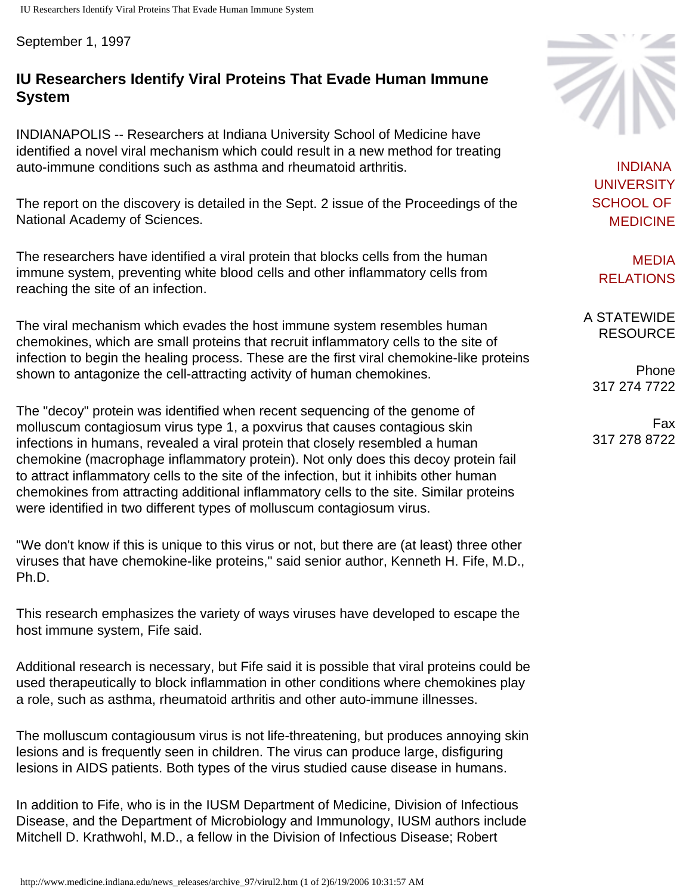IU Researchers Identify Viral Proteins That Evade Human Immune System

September 1, 1997

### **IU Researchers Identify Viral Proteins That Evade Human Immune System**

INDIANAPOLIS -- Researchers at Indiana University School of Medicine have identified a novel viral mechanism which could result in a new method for treating auto-immune conditions such as asthma and rheumatoid arthritis.

The report on the discovery is detailed in the Sept. 2 issue of the Proceedings of the National Academy of Sciences.

The researchers have identified a viral protein that blocks cells from the human immune system, preventing white blood cells and other inflammatory cells from reaching the site of an infection.

The viral mechanism which evades the host immune system resembles human chemokines, which are small proteins that recruit inflammatory cells to the site of infection to begin the healing process. These are the first viral chemokine-like proteins shown to antagonize the cell-attracting activity of human chemokines.

The "decoy" protein was identified when recent sequencing of the genome of molluscum contagiosum virus type 1, a poxvirus that causes contagious skin infections in humans, revealed a viral protein that closely resembled a human chemokine (macrophage inflammatory protein). Not only does this decoy protein fail to attract inflammatory cells to the site of the infection, but it inhibits other human chemokines from attracting additional inflammatory cells to the site. Similar proteins were identified in two different types of molluscum contagiosum virus.

"We don't know if this is unique to this virus or not, but there are (at least) three other viruses that have chemokine-like proteins," said senior author, Kenneth H. Fife, M.D., Ph.D.

This research emphasizes the variety of ways viruses have developed to escape the host immune system, Fife said.

Additional research is necessary, but Fife said it is possible that viral proteins could be used therapeutically to block inflammation in other conditions where chemokines play a role, such as asthma, rheumatoid arthritis and other auto-immune illnesses.

The molluscum contagiousum virus is not life-threatening, but produces annoying skin lesions and is frequently seen in children. The virus can produce large, disfiguring lesions in AIDS patients. Both types of the virus studied cause disease in humans.

In addition to Fife, who is in the IUSM Department of Medicine, Division of Infectious Disease, and the Department of Microbiology and Immunology, IUSM authors include Mitchell D. Krathwohl, M.D., a fellow in the Division of Infectious Disease; Robert



[INDIANA](http://medicine.iu.edu/) [UNIVERSITY](http://medicine.iu.edu/)  [SCHOOL OF](http://medicine.iu.edu/) [MEDICINE](http://medicine.iu.edu/)

[MEDIA](http://www.medicine.indiana.edu/)  [RELATIONS](http://www.medicine.indiana.edu/)

A STATEWIDE RESOURCE

Phone 317 274 7722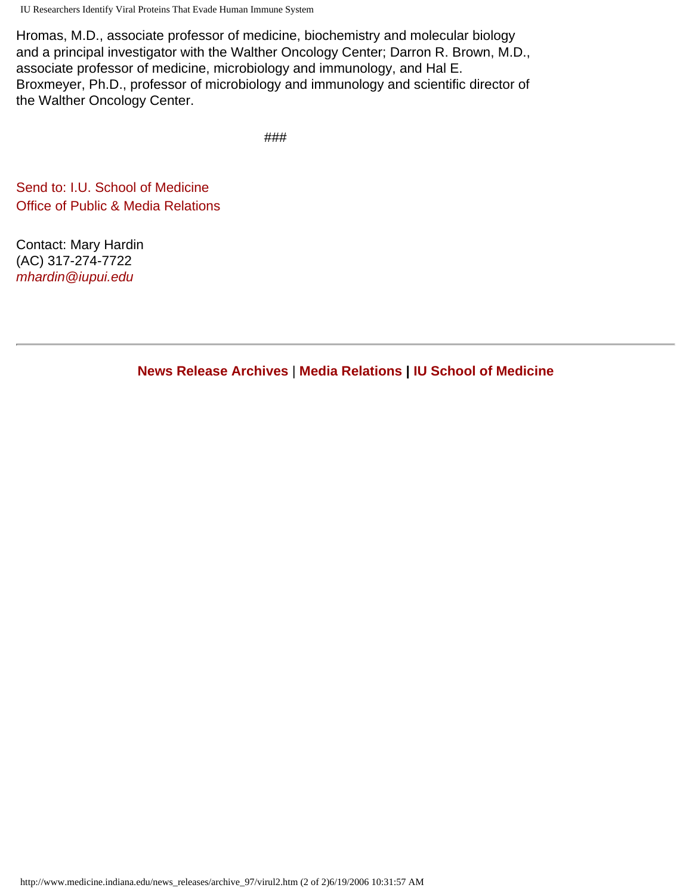IU Researchers Identify Viral Proteins That Evade Human Immune System

Hromas, M.D., associate professor of medicine, biochemistry and molecular biology and a principal investigator with the Walther Oncology Center; Darron R. Brown, M.D., associate professor of medicine, microbiology and immunology, and Hal E. Broxmeyer, Ph.D., professor of microbiology and immunology and scientific director of the Walther Oncology Center.

###

[Send to: I.U. School of Medicine](mailto:mbrunsma@iupui.edu) [Office of Public & Media Relations](mailto:mbrunsma@iupui.edu)

Contact: Mary Hardin (AC) 317-274-7722 *[mhardin@iupui.edu](mailto:mhardin@iupui.edu)*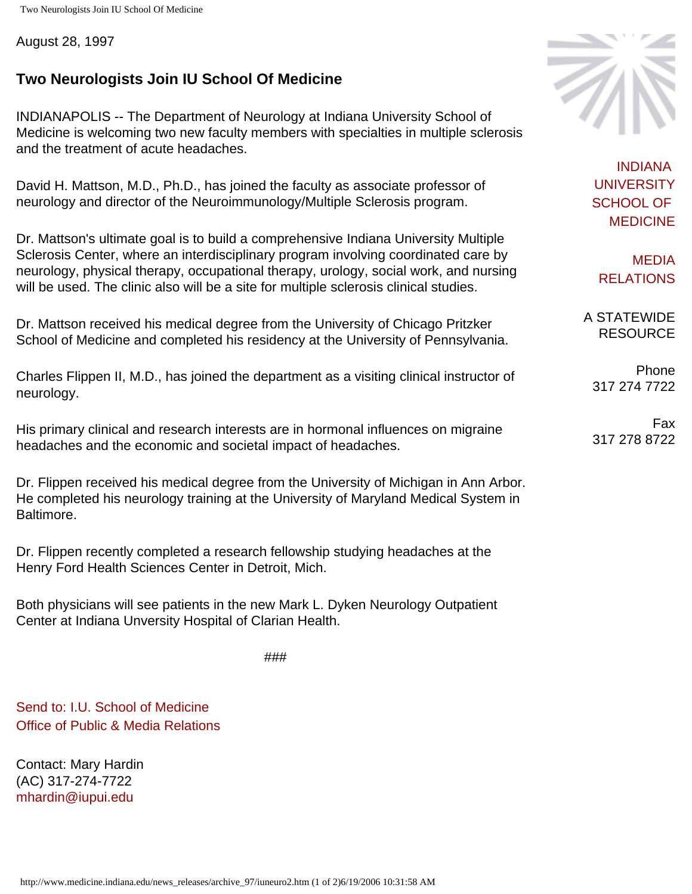August 28, 1997

## **Two Neurologists Join IU School Of Medicine**

INDIANAPOLIS -- The Department of Neurology at Indiana University School of Medicine is welcoming two new faculty members with specialties in multiple sclerosis and the treatment of acute headaches.

David H. Mattson, M.D., Ph.D., has joined the faculty as associate professor of neurology and director of the Neuroimmunology/Multiple Sclerosis program.

Dr. Mattson's ultimate goal is to build a comprehensive Indiana University Multiple Sclerosis Center, where an interdisciplinary program involving coordinated care by neurology, physical therapy, occupational therapy, urology, social work, and nursing will be used. The clinic also will be a site for multiple sclerosis clinical studies.

Dr. Mattson received his medical degree from the University of Chicago Pritzker School of Medicine and completed his residency at the University of Pennsylvania.

Charles Flippen II, M.D., has joined the department as a visiting clinical instructor of neurology.

His primary clinical and research interests are in hormonal influences on migraine headaches and the economic and societal impact of headaches.

Dr. Flippen received his medical degree from the University of Michigan in Ann Arbor. He completed his neurology training at the University of Maryland Medical System in Baltimore.

Dr. Flippen recently completed a research fellowship studying headaches at the Henry Ford Health Sciences Center in Detroit, Mich.

Both physicians will see patients in the new Mark L. Dyken Neurology Outpatient Center at Indiana Unversity Hospital of Clarian Health.

###

[Send to: I.U. School of Medicine](mailto:mbrunsma@iupui.edu) [Office of Public & Media Relations](mailto:mbrunsma@iupui.edu)

Contact: Mary Hardin (AC) 317-274-7722 [mhardin@iupui.edu](mailto:mhardin@iupui.edu)



[INDIANA](http://medicine.iu.edu/) [UNIVERSITY](http://medicine.iu.edu/)  [SCHOOL OF](http://medicine.iu.edu/) [MEDICINE](http://medicine.iu.edu/)

[MEDIA](http://www.medicine.indiana.edu/)  [RELATIONS](http://www.medicine.indiana.edu/)

A STATEWIDE RESOURCE

Phone 317 274 7722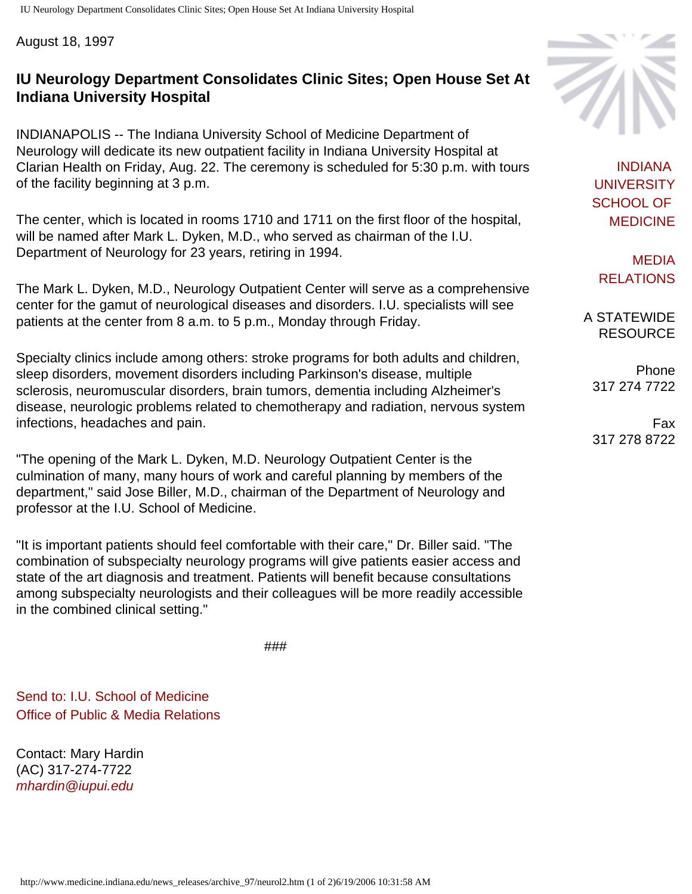IU Neurology Department Consolidates Clinic Sites; Open House Set At Indiana University Hospital

August 18, 1997

#### **IU Neurology Department Consolidates Clinic Sites; Open House Set At Indiana University Hospital**

INDIANAPOLIS -- The Indiana University School of Medicine Department of Neurology will dedicate its new outpatient facility in Indiana University Hospital at Clarian Health on Friday, Aug. 22. The ceremony is scheduled for 5:30 p.m. with tours of the facility beginning at 3 p.m.

The center, which is located in rooms 1710 and 1711 on the first floor of the hospital, will be named after Mark L. Dyken, M.D., who served as chairman of the I.U. Department of Neurology for 23 years, retiring in 1994.

The Mark L. Dyken, M.D., Neurology Outpatient Center will serve as a comprehensive center for the gamut of neurological diseases and disorders. I.U. specialists will see patients at the center from 8 a.m. to 5 p.m., Monday through Friday.

Specialty clinics include among others: stroke programs for both adults and children, sleep disorders, movement disorders including Parkinson's disease, multiple sclerosis, neuromuscular disorders, brain tumors, dementia including Alzheimer's disease, neurologic problems related to chemotherapy and radiation, nervous system infections, headaches and pain.

"The opening of the Mark L. Dyken, M.D. Neurology Outpatient Center is the culmination of many, many hours of work and careful planning by members of the department," said Jose Biller, M.D., chairman of the Department of Neurology and professor at the I.U. School of Medicine.

"It is important patients should feel comfortable with their care," Dr. Biller said. "The combination of subspecialty neurology programs will give patients easier access and state of the art diagnosis and treatment. Patients will benefit because consultations among subspecialty neurologists and their colleagues will be more readily accessible in the combined clinical setting."

###

[Send to: I.U. School of Medicine](mailto:mbrunsma@iupui.edu) [Office of Public & Media Relations](mailto:mbrunsma@iupui.edu)

Contact: Mary Hardin (AC) 317-274-7722 *[mhardin@iupui.edu](mailto:mhardin@iupui.edu)*



[INDIANA](http://medicine.iu.edu/) [UNIVERSITY](http://medicine.iu.edu/)  [SCHOOL OF](http://medicine.iu.edu/) [MEDICINE](http://medicine.iu.edu/)

[MEDIA](http://www.medicine.indiana.edu/)  [RELATIONS](http://www.medicine.indiana.edu/)

A STATEWIDE RESOURCE

> Phone 317 274 7722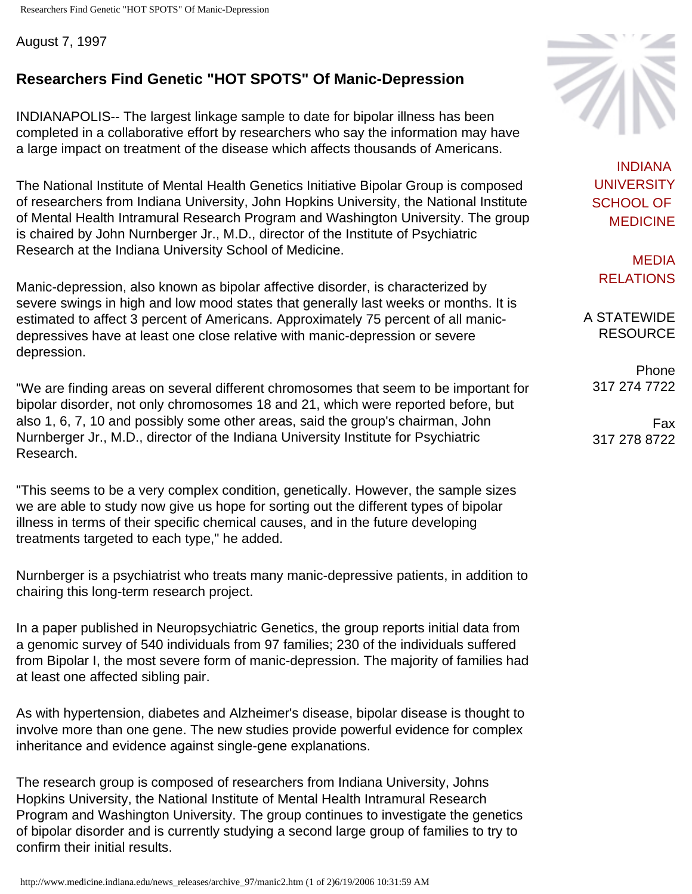Researchers Find Genetic "HOT SPOTS" Of Manic-Depression

August 7, 1997

# **Researchers Find Genetic "HOT SPOTS" Of Manic-Depression**

INDIANAPOLIS-- The largest linkage sample to date for bipolar illness has been completed in a collaborative effort by researchers who say the information may have a large impact on treatment of the disease which affects thousands of Americans.

The National Institute of Mental Health Genetics Initiative Bipolar Group is composed of researchers from Indiana University, John Hopkins University, the National Institute of Mental Health Intramural Research Program and Washington University. The group is chaired by John Nurnberger Jr., M.D., director of the Institute of Psychiatric Research at the Indiana University School of Medicine.

Manic-depression, also known as bipolar affective disorder, is characterized by severe swings in high and low mood states that generally last weeks or months. It is estimated to affect 3 percent of Americans. Approximately 75 percent of all manicdepressives have at least one close relative with manic-depression or severe depression.

"We are finding areas on several different chromosomes that seem to be important for bipolar disorder, not only chromosomes 18 and 21, which were reported before, but also 1, 6, 7, 10 and possibly some other areas, said the group's chairman, John Nurnberger Jr., M.D., director of the Indiana University Institute for Psychiatric Research.

"This seems to be a very complex condition, genetically. However, the sample sizes we are able to study now give us hope for sorting out the different types of bipolar illness in terms of their specific chemical causes, and in the future developing treatments targeted to each type," he added.

Nurnberger is a psychiatrist who treats many manic-depressive patients, in addition to chairing this long-term research project.

In a paper published in Neuropsychiatric Genetics, the group reports initial data from a genomic survey of 540 individuals from 97 families; 230 of the individuals suffered from Bipolar I, the most severe form of manic-depression. The majority of families had at least one affected sibling pair.

As with hypertension, diabetes and Alzheimer's disease, bipolar disease is thought to involve more than one gene. The new studies provide powerful evidence for complex inheritance and evidence against single-gene explanations.

The research group is composed of researchers from Indiana University, Johns Hopkins University, the National Institute of Mental Health Intramural Research Program and Washington University. The group continues to investigate the genetics of bipolar disorder and is currently studying a second large group of families to try to confirm their initial results.



[INDIANA](http://medicine.iu.edu/) [UNIVERSITY](http://medicine.iu.edu/)  [SCHOOL OF](http://medicine.iu.edu/) [MEDICINE](http://medicine.iu.edu/)

[MEDIA](http://www.medicine.indiana.edu/)  [RELATIONS](http://www.medicine.indiana.edu/)

A STATEWIDE RESOURCE

> Phone 317 274 7722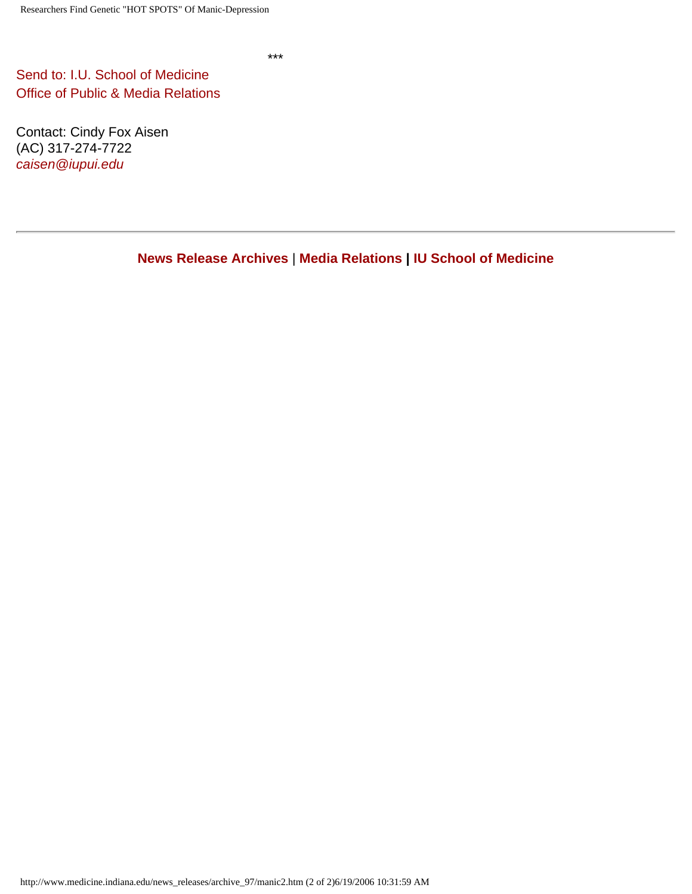\*\*\*

[Send to: I.U. School of Medicine](mailto:mbrunsma@iupui.edu) [Office of Public & Media Relations](mailto:mbrunsma@iupui.edu)

Contact: Cindy Fox Aisen (AC) 317-274-7722 *[caisen@iupui.edu](mailto:caisen@iupui.edu)*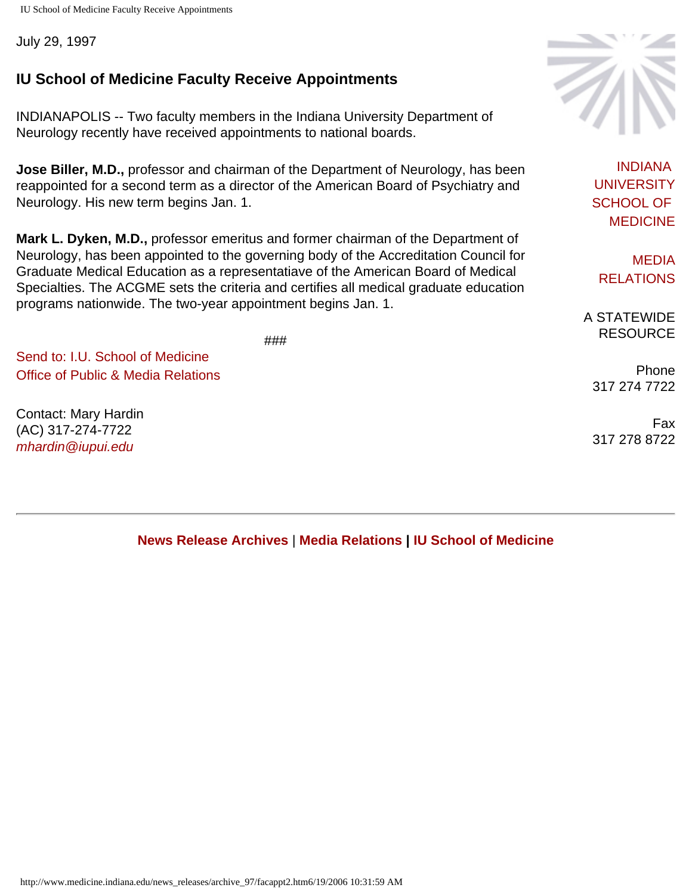IU School of Medicine Faculty Receive Appointments

July 29, 1997

## **IU School of Medicine Faculty Receive Appointments**

INDIANAPOLIS -- Two faculty members in the Indiana University Department of Neurology recently have received appointments to national boards.

**Jose Biller, M.D.,** professor and chairman of the Department of Neurology, has been reappointed for a second term as a director of the American Board of Psychiatry and Neurology. His new term begins Jan. 1.

**Mark L. Dyken, M.D.,** professor emeritus and former chairman of the Department of Neurology, has been appointed to the governing body of the Accreditation Council for Graduate Medical Education as a representatiave of the American Board of Medical Specialties. The ACGME sets the criteria and certifies all medical graduate education programs nationwide. The two-year appointment begins Jan. 1.

###

[Send to: I.U. School of Medicine](mailto:mbrunsma@iupui.edu) [Office of Public & Media Relations](mailto:mbrunsma@iupui.edu)

Contact: Mary Hardin (AC) 317-274-7722 *[mhardin@iupui.edu](mailto:mhardin@iupui.edu)*



[INDIANA](http://medicine.iu.edu/) [UNIVERSITY](http://medicine.iu.edu/)  [SCHOOL OF](http://medicine.iu.edu/) [MEDICINE](http://medicine.iu.edu/)

[MEDIA](http://www.medicine.indiana.edu/)  [RELATIONS](http://www.medicine.indiana.edu/)

A STATEWIDE RESOURCE

Phone 317 274 7722

Fax 317 278 8722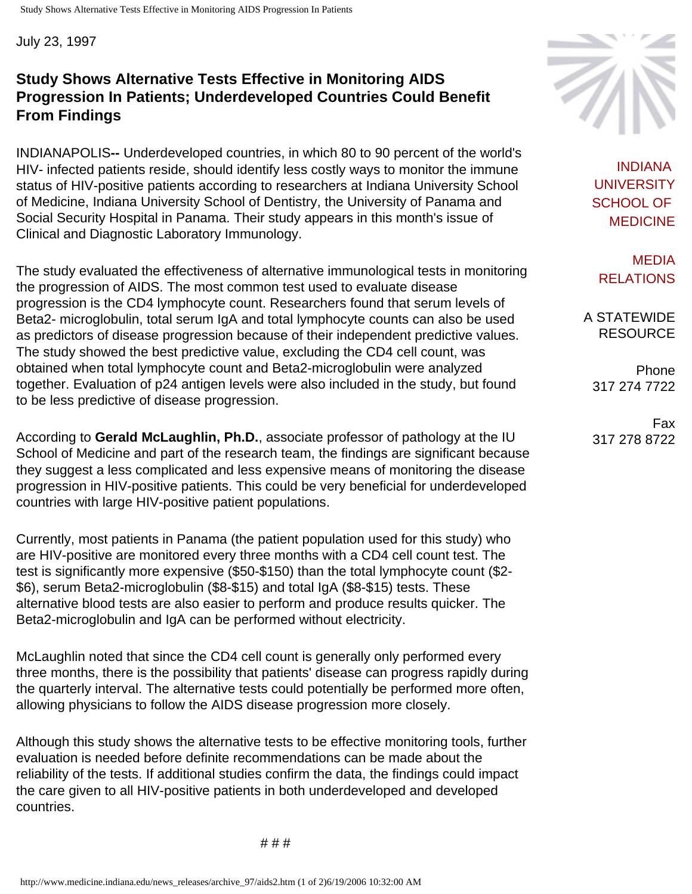July 23, 1997

## **Study Shows Alternative Tests Effective in Monitoring AIDS Progression In Patients; Underdeveloped Countries Could Benefit From Findings**

INDIANAPOLIS**--** Underdeveloped countries, in which 80 to 90 percent of the world's HIV- infected patients reside, should identify less costly ways to monitor the immune status of HIV-positive patients according to researchers at Indiana University School of Medicine, Indiana University School of Dentistry, the University of Panama and Social Security Hospital in Panama. Their study appears in this month's issue of Clinical and Diagnostic Laboratory Immunology.

The study evaluated the effectiveness of alternative immunological tests in monitoring the progression of AIDS. The most common test used to evaluate disease progression is the CD4 lymphocyte count. Researchers found that serum levels of Beta2- microglobulin, total serum IgA and total lymphocyte counts can also be used as predictors of disease progression because of their independent predictive values. The study showed the best predictive value, excluding the CD4 cell count, was obtained when total lymphocyte count and Beta2-microglobulin were analyzed together. Evaluation of p24 antigen levels were also included in the study, but found to be less predictive of disease progression.

According to **Gerald McLaughlin, Ph.D.**, associate professor of pathology at the IU School of Medicine and part of the research team, the findings are significant because they suggest a less complicated and less expensive means of monitoring the disease progression in HIV-positive patients. This could be very beneficial for underdeveloped countries with large HIV-positive patient populations.

Currently, most patients in Panama (the patient population used for this study) who are HIV-positive are monitored every three months with a CD4 cell count test. The test is significantly more expensive (\$50-\$150) than the total lymphocyte count (\$2- \$6), serum Beta2-microglobulin (\$8-\$15) and total IgA (\$8-\$15) tests. These alternative blood tests are also easier to perform and produce results quicker. The Beta2-microglobulin and IgA can be performed without electricity.

McLaughlin noted that since the CD4 cell count is generally only performed every three months, there is the possibility that patients' disease can progress rapidly during the quarterly interval. The alternative tests could potentially be performed more often, allowing physicians to follow the AIDS disease progression more closely.

Although this study shows the alternative tests to be effective monitoring tools, further evaluation is needed before definite recommendations can be made about the reliability of the tests. If additional studies confirm the data, the findings could impact the care given to all HIV-positive patients in both underdeveloped and developed countries.



[INDIANA](http://medicine.iu.edu/) [UNIVERSITY](http://medicine.iu.edu/)  [SCHOOL OF](http://medicine.iu.edu/) [MEDICINE](http://medicine.iu.edu/)

[MEDIA](http://www.medicine.indiana.edu/)  [RELATIONS](http://www.medicine.indiana.edu/)

A STATEWIDE RESOURCE

Phone 317 274 7722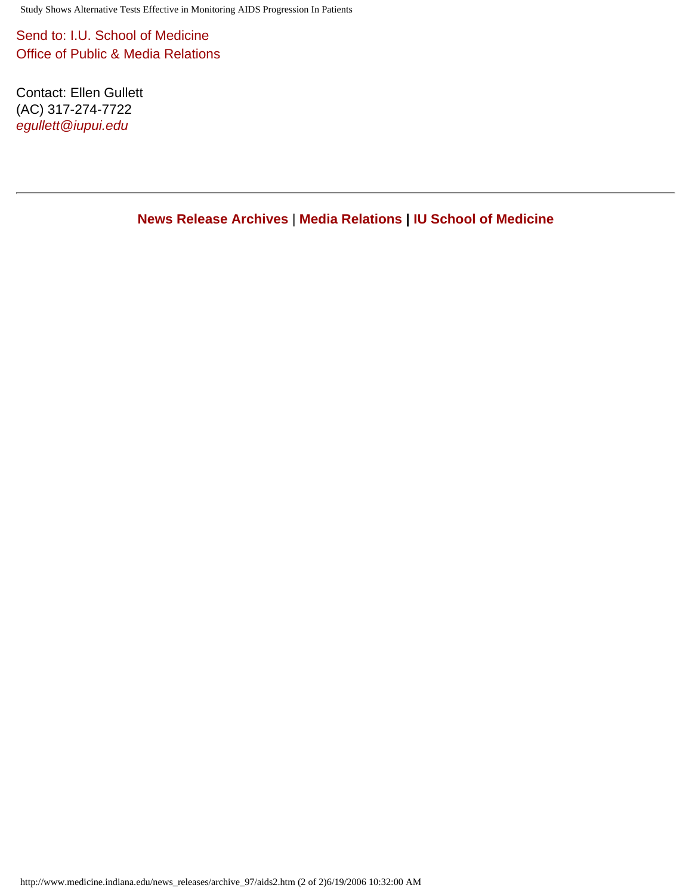[Send to: I.U. School of Medicine](mailto:mbrunsma@iupui.edu) [Office of Public & Media Relations](mailto:mbrunsma@iupui.edu)

Contact: Ellen Gullett (AC) 317-274-7722 *[egullett@iupui.edu](mailto:mbrunsma@iupui.edu)*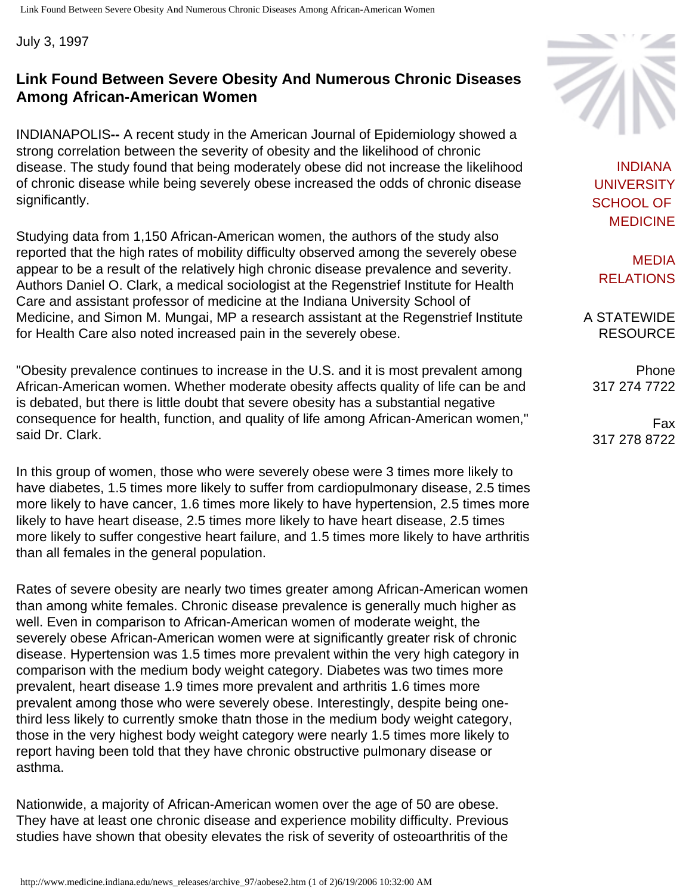Link Found Between Severe Obesity And Numerous Chronic Diseases Among African-American Women

July 3, 1997

## **Link Found Between Severe Obesity And Numerous Chronic Diseases Among African-American Women**

INDIANAPOLIS**--** A recent study in the American Journal of Epidemiology showed a strong correlation between the severity of obesity and the likelihood of chronic disease. The study found that being moderately obese did not increase the likelihood of chronic disease while being severely obese increased the odds of chronic disease significantly.

Studying data from 1,150 African-American women, the authors of the study also reported that the high rates of mobility difficulty observed among the severely obese appear to be a result of the relatively high chronic disease prevalence and severity. Authors Daniel O. Clark, a medical sociologist at the Regenstrief Institute for Health Care and assistant professor of medicine at the Indiana University School of Medicine, and Simon M. Mungai, MP a research assistant at the Regenstrief Institute for Health Care also noted increased pain in the severely obese.

"Obesity prevalence continues to increase in the U.S. and it is most prevalent among African-American women. Whether moderate obesity affects quality of life can be and is debated, but there is little doubt that severe obesity has a substantial negative consequence for health, function, and quality of life among African-American women," said Dr. Clark.

In this group of women, those who were severely obese were 3 times more likely to have diabetes, 1.5 times more likely to suffer from cardiopulmonary disease, 2.5 times more likely to have cancer, 1.6 times more likely to have hypertension, 2.5 times more likely to have heart disease, 2.5 times more likely to have heart disease, 2.5 times more likely to suffer congestive heart failure, and 1.5 times more likely to have arthritis than all females in the general population.

Rates of severe obesity are nearly two times greater among African-American women than among white females. Chronic disease prevalence is generally much higher as well. Even in comparison to African-American women of moderate weight, the severely obese African-American women were at significantly greater risk of chronic disease. Hypertension was 1.5 times more prevalent within the very high category in comparison with the medium body weight category. Diabetes was two times more prevalent, heart disease 1.9 times more prevalent and arthritis 1.6 times more prevalent among those who were severely obese. Interestingly, despite being onethird less likely to currently smoke thatn those in the medium body weight category, those in the very highest body weight category were nearly 1.5 times more likely to report having been told that they have chronic obstructive pulmonary disease or asthma.

Nationwide, a majority of African-American women over the age of 50 are obese. They have at least one chronic disease and experience mobility difficulty. Previous studies have shown that obesity elevates the risk of severity of osteoarthritis of the



[INDIANA](http://medicine.iu.edu/) [UNIVERSITY](http://medicine.iu.edu/)  [SCHOOL OF](http://medicine.iu.edu/) [MEDICINE](http://medicine.iu.edu/)

[MEDIA](http://www.medicine.indiana.edu/)  [RELATIONS](http://www.medicine.indiana.edu/)

A STATEWIDE RESOURCE

> Phone 317 274 7722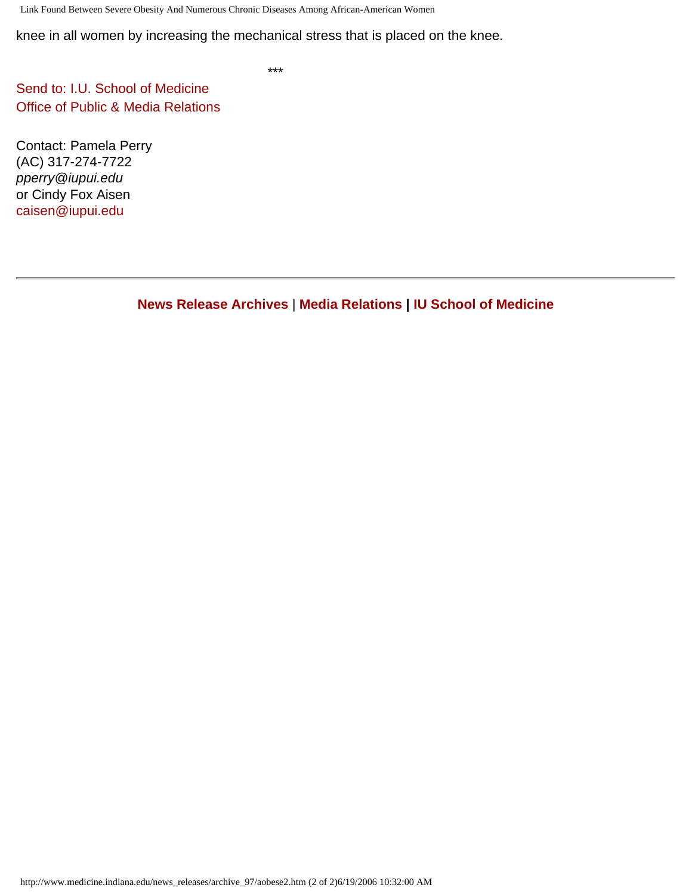Link Found Between Severe Obesity And Numerous Chronic Diseases Among African-American Women

knee in all women by increasing the mechanical stress that is placed on the knee.

\*\*\*

[Send to: I.U. School of Medicine](mailto:mbrunsma@iupui.edu) [Office of Public & Media Relations](mailto:mbrunsma@iupui.edu)

Contact: Pamela Perry (AC) 317-274-7722 *pperry@iupui.edu* or Cindy Fox Aisen [caisen@iupui.edu](mailto:caisen@iupui.edu)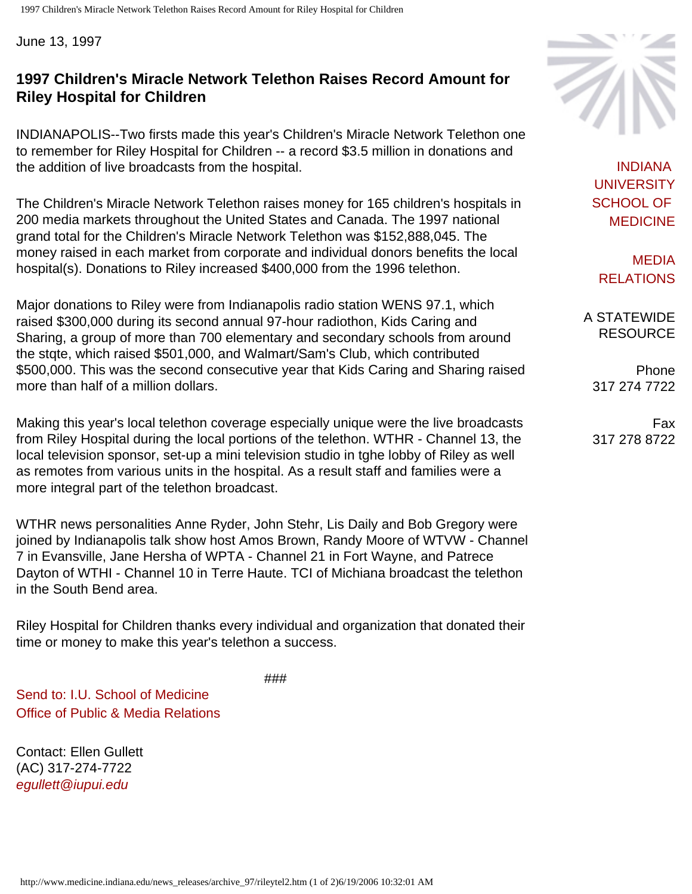June 13, 1997

#### **1997 Children's Miracle Network Telethon Raises Record Amount for Riley Hospital for Children**

INDIANAPOLIS--Two firsts made this year's Children's Miracle Network Telethon one to remember for Riley Hospital for Children -- a record \$3.5 million in donations and the addition of live broadcasts from the hospital.

The Children's Miracle Network Telethon raises money for 165 children's hospitals in 200 media markets throughout the United States and Canada. The 1997 national grand total for the Children's Miracle Network Telethon was \$152,888,045. The money raised in each market from corporate and individual donors benefits the local hospital(s). Donations to Riley increased \$400,000 from the 1996 telethon.

Major donations to Riley were from Indianapolis radio station WENS 97.1, which raised \$300,000 during its second annual 97-hour radiothon, Kids Caring and Sharing, a group of more than 700 elementary and secondary schools from around the stqte, which raised \$501,000, and Walmart/Sam's Club, which contributed \$500,000. This was the second consecutive year that Kids Caring and Sharing raised more than half of a million dollars.

Making this year's local telethon coverage especially unique were the live broadcasts from Riley Hospital during the local portions of the telethon. WTHR - Channel 13, the local television sponsor, set-up a mini television studio in tghe lobby of Riley as well as remotes from various units in the hospital. As a result staff and families were a more integral part of the telethon broadcast.

WTHR news personalities Anne Ryder, John Stehr, Lis Daily and Bob Gregory were joined by Indianapolis talk show host Amos Brown, Randy Moore of WTVW - Channel 7 in Evansville, Jane Hersha of WPTA - Channel 21 in Fort Wayne, and Patrece Dayton of WTHI - Channel 10 in Terre Haute. TCI of Michiana broadcast the telethon in the South Bend area.

Riley Hospital for Children thanks every individual and organization that donated their time or money to make this year's telethon a success.

###

[Send to: I.U. School of Medicine](mailto:mbrunsma@iupui.edu) [Office of Public & Media Relations](mailto:mbrunsma@iupui.edu)

Contact: Ellen Gullett (AC) 317-274-7722 *[egullett@iupui.edu](mailto:mbrunsma@iupui.edu)*



[INDIANA](http://medicine.iu.edu/) [UNIVERSITY](http://medicine.iu.edu/)  [SCHOOL OF](http://medicine.iu.edu/) [MEDICINE](http://medicine.iu.edu/)

[MEDIA](http://www.medicine.indiana.edu/)  [RELATIONS](http://www.medicine.indiana.edu/)

A STATEWIDE RESOURCE

Phone 317 274 7722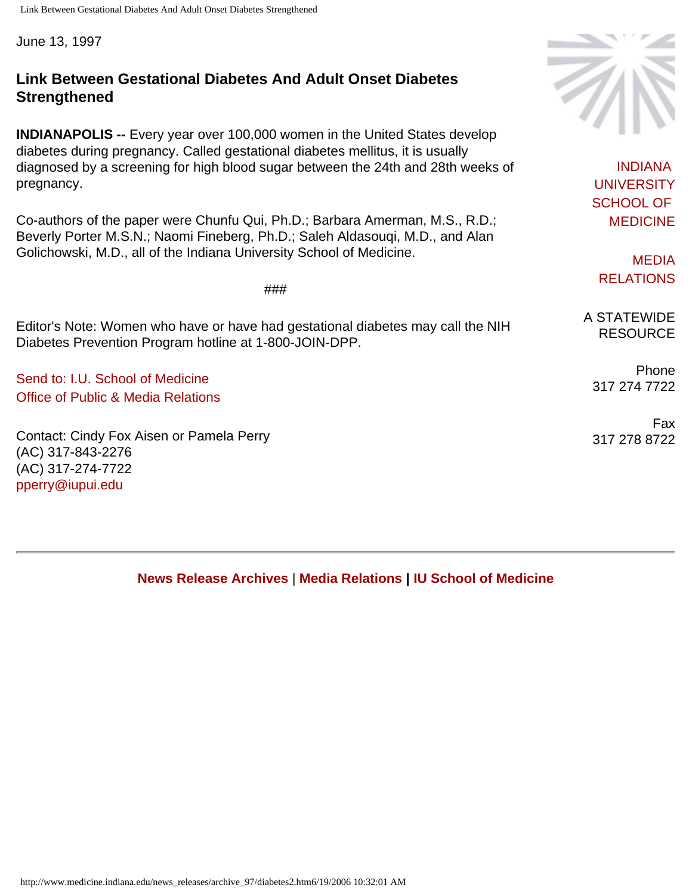Link Between Gestational Diabetes And Adult Onset Diabetes Strengthened

June 13, 1997

#### **Link Between Gestational Diabetes And Adult Onset Diabetes Strengthened**

**INDIANAPOLIS --** Every year over 100,000 women in the United States develop diabetes during pregnancy. Called gestational diabetes mellitus, it is usually diagnosed by a screening for high blood sugar between the 24th and 28th weeks of pregnancy.

Co-authors of the paper were Chunfu Qui, Ph.D.; Barbara Amerman, M.S., R.D.; Beverly Porter M.S.N.; Naomi Fineberg, Ph.D.; Saleh Aldasouqi, M.D., and Alan Golichowski, M.D., all of the Indiana University School of Medicine.

###

Editor's Note: Women who have or have had gestational diabetes may call the NIH Diabetes Prevention Program hotline at 1-800-JOIN-DPP.

[Send to: I.U. School of Medicine](mailto:mbrunsma@iupui.edu) [Office of Public & Media Relations](mailto:mbrunsma@iupui.edu)

Contact: Cindy Fox Aisen or Pamela Perry (AC) 317-843-2276 (AC) 317-274-7722 [pperry@iupui.edu](mailto:pperry@iupui.edu)

[INDIANA](http://medicine.iu.edu/) [UNIVERSITY](http://medicine.iu.edu/)  [SCHOOL OF](http://medicine.iu.edu/) [MEDICINE](http://medicine.iu.edu/)

[MEDIA](http://www.medicine.indiana.edu/)  [RELATIONS](http://www.medicine.indiana.edu/)

A STATEWIDE RESOURCE

Phone 317 274 7722

Fax 317 278 8722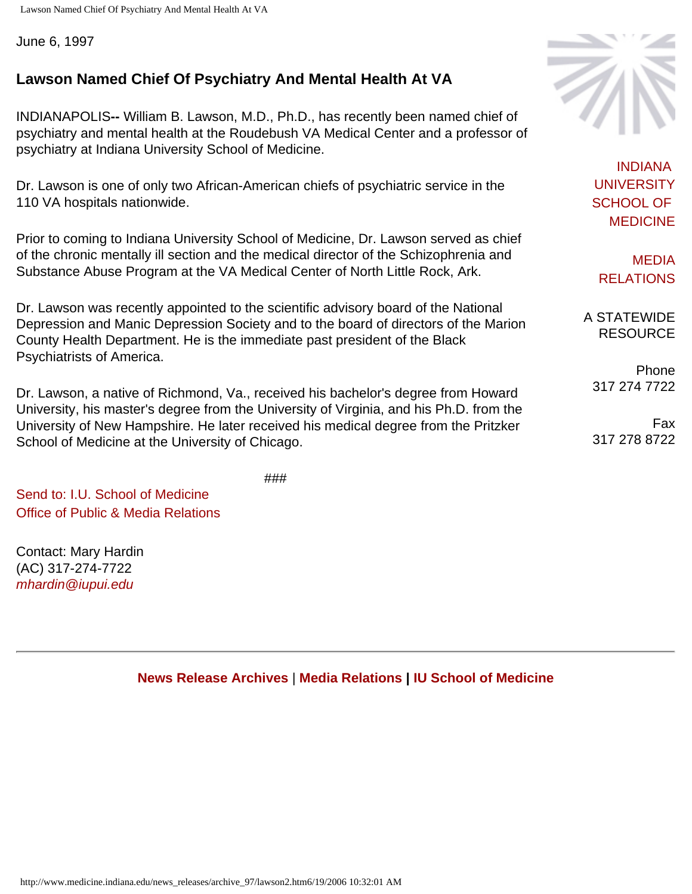Lawson Named Chief Of Psychiatry And Mental Health At VA

June 6, 1997

## **Lawson Named Chief Of Psychiatry And Mental Health At VA**

INDIANAPOLIS**--** William B. Lawson, M.D., Ph.D., has recently been named chief of psychiatry and mental health at the Roudebush VA Medical Center and a professor of psychiatry at Indiana University School of Medicine.

Dr. Lawson is one of only two African-American chiefs of psychiatric service in the 110 VA hospitals nationwide.

Prior to coming to Indiana University School of Medicine, Dr. Lawson served as chief of the chronic mentally ill section and the medical director of the Schizophrenia and Substance Abuse Program at the VA Medical Center of North Little Rock, Ark.

Dr. Lawson was recently appointed to the scientific advisory board of the National Depression and Manic Depression Society and to the board of directors of the Marion County Health Department. He is the immediate past president of the Black Psychiatrists of America.

Dr. Lawson, a native of Richmond, Va., received his bachelor's degree from Howard University, his master's degree from the University of Virginia, and his Ph.D. from the University of New Hampshire. He later received his medical degree from the Pritzker School of Medicine at the University of Chicago.

###

[Send to: I.U. School of Medicine](mailto:mbrunsma@iupui.edu) [Office of Public & Media Relations](mailto:mbrunsma@iupui.edu)

Contact: Mary Hardin (AC) 317-274-7722 *[mhardin@iupui.edu](mailto:mhardin@iupui.edu)*

**[News Release Archives](http://www.medicine.indiana.edu/news_releases/nra.html)** | **[Media Relations](http://www.medicine.indiana.edu/) | [IU School of Medicine](http://medicine.iu.edu/)**



[INDIANA](http://medicine.iu.edu/) [UNIVERSITY](http://medicine.iu.edu/)  [SCHOOL OF](http://medicine.iu.edu/) [MEDICINE](http://medicine.iu.edu/)

[MEDIA](http://www.medicine.indiana.edu/)  [RELATIONS](http://www.medicine.indiana.edu/)

A STATEWIDE RESOURCE

Phone 317 274 7722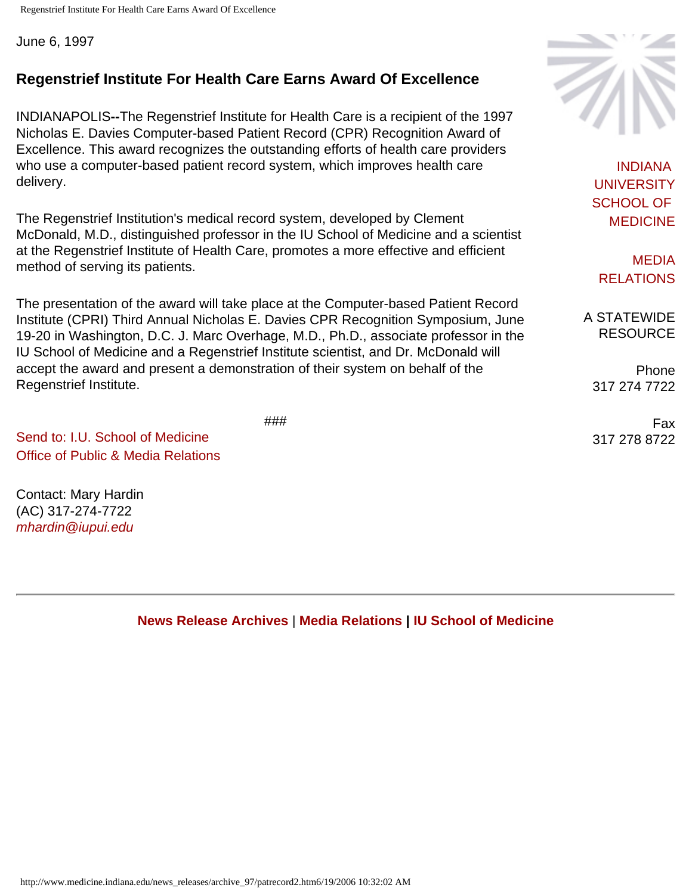Regenstrief Institute For Health Care Earns Award Of Excellence

June 6, 1997

## **Regenstrief Institute For Health Care Earns Award Of Excellence**

INDIANAPOLIS**--**The Regenstrief Institute for Health Care is a recipient of the 1997 Nicholas E. Davies Computer-based Patient Record (CPR) Recognition Award of Excellence. This award recognizes the outstanding efforts of health care providers who use a computer-based patient record system, which improves health care delivery.

The Regenstrief Institution's medical record system, developed by Clement McDonald, M.D., distinguished professor in the IU School of Medicine and a scientist at the Regenstrief Institute of Health Care, promotes a more effective and efficient method of serving its patients.

The presentation of the award will take place at the Computer-based Patient Record Institute (CPRI) Third Annual Nicholas E. Davies CPR Recognition Symposium, June 19-20 in Washington, D.C. J. Marc Overhage, M.D., Ph.D., associate professor in the IU School of Medicine and a Regenstrief Institute scientist, and Dr. McDonald will accept the award and present a demonstration of their system on behalf of the Regenstrief Institute.

###

[Send to: I.U. School of Medicine](mailto:mbrunsma@iupui.edu) [Office of Public & Media Relations](mailto:mbrunsma@iupui.edu)

Contact: Mary Hardin (AC) 317-274-7722 *[mhardin@iupui.edu](mailto:mhardin@iupui.edu)*

**[News Release Archives](http://www.medicine.indiana.edu/news_releases/nra.html)** | **[Media Relations](http://www.medicine.indiana.edu/) | [IU School of Medicine](http://medicine.iu.edu/)**



[INDIANA](http://medicine.iu.edu/) [UNIVERSITY](http://medicine.iu.edu/)  [SCHOOL OF](http://medicine.iu.edu/) [MEDICINE](http://medicine.iu.edu/)

[MEDIA](http://www.medicine.indiana.edu/)  [RELATIONS](http://www.medicine.indiana.edu/)

A STATEWIDE RESOURCE

Phone 317 274 7722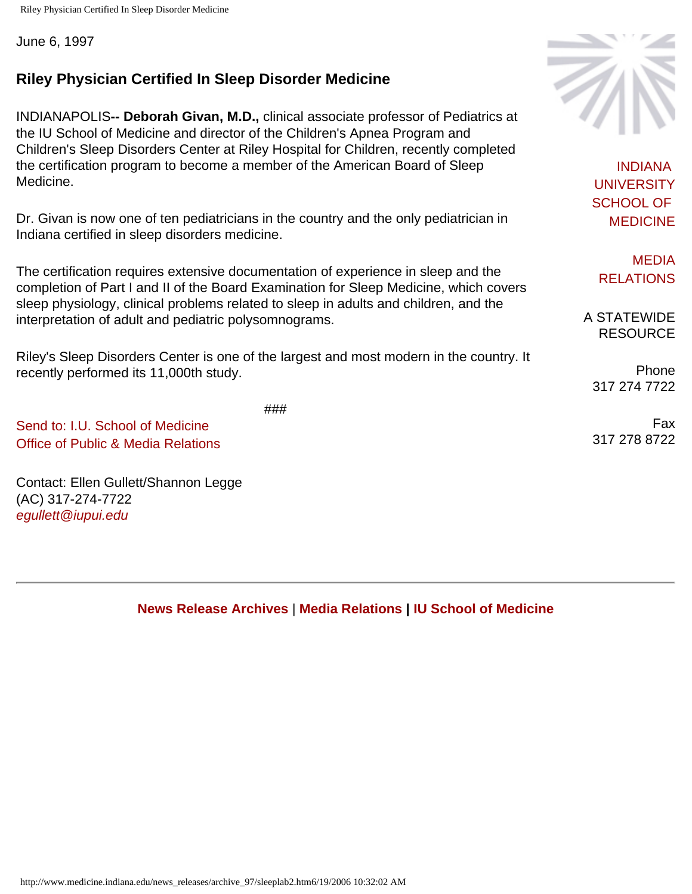Riley Physician Certified In Sleep Disorder Medicine

June 6, 1997

## **Riley Physician Certified In Sleep Disorder Medicine**

INDIANAPOLIS**-- Deborah Givan, M.D.,** clinical associate professor of Pediatrics at the IU School of Medicine and director of the Children's Apnea Program and Children's Sleep Disorders Center at Riley Hospital for Children, recently completed the certification program to become a member of the American Board of Sleep Medicine.

Dr. Givan is now one of ten pediatricians in the country and the only pediatrician in Indiana certified in sleep disorders medicine.

The certification requires extensive documentation of experience in sleep and the completion of Part I and II of the Board Examination for Sleep Medicine, which covers sleep physiology, clinical problems related to sleep in adults and children, and the interpretation of adult and pediatric polysomnograms.

Riley's Sleep Disorders Center is one of the largest and most modern in the country. It recently performed its 11,000th study.

###

[Send to: I.U. School of Medicine](mailto:mbrunsma@iupui.edu) [Office of Public & Media Relations](mailto:mbrunsma@iupui.edu)

Contact: Ellen Gullett/Shannon Legge (AC) 317-274-7722 *[egullett@iupui.edu](mailto:mbrunsma@iupui.edu)*

**[News Release Archives](http://www.medicine.indiana.edu/news_releases/nra.html)** | **[Media Relations](http://www.medicine.indiana.edu/) | [IU School of Medicine](http://medicine.iu.edu/)**



[INDIANA](http://medicine.iu.edu/) [UNIVERSITY](http://medicine.iu.edu/)  [SCHOOL OF](http://medicine.iu.edu/) [MEDICINE](http://medicine.iu.edu/)

[MEDIA](http://www.medicine.indiana.edu/)  [RELATIONS](http://www.medicine.indiana.edu/)

A STATEWIDE RESOURCE

Phone 317 274 7722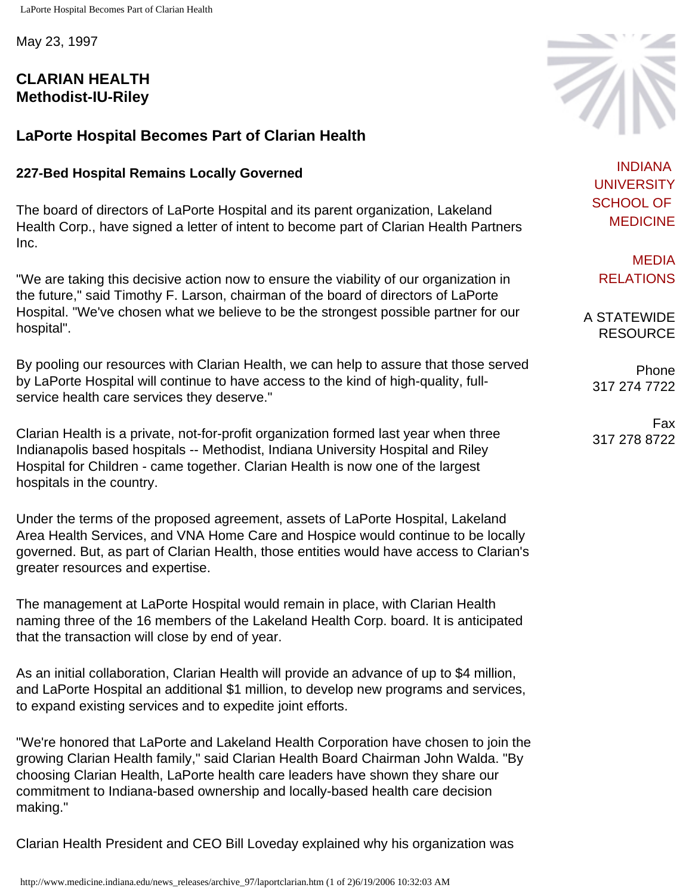May 23, 1997

#### **CLARIAN HEALTH Methodist-IU-Riley**

## **LaPorte Hospital Becomes Part of Clarian Health**

#### **227-Bed Hospital Remains Locally Governed**

The board of directors of LaPorte Hospital and its parent organization, Lakeland Health Corp., have signed a letter of intent to become part of Clarian Health Partners Inc.

"We are taking this decisive action now to ensure the viability of our organization in the future," said Timothy F. Larson, chairman of the board of directors of LaPorte Hospital. "We've chosen what we believe to be the strongest possible partner for our hospital".

By pooling our resources with Clarian Health, we can help to assure that those served by LaPorte Hospital will continue to have access to the kind of high-quality, fullservice health care services they deserve."

Clarian Health is a private, not-for-profit organization formed last year when three Indianapolis based hospitals -- Methodist, Indiana University Hospital and Riley Hospital for Children - came together. Clarian Health is now one of the largest hospitals in the country.

Under the terms of the proposed agreement, assets of LaPorte Hospital, Lakeland Area Health Services, and VNA Home Care and Hospice would continue to be locally governed. But, as part of Clarian Health, those entities would have access to Clarian's greater resources and expertise.

The management at LaPorte Hospital would remain in place, with Clarian Health naming three of the 16 members of the Lakeland Health Corp. board. It is anticipated that the transaction will close by end of year.

As an initial collaboration, Clarian Health will provide an advance of up to \$4 million, and LaPorte Hospital an additional \$1 million, to develop new programs and services, to expand existing services and to expedite joint efforts.

"We're honored that LaPorte and Lakeland Health Corporation have chosen to join the growing Clarian Health family," said Clarian Health Board Chairman John Walda. "By choosing Clarian Health, LaPorte health care leaders have shown they share our commitment to Indiana-based ownership and locally-based health care decision making."

Clarian Health President and CEO Bill Loveday explained why his organization was



[INDIANA](http://medicine.iu.edu/) [UNIVERSITY](http://medicine.iu.edu/)  [SCHOOL OF](http://medicine.iu.edu/) [MEDICINE](http://medicine.iu.edu/)

[MEDIA](http://www.medicine.indiana.edu/)  [RELATIONS](http://www.medicine.indiana.edu/)

A STATEWIDE RESOURCE

Phone 317 274 7722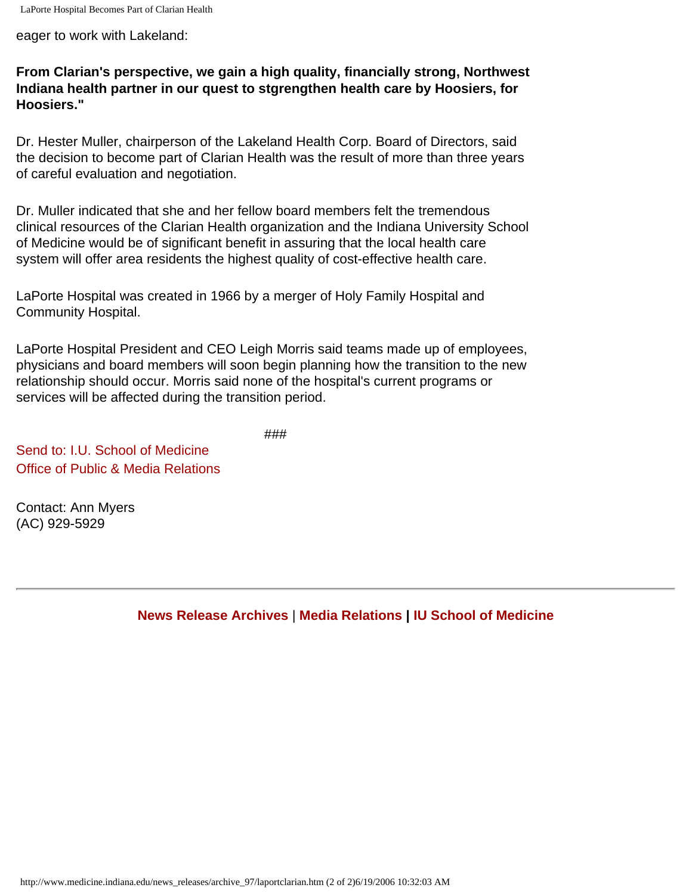LaPorte Hospital Becomes Part of Clarian Health

eager to work with Lakeland:

**From Clarian's perspective, we gain a high quality, financially strong, Northwest Indiana health partner in our quest to stgrengthen health care by Hoosiers, for Hoosiers."** 

Dr. Hester Muller, chairperson of the Lakeland Health Corp. Board of Directors, said the decision to become part of Clarian Health was the result of more than three years of careful evaluation and negotiation.

Dr. Muller indicated that she and her fellow board members felt the tremendous clinical resources of the Clarian Health organization and the Indiana University School of Medicine would be of significant benefit in assuring that the local health care system will offer area residents the highest quality of cost-effective health care.

LaPorte Hospital was created in 1966 by a merger of Holy Family Hospital and Community Hospital.

LaPorte Hospital President and CEO Leigh Morris said teams made up of employees, physicians and board members will soon begin planning how the transition to the new relationship should occur. Morris said none of the hospital's current programs or services will be affected during the transition period.

###

[Send to: I.U. School of Medicine](mailto:mbrunsma@iupui.edu) [Office of Public & Media Relations](mailto:mbrunsma@iupui.edu)

Contact: Ann Myers (AC) 929-5929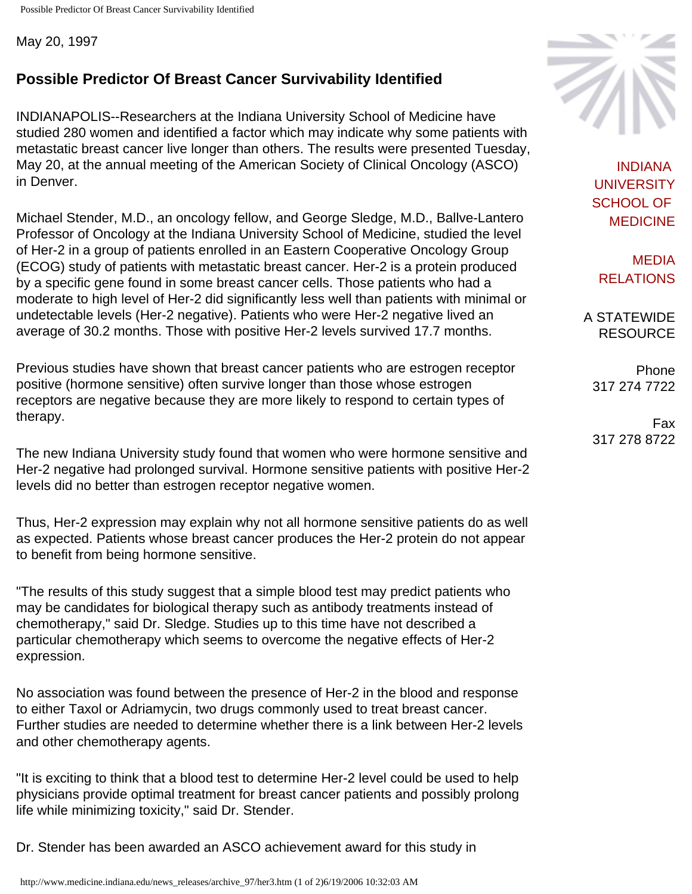May 20, 1997

## **Possible Predictor Of Breast Cancer Survivability Identified**

INDIANAPOLIS--Researchers at the Indiana University School of Medicine have studied 280 women and identified a factor which may indicate why some patients with metastatic breast cancer live longer than others. The results were presented Tuesday, May 20, at the annual meeting of the American Society of Clinical Oncology (ASCO) in Denver.

Michael Stender, M.D., an oncology fellow, and George Sledge, M.D., Ballve-Lantero Professor of Oncology at the Indiana University School of Medicine, studied the level of Her-2 in a group of patients enrolled in an Eastern Cooperative Oncology Group (ECOG) study of patients with metastatic breast cancer. Her-2 is a protein produced by a specific gene found in some breast cancer cells. Those patients who had a moderate to high level of Her-2 did significantly less well than patients with minimal or undetectable levels (Her-2 negative). Patients who were Her-2 negative lived an average of 30.2 months. Those with positive Her-2 levels survived 17.7 months.

Previous studies have shown that breast cancer patients who are estrogen receptor positive (hormone sensitive) often survive longer than those whose estrogen receptors are negative because they are more likely to respond to certain types of therapy.

The new Indiana University study found that women who were hormone sensitive and Her-2 negative had prolonged survival. Hormone sensitive patients with positive Her-2 levels did no better than estrogen receptor negative women.

Thus, Her-2 expression may explain why not all hormone sensitive patients do as well as expected. Patients whose breast cancer produces the Her-2 protein do not appear to benefit from being hormone sensitive.

"The results of this study suggest that a simple blood test may predict patients who may be candidates for biological therapy such as antibody treatments instead of chemotherapy," said Dr. Sledge. Studies up to this time have not described a particular chemotherapy which seems to overcome the negative effects of Her-2 expression.

No association was found between the presence of Her-2 in the blood and response to either Taxol or Adriamycin, two drugs commonly used to treat breast cancer. Further studies are needed to determine whether there is a link between Her-2 levels and other chemotherapy agents.

"It is exciting to think that a blood test to determine Her-2 level could be used to help physicians provide optimal treatment for breast cancer patients and possibly prolong life while minimizing toxicity," said Dr. Stender.

Dr. Stender has been awarded an ASCO achievement award for this study in





[INDIANA](http://medicine.iu.edu/) [UNIVERSITY](http://medicine.iu.edu/)  [SCHOOL OF](http://medicine.iu.edu/) [MEDICINE](http://medicine.iu.edu/)

[MEDIA](http://www.medicine.indiana.edu/)  [RELATIONS](http://www.medicine.indiana.edu/)

A STATEWIDE RESOURCE

> Phone 317 274 7722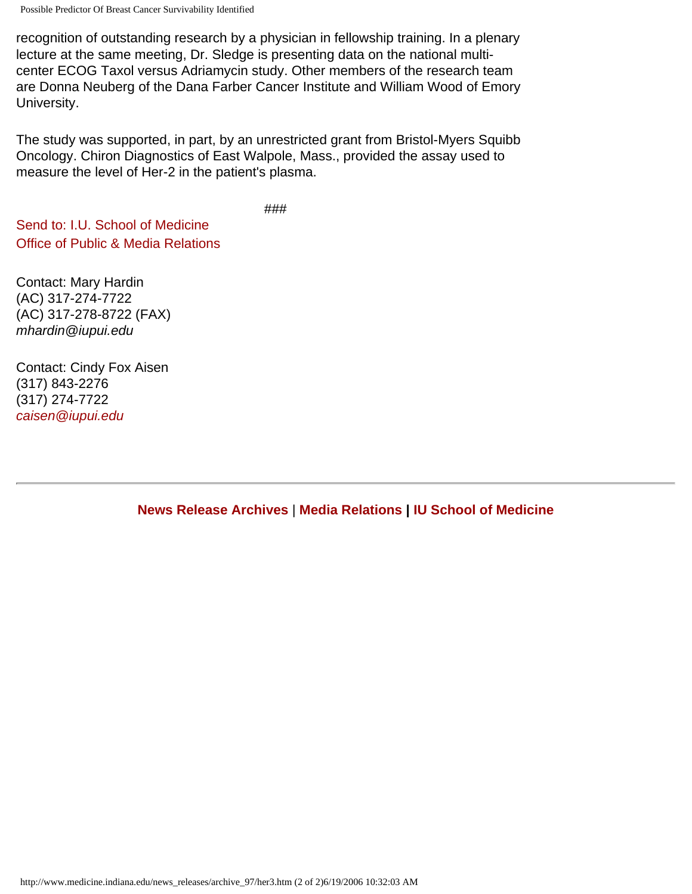Possible Predictor Of Breast Cancer Survivability Identified

recognition of outstanding research by a physician in fellowship training. In a plenary lecture at the same meeting, Dr. Sledge is presenting data on the national multicenter ECOG Taxol versus Adriamycin study. Other members of the research team are Donna Neuberg of the Dana Farber Cancer Institute and William Wood of Emory University.

The study was supported, in part, by an unrestricted grant from Bristol-Myers Squibb Oncology. Chiron Diagnostics of East Walpole, Mass., provided the assay used to measure the level of Her-2 in the patient's plasma.

###

[Send to: I.U. School of Medicine](mailto:mbrunsma@iupui.edu) [Office of Public & Media Relations](mailto:mbrunsma@iupui.edu)

Contact: Mary Hardin (AC) 317-274-7722 (AC) 317-278-8722 (FAX) *mhardin@iupui.edu*

Contact: Cindy Fox Aisen (317) 843-2276 (317) 274-7722 *[caisen@iupui.edu](mailto:caisen@iupui.edu)*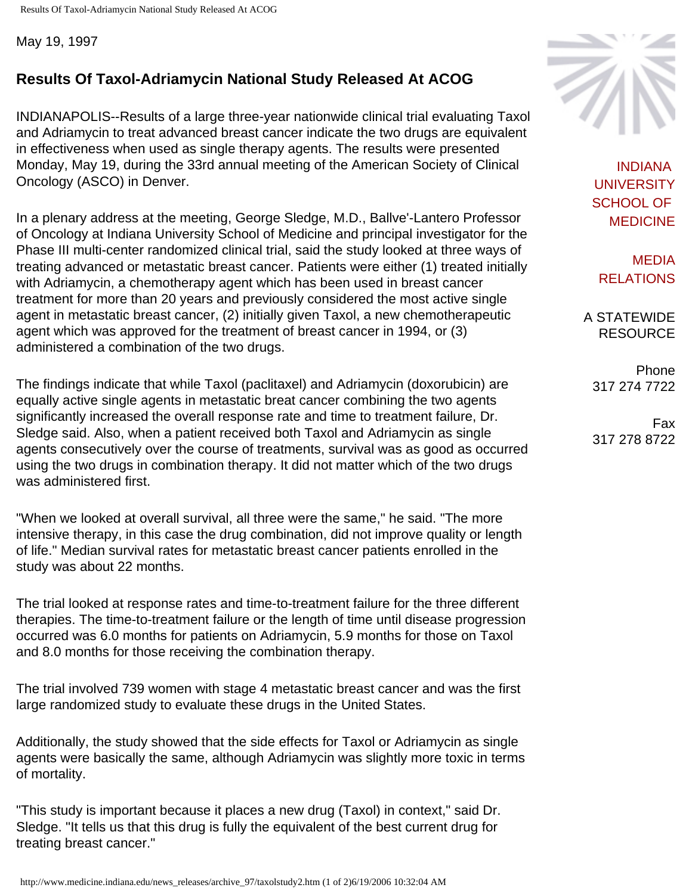May 19, 1997

# **Results Of Taxol-Adriamycin National Study Released At ACOG**

INDIANAPOLIS--Results of a large three-year nationwide clinical trial evaluating Taxol and Adriamycin to treat advanced breast cancer indicate the two drugs are equivalent in effectiveness when used as single therapy agents. The results were presented Monday, May 19, during the 33rd annual meeting of the American Society of Clinical Oncology (ASCO) in Denver.

In a plenary address at the meeting, George Sledge, M.D., Ballve'-Lantero Professor of Oncology at Indiana University School of Medicine and principal investigator for the Phase III multi-center randomized clinical trial, said the study looked at three ways of treating advanced or metastatic breast cancer. Patients were either (1) treated initially with Adriamycin, a chemotherapy agent which has been used in breast cancer treatment for more than 20 years and previously considered the most active single agent in metastatic breast cancer, (2) initially given Taxol, a new chemotherapeutic agent which was approved for the treatment of breast cancer in 1994, or (3) administered a combination of the two drugs.

The findings indicate that while Taxol (paclitaxel) and Adriamycin (doxorubicin) are equally active single agents in metastatic breat cancer combining the two agents significantly increased the overall response rate and time to treatment failure, Dr. Sledge said. Also, when a patient received both Taxol and Adriamycin as single agents consecutively over the course of treatments, survival was as good as occurred using the two drugs in combination therapy. It did not matter which of the two drugs was administered first.

"When we looked at overall survival, all three were the same," he said. "The more intensive therapy, in this case the drug combination, did not improve quality or length of life." Median survival rates for metastatic breast cancer patients enrolled in the study was about 22 months.

The trial looked at response rates and time-to-treatment failure for the three different therapies. The time-to-treatment failure or the length of time until disease progression occurred was 6.0 months for patients on Adriamycin, 5.9 months for those on Taxol and 8.0 months for those receiving the combination therapy.

The trial involved 739 women with stage 4 metastatic breast cancer and was the first large randomized study to evaluate these drugs in the United States.

Additionally, the study showed that the side effects for Taxol or Adriamycin as single agents were basically the same, although Adriamycin was slightly more toxic in terms of mortality.

"This study is important because it places a new drug (Taxol) in context," said Dr. Sledge. "It tells us that this drug is fully the equivalent of the best current drug for treating breast cancer."



[INDIANA](http://medicine.iu.edu/) [UNIVERSITY](http://medicine.iu.edu/)  [SCHOOL OF](http://medicine.iu.edu/) [MEDICINE](http://medicine.iu.edu/)

[MEDIA](http://www.medicine.indiana.edu/)  [RELATIONS](http://www.medicine.indiana.edu/)

A STATEWIDE RESOURCE

> Phone 317 274 7722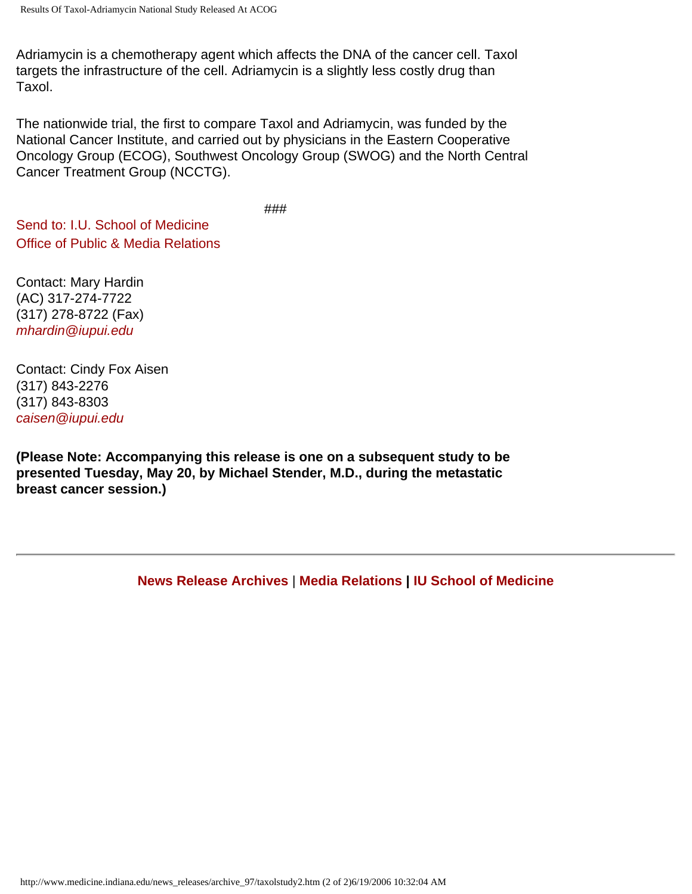Results Of Taxol-Adriamycin National Study Released At ACOG

Adriamycin is a chemotherapy agent which affects the DNA of the cancer cell. Taxol targets the infrastructure of the cell. Adriamycin is a slightly less costly drug than Taxol.

The nationwide trial, the first to compare Taxol and Adriamycin, was funded by the National Cancer Institute, and carried out by physicians in the Eastern Cooperative Oncology Group (ECOG), Southwest Oncology Group (SWOG) and the North Central Cancer Treatment Group (NCCTG).

###

[Send to: I.U. School of Medicine](mailto:mbrunsma@iupui.edu) [Office of Public & Media Relations](mailto:mbrunsma@iupui.edu)

Contact: Mary Hardin (AC) 317-274-7722 (317) 278-8722 (Fax) *[mhardin@iupui.edu](mailto:mhardin@iupui.edu)*

Contact: Cindy Fox Aisen (317) 843-2276 (317) 843-8303 *[caisen@iupui.edu](mailto:caisen@iupui.edu)*

**(Please Note: Accompanying this release is one on a subsequent study to be presented Tuesday, May 20, by Michael Stender, M.D., during the metastatic breast cancer session.)**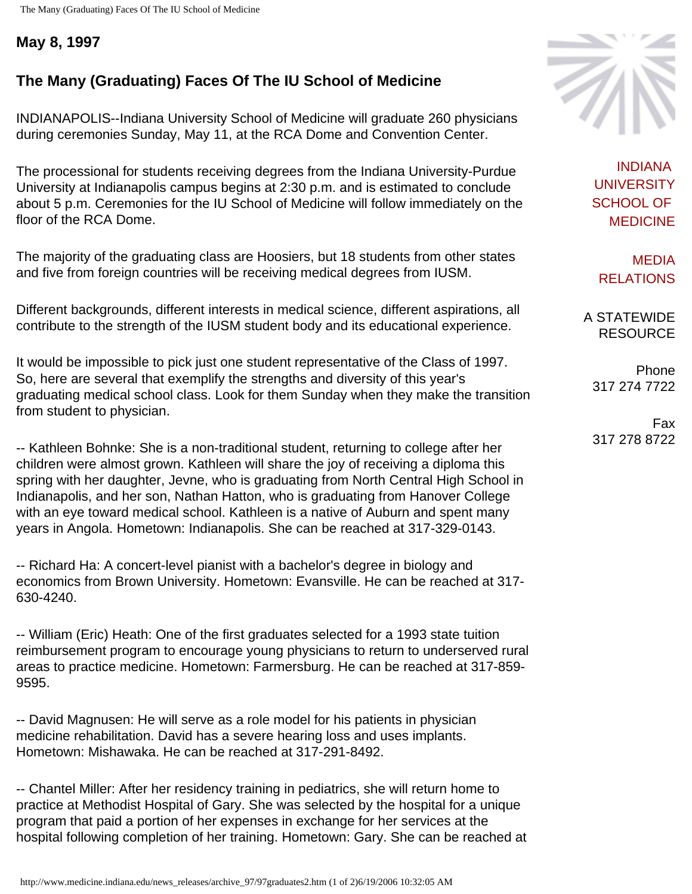**May 8, 1997**

# **The Many (Graduating) Faces Of The IU School of Medicine**

INDIANAPOLIS--Indiana University School of Medicine will graduate 260 physicians during ceremonies Sunday, May 11, at the RCA Dome and Convention Center.

The processional for students receiving degrees from the Indiana University-Purdue University at Indianapolis campus begins at 2:30 p.m. and is estimated to conclude about 5 p.m. Ceremonies for the IU School of Medicine will follow immediately on the floor of the RCA Dome.

The majority of the graduating class are Hoosiers, but 18 students from other states and five from foreign countries will be receiving medical degrees from IUSM.

Different backgrounds, different interests in medical science, different aspirations, all contribute to the strength of the IUSM student body and its educational experience.

It would be impossible to pick just one student representative of the Class of 1997. So, here are several that exemplify the strengths and diversity of this year's graduating medical school class. Look for them Sunday when they make the transition from student to physician.

-- Kathleen Bohnke: She is a non-traditional student, returning to college after her children were almost grown. Kathleen will share the joy of receiving a diploma this spring with her daughter, Jevne, who is graduating from North Central High School in Indianapolis, and her son, Nathan Hatton, who is graduating from Hanover College with an eye toward medical school. Kathleen is a native of Auburn and spent many years in Angola. Hometown: Indianapolis. She can be reached at 317-329-0143.

-- Richard Ha: A concert-level pianist with a bachelor's degree in biology and economics from Brown University. Hometown: Evansville. He can be reached at 317- 630-4240.

-- William (Eric) Heath: One of the first graduates selected for a 1993 state tuition reimbursement program to encourage young physicians to return to underserved rural areas to practice medicine. Hometown: Farmersburg. He can be reached at 317-859- 9595.

-- David Magnusen: He will serve as a role model for his patients in physician medicine rehabilitation. David has a severe hearing loss and uses implants. Hometown: Mishawaka. He can be reached at 317-291-8492.

-- Chantel Miller: After her residency training in pediatrics, she will return home to practice at Methodist Hospital of Gary. She was selected by the hospital for a unique program that paid a portion of her expenses in exchange for her services at the hospital following completion of her training. Hometown: Gary. She can be reached at



[INDIANA](http://medicine.iu.edu/) [UNIVERSITY](http://medicine.iu.edu/)  [SCHOOL OF](http://medicine.iu.edu/) [MEDICINE](http://medicine.iu.edu/)

[MEDIA](http://www.medicine.indiana.edu/)  [RELATIONS](http://www.medicine.indiana.edu/)

A STATEWIDE RESOURCE

Phone 317 274 7722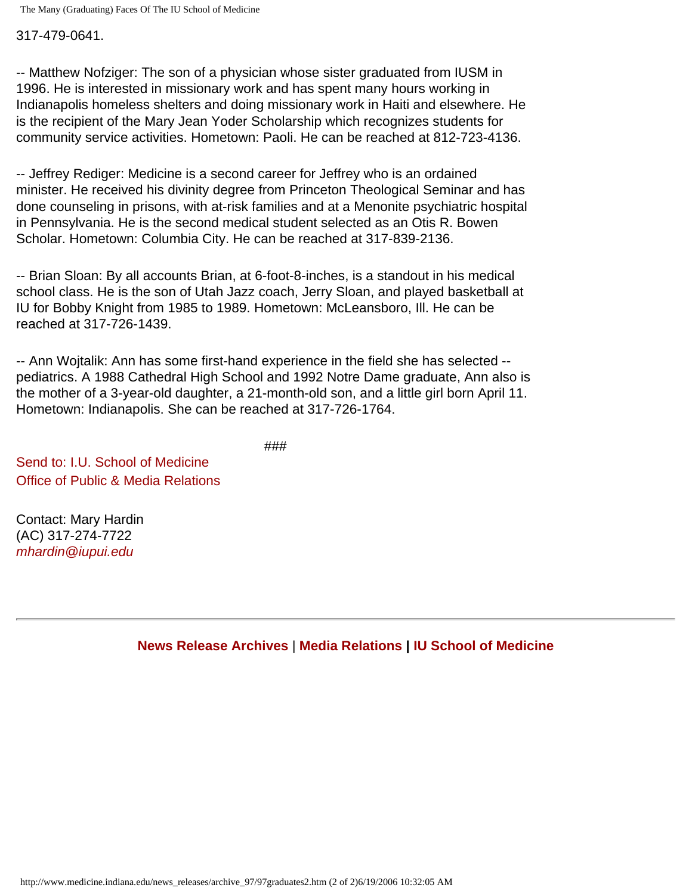The Many (Graduating) Faces Of The IU School of Medicine

317-479-0641.

-- Matthew Nofziger: The son of a physician whose sister graduated from IUSM in 1996. He is interested in missionary work and has spent many hours working in Indianapolis homeless shelters and doing missionary work in Haiti and elsewhere. He is the recipient of the Mary Jean Yoder Scholarship which recognizes students for community service activities. Hometown: Paoli. He can be reached at 812-723-4136.

-- Jeffrey Rediger: Medicine is a second career for Jeffrey who is an ordained minister. He received his divinity degree from Princeton Theological Seminar and has done counseling in prisons, with at-risk families and at a Menonite psychiatric hospital in Pennsylvania. He is the second medical student selected as an Otis R. Bowen Scholar. Hometown: Columbia City. He can be reached at 317-839-2136.

-- Brian Sloan: By all accounts Brian, at 6-foot-8-inches, is a standout in his medical school class. He is the son of Utah Jazz coach, Jerry Sloan, and played basketball at IU for Bobby Knight from 1985 to 1989. Hometown: McLeansboro, Ill. He can be reached at 317-726-1439.

-- Ann Wojtalik: Ann has some first-hand experience in the field she has selected - pediatrics. A 1988 Cathedral High School and 1992 Notre Dame graduate, Ann also is the mother of a 3-year-old daughter, a 21-month-old son, and a little girl born April 11. Hometown: Indianapolis. She can be reached at 317-726-1764.

###

[Send to: I.U. School of Medicine](mailto:mbrunsma@iupui.edu) [Office of Public & Media Relations](mailto:mbrunsma@iupui.edu)

Contact: Mary Hardin (AC) 317-274-7722 *[mhardin@iupui.edu](mailto:mhardin@iupui.edu)*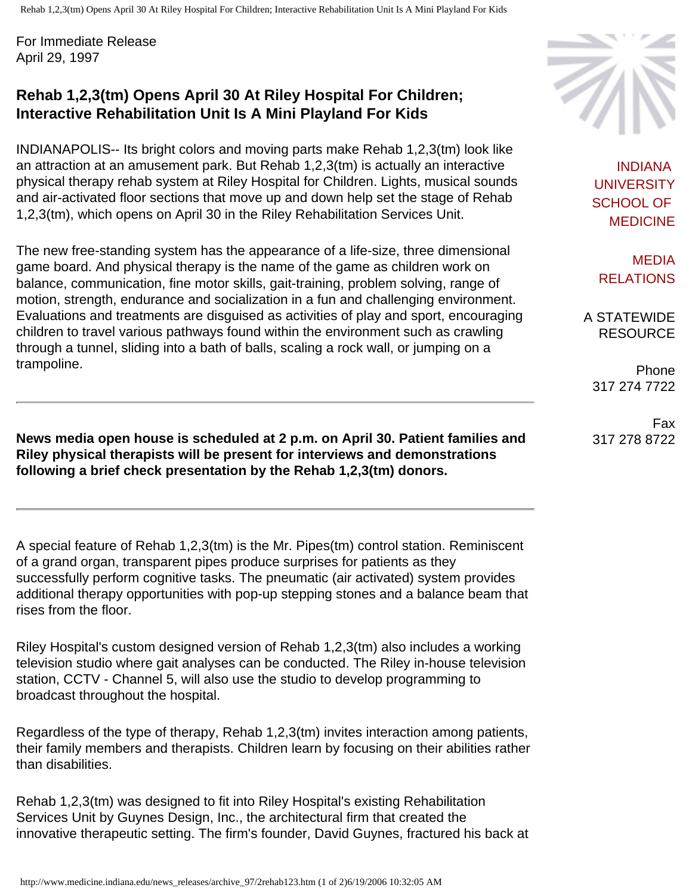Rehab 1,2,3(tm) Opens April 30 At Riley Hospital For Children; Interactive Rehabilitation Unit Is A Mini Playland For Kids

For Immediate Release April 29, 1997

### **Rehab 1,2,3(tm) Opens April 30 At Riley Hospital For Children; Interactive Rehabilitation Unit Is A Mini Playland For Kids**

INDIANAPOLIS-- Its bright colors and moving parts make Rehab 1,2,3(tm) look like an attraction at an amusement park. But Rehab 1,2,3(tm) is actually an interactive physical therapy rehab system at Riley Hospital for Children. Lights, musical sounds and air-activated floor sections that move up and down help set the stage of Rehab 1,2,3(tm), which opens on April 30 in the Riley Rehabilitation Services Unit.

The new free-standing system has the appearance of a life-size, three dimensional game board. And physical therapy is the name of the game as children work on balance, communication, fine motor skills, gait-training, problem solving, range of motion, strength, endurance and socialization in a fun and challenging environment. Evaluations and treatments are disguised as activities of play and sport, encouraging children to travel various pathways found within the environment such as crawling through a tunnel, sliding into a bath of balls, scaling a rock wall, or jumping on a trampoline.

**News media open house is scheduled at 2 p.m. on April 30. Patient families and Riley physical therapists will be present for interviews and demonstrations following a brief check presentation by the Rehab 1,2,3(tm) donors.**

A special feature of Rehab 1,2,3(tm) is the Mr. Pipes(tm) control station. Reminiscent of a grand organ, transparent pipes produce surprises for patients as they successfully perform cognitive tasks. The pneumatic (air activated) system provides additional therapy opportunities with pop-up stepping stones and a balance beam that rises from the floor.

Riley Hospital's custom designed version of Rehab 1,2,3(tm) also includes a working television studio where gait analyses can be conducted. The Riley in-house television station, CCTV - Channel 5, will also use the studio to develop programming to broadcast throughout the hospital.

Regardless of the type of therapy, Rehab 1,2,3(tm) invites interaction among patients, their family members and therapists. Children learn by focusing on their abilities rather than disabilities.

Rehab 1,2,3(tm) was designed to fit into Riley Hospital's existing Rehabilitation Services Unit by Guynes Design, Inc., the architectural firm that created the innovative therapeutic setting. The firm's founder, David Guynes, fractured his back at



[INDIANA](http://medicine.iu.edu/) [UNIVERSITY](http://medicine.iu.edu/)  [SCHOOL OF](http://medicine.iu.edu/) [MEDICINE](http://medicine.iu.edu/)

[MEDIA](http://www.medicine.indiana.edu/)  [RELATIONS](http://www.medicine.indiana.edu/)

A STATEWIDE RESOURCE

Phone 317 274 7722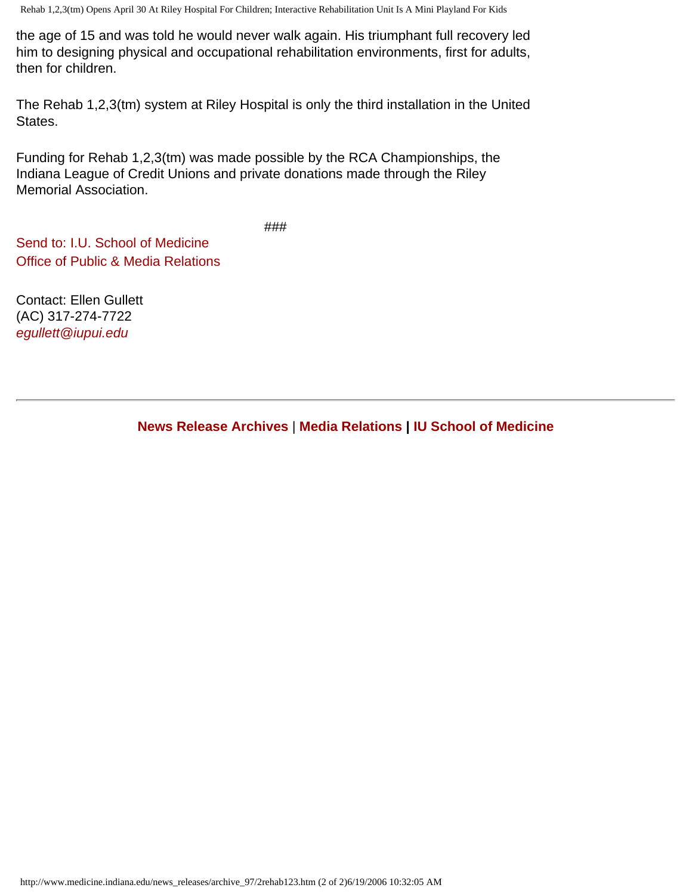Rehab 1,2,3(tm) Opens April 30 At Riley Hospital For Children; Interactive Rehabilitation Unit Is A Mini Playland For Kids

the age of 15 and was told he would never walk again. His triumphant full recovery led him to designing physical and occupational rehabilitation environments, first for adults, then for children.

The Rehab 1,2,3(tm) system at Riley Hospital is only the third installation in the United States.

Funding for Rehab 1,2,3(tm) was made possible by the RCA Championships, the Indiana League of Credit Unions and private donations made through the Riley Memorial Association.

###

[Send to: I.U. School of Medicine](mailto:mbrunsma@iupui.edu) [Office of Public & Media Relations](mailto:mbrunsma@iupui.edu)

Contact: Ellen Gullett (AC) 317-274-7722 *[egullett@iupui.edu](mailto:mbrunsma@iupui.edu)*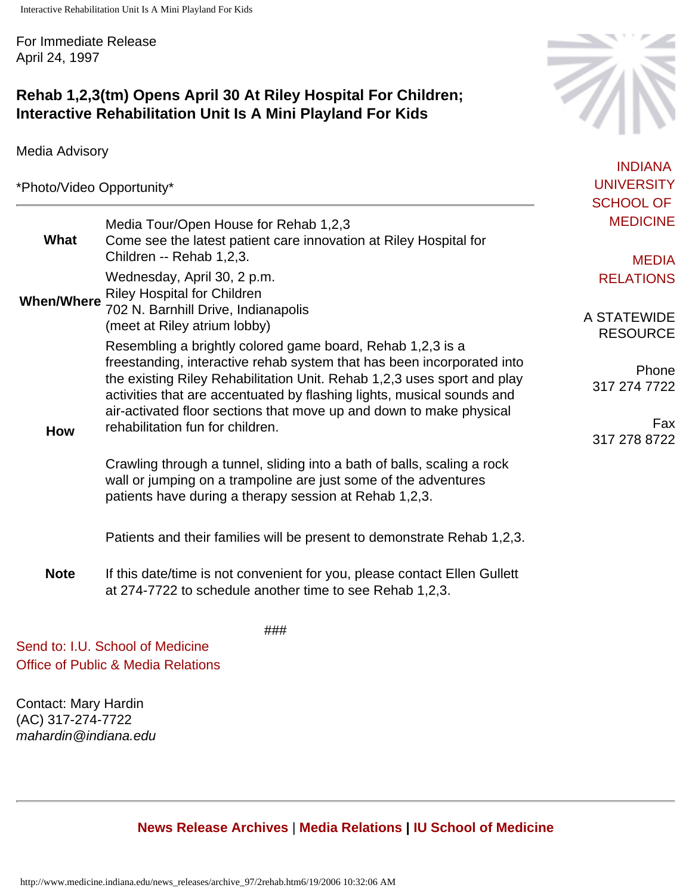Interactive Rehabilitation Unit Is A Mini Playland For Kids

For Immediate Release April 24, 1997

### **Rehab 1,2,3(tm) Opens April 30 At Riley Hospital For Children; Interactive Rehabilitation Unit Is A Mini Playland For Kids**

Media Advisory

\*Photo/Video Opportunity\*



Contact: Mary Hardin (AC) 317-274-7722 *mahardin@indiana.edu*

**[News Release Archives](http://www.medicine.indiana.edu/news_releases/nra.html)** | **[Media Relations](http://www.medicine.indiana.edu/) | [IU School of Medicine](http://medicine.iu.edu/)**



[INDIANA](http://medicine.iu.edu/) [UNIVERSITY](http://medicine.iu.edu/)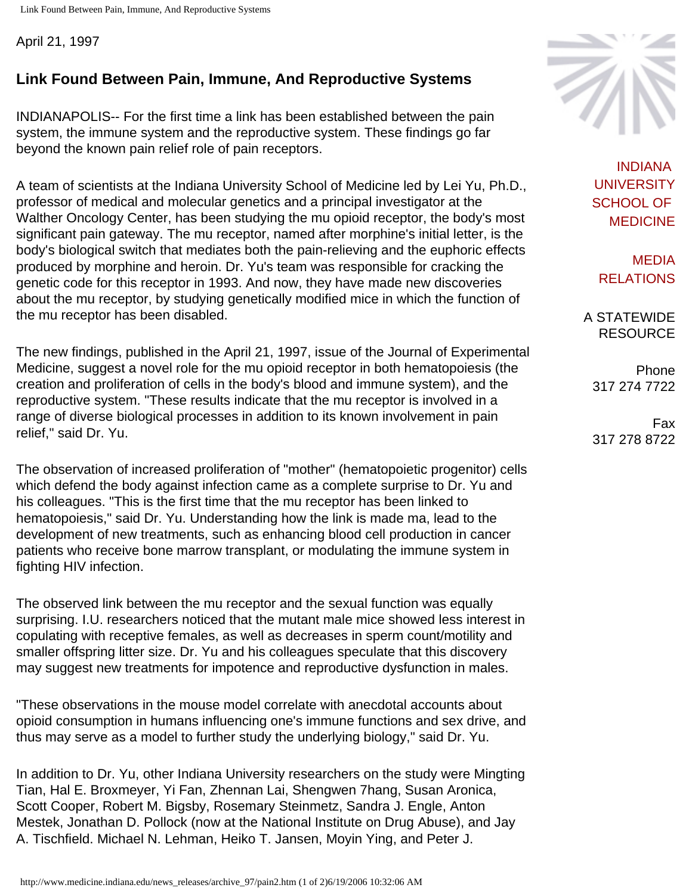Link Found Between Pain, Immune, And Reproductive Systems

April 21, 1997

# **Link Found Between Pain, Immune, And Reproductive Systems**

INDIANAPOLIS-- For the first time a link has been established between the pain system, the immune system and the reproductive system. These findings go far beyond the known pain relief role of pain receptors.

A team of scientists at the Indiana University School of Medicine led by Lei Yu, Ph.D., professor of medical and molecular genetics and a principal investigator at the Walther Oncology Center, has been studying the mu opioid receptor, the body's most significant pain gateway. The mu receptor, named after morphine's initial letter, is the body's biological switch that mediates both the pain-relieving and the euphoric effects produced by morphine and heroin. Dr. Yu's team was responsible for cracking the genetic code for this receptor in 1993. And now, they have made new discoveries about the mu receptor, by studying genetically modified mice in which the function of the mu receptor has been disabled.

The new findings, published in the April 21, 1997, issue of the Journal of Experimental Medicine, suggest a novel role for the mu opioid receptor in both hematopoiesis (the creation and proliferation of cells in the body's blood and immune system), and the reproductive system. "These results indicate that the mu receptor is involved in a range of diverse biological processes in addition to its known involvement in pain relief," said Dr. Yu.

The observation of increased proliferation of "mother" (hematopoietic progenitor) cells which defend the body against infection came as a complete surprise to Dr. Yu and his colleagues. "This is the first time that the mu receptor has been linked to hematopoiesis," said Dr. Yu. Understanding how the link is made ma, lead to the development of new treatments, such as enhancing blood cell production in cancer patients who receive bone marrow transplant, or modulating the immune system in fighting HIV infection.

The observed link between the mu receptor and the sexual function was equally surprising. I.U. researchers noticed that the mutant male mice showed less interest in copulating with receptive females, as well as decreases in sperm count/motility and smaller offspring litter size. Dr. Yu and his colleagues speculate that this discovery may suggest new treatments for impotence and reproductive dysfunction in males.

"These observations in the mouse model correlate with anecdotal accounts about opioid consumption in humans influencing one's immune functions and sex drive, and thus may serve as a model to further study the underlying biology," said Dr. Yu.

In addition to Dr. Yu, other Indiana University researchers on the study were Mingting Tian, Hal E. Broxmeyer, Yi Fan, Zhennan Lai, Shengwen 7hang, Susan Aronica, Scott Cooper, Robert M. Bigsby, Rosemary Steinmetz, Sandra J. Engle, Anton Mestek, Jonathan D. Pollock (now at the National Institute on Drug Abuse), and Jay A. Tischfield. Michael N. Lehman, Heiko T. Jansen, Moyin Ying, and Peter J.



[INDIANA](http://medicine.iu.edu/) [UNIVERSITY](http://medicine.iu.edu/)  [SCHOOL OF](http://medicine.iu.edu/) [MEDICINE](http://medicine.iu.edu/)

[MEDIA](http://www.medicine.indiana.edu/)  [RELATIONS](http://www.medicine.indiana.edu/)

A STATEWIDE RESOURCE

Phone 317 274 7722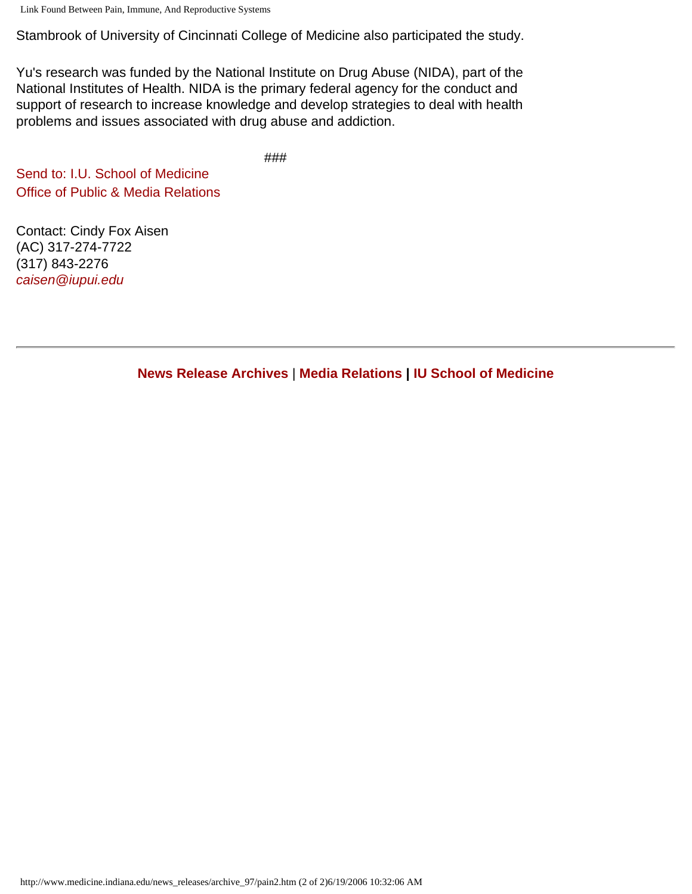Link Found Between Pain, Immune, And Reproductive Systems

Stambrook of University of Cincinnati College of Medicine also participated the study.

Yu's research was funded by the National Institute on Drug Abuse (NIDA), part of the National Institutes of Health. NIDA is the primary federal agency for the conduct and support of research to increase knowledge and develop strategies to deal with health problems and issues associated with drug abuse and addiction.

###

[Send to: I.U. School of Medicine](mailto:mbrunsma@iupui.edu) [Office of Public & Media Relations](mailto:mbrunsma@iupui.edu)

Contact: Cindy Fox Aisen (AC) 317-274-7722 (317) 843-2276 *[caisen@iupui.edu](mailto:caisen@iupui.edu)*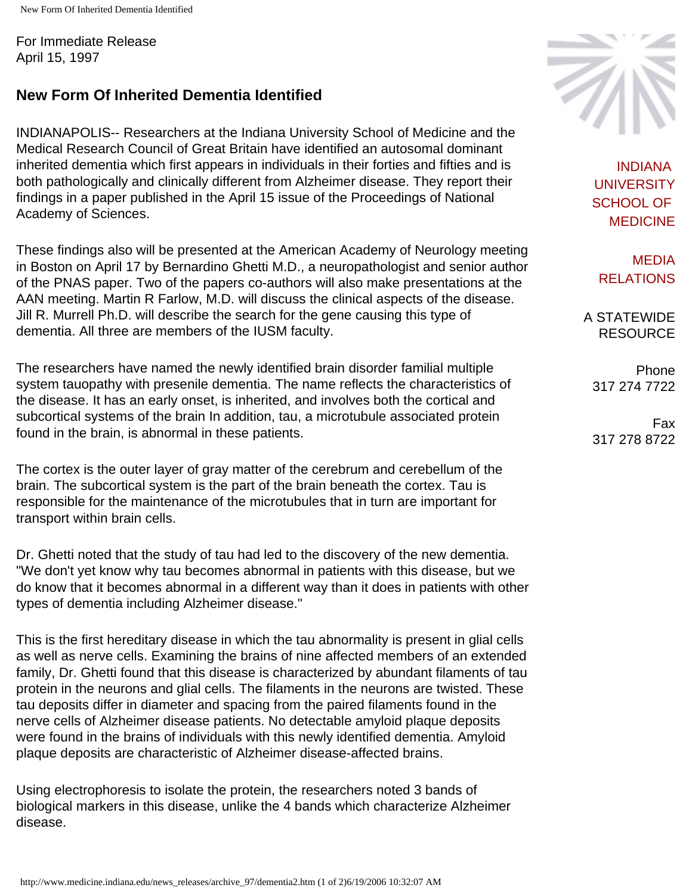For Immediate Release April 15, 1997

## **New Form Of Inherited Dementia Identified**

INDIANAPOLIS-- Researchers at the Indiana University School of Medicine and the Medical Research Council of Great Britain have identified an autosomal dominant inherited dementia which first appears in individuals in their forties and fifties and is both pathologically and clinically different from Alzheimer disease. They report their findings in a paper published in the April 15 issue of the Proceedings of National Academy of Sciences.

These findings also will be presented at the American Academy of Neurology meeting in Boston on April 17 by Bernardino Ghetti M.D., a neuropathologist and senior author of the PNAS paper. Two of the papers co-authors will also make presentations at the AAN meeting. Martin R Farlow, M.D. will discuss the clinical aspects of the disease. Jill R. Murrell Ph.D. will describe the search for the gene causing this type of dementia. All three are members of the IUSM faculty.

The researchers have named the newly identified brain disorder familial multiple system tauopathy with presenile dementia. The name reflects the characteristics of the disease. It has an early onset, is inherited, and involves both the cortical and subcortical systems of the brain In addition, tau, a microtubule associated protein found in the brain, is abnormal in these patients.

The cortex is the outer layer of gray matter of the cerebrum and cerebellum of the brain. The subcortical system is the part of the brain beneath the cortex. Tau is responsible for the maintenance of the microtubules that in turn are important for transport within brain cells.

Dr. Ghetti noted that the study of tau had led to the discovery of the new dementia. "We don't yet know why tau becomes abnormal in patients with this disease, but we do know that it becomes abnormal in a different way than it does in patients with other types of dementia including Alzheimer disease."

This is the first hereditary disease in which the tau abnormality is present in glial cells as well as nerve cells. Examining the brains of nine affected members of an extended family, Dr. Ghetti found that this disease is characterized by abundant filaments of tau protein in the neurons and glial cells. The filaments in the neurons are twisted. These tau deposits differ in diameter and spacing from the paired filaments found in the nerve cells of Alzheimer disease patients. No detectable amyloid plaque deposits were found in the brains of individuals with this newly identified dementia. Amyloid plaque deposits are characteristic of Alzheimer disease-affected brains.

Using electrophoresis to isolate the protein, the researchers noted 3 bands of biological markers in this disease, unlike the 4 bands which characterize Alzheimer disease.



[INDIANA](http://medicine.iu.edu/) [UNIVERSITY](http://medicine.iu.edu/)  [SCHOOL OF](http://medicine.iu.edu/) [MEDICINE](http://medicine.iu.edu/)

[MEDIA](http://www.medicine.indiana.edu/)  [RELATIONS](http://www.medicine.indiana.edu/)

A STATEWIDE RESOURCE

Phone 317 274 7722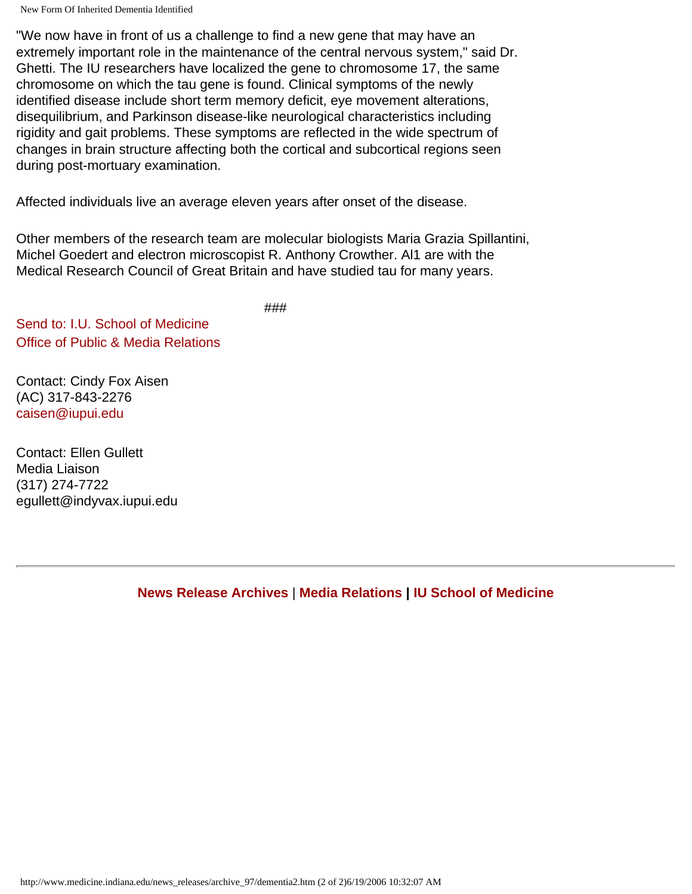New Form Of Inherited Dementia Identified

"We now have in front of us a challenge to find a new gene that may have an extremely important role in the maintenance of the central nervous system," said Dr. Ghetti. The IU researchers have localized the gene to chromosome 17, the same chromosome on which the tau gene is found. Clinical symptoms of the newly identified disease include short term memory deficit, eye movement alterations, disequilibrium, and Parkinson disease-like neurological characteristics including rigidity and gait problems. These symptoms are reflected in the wide spectrum of changes in brain structure affecting both the cortical and subcortical regions seen during post-mortuary examination.

Affected individuals live an average eleven years after onset of the disease.

Other members of the research team are molecular biologists Maria Grazia Spillantini, Michel Goedert and electron microscopist R. Anthony Crowther. Al1 are with the Medical Research Council of Great Britain and have studied tau for many years.

###

[Send to: I.U. School of Medicine](mailto:mbrunsma@iupui.edu) [Office of Public & Media Relations](mailto:mbrunsma@iupui.edu)

Contact: Cindy Fox Aisen (AC) 317-843-2276 [caisen@iupui.edu](mailto:caisen@iupui.edu)

Contact: Ellen Gullett Media Liaison (317) 274-7722 egullett@indyvax.iupui.edu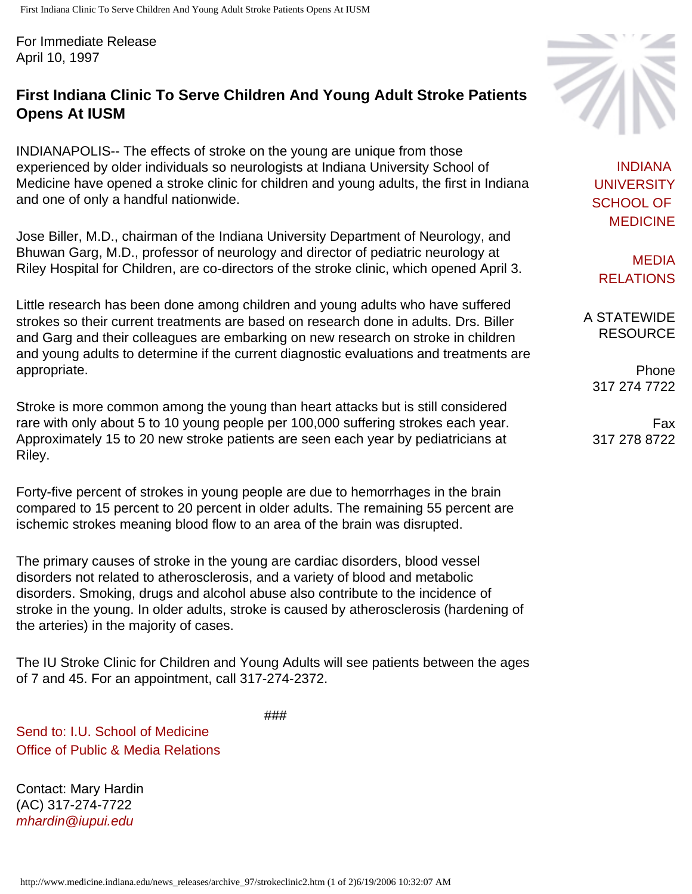For Immediate Release April 10, 1997

### **First Indiana Clinic To Serve Children And Young Adult Stroke Patients Opens At IUSM**

INDIANAPOLIS-- The effects of stroke on the young are unique from those experienced by older individuals so neurologists at Indiana University School of Medicine have opened a stroke clinic for children and young adults, the first in Indiana and one of only a handful nationwide.

Jose Biller, M.D., chairman of the Indiana University Department of Neurology, and Bhuwan Garg, M.D., professor of neurology and director of pediatric neurology at Riley Hospital for Children, are co-directors of the stroke clinic, which opened April 3.

Little research has been done among children and young adults who have suffered strokes so their current treatments are based on research done in adults. Drs. Biller and Garg and their colleagues are embarking on new research on stroke in children and young adults to determine if the current diagnostic evaluations and treatments are appropriate.

Stroke is more common among the young than heart attacks but is still considered rare with only about 5 to 10 young people per 100,000 suffering strokes each year. Approximately 15 to 20 new stroke patients are seen each year by pediatricians at Riley.

Forty-five percent of strokes in young people are due to hemorrhages in the brain compared to 15 percent to 20 percent in older adults. The remaining 55 percent are ischemic strokes meaning blood flow to an area of the brain was disrupted.

The primary causes of stroke in the young are cardiac disorders, blood vessel disorders not related to atherosclerosis, and a variety of blood and metabolic disorders. Smoking, drugs and alcohol abuse also contribute to the incidence of stroke in the young. In older adults, stroke is caused by atherosclerosis (hardening of the arteries) in the majority of cases.

The IU Stroke Clinic for Children and Young Adults will see patients between the ages of 7 and 45. For an appointment, call 317-274-2372.

###

[Send to: I.U. School of Medicine](mailto:mbrunsma@iupui.edu) [Office of Public & Media Relations](mailto:mbrunsma@iupui.edu)

Contact: Mary Hardin (AC) 317-274-7722 *[mhardin@iupui.edu](mailto:mhardin@iupui.edu)*



[INDIANA](http://medicine.iu.edu/) [UNIVERSITY](http://medicine.iu.edu/)  [SCHOOL OF](http://medicine.iu.edu/) [MEDICINE](http://medicine.iu.edu/)

[MEDIA](http://www.medicine.indiana.edu/)  [RELATIONS](http://www.medicine.indiana.edu/)

A STATEWIDE RESOURCE

Phone 317 274 7722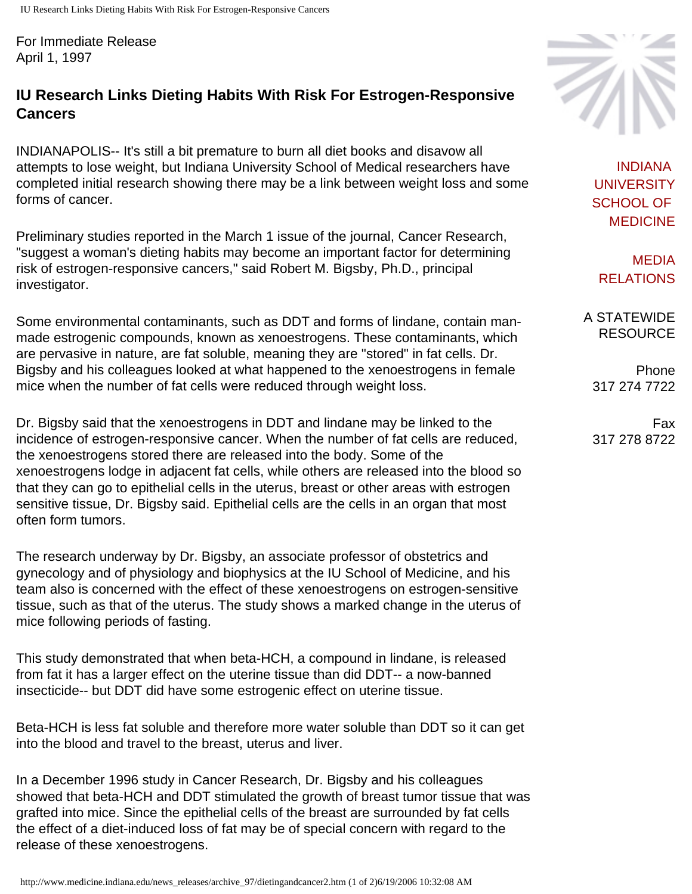For Immediate Release April 1, 1997

## **IU Research Links Dieting Habits With Risk For Estrogen-Responsive Cancers**

INDIANAPOLIS-- It's still a bit premature to burn all diet books and disavow all attempts to lose weight, but Indiana University School of Medical researchers have completed initial research showing there may be a link between weight loss and some forms of cancer.

Preliminary studies reported in the March 1 issue of the journal, Cancer Research, "suggest a woman's dieting habits may become an important factor for determining risk of estrogen-responsive cancers," said Robert M. Bigsby, Ph.D., principal investigator.

Some environmental contaminants, such as DDT and forms of lindane, contain manmade estrogenic compounds, known as xenoestrogens. These contaminants, which are pervasive in nature, are fat soluble, meaning they are "stored" in fat cells. Dr. Bigsby and his colleagues looked at what happened to the xenoestrogens in female mice when the number of fat cells were reduced through weight loss.

Dr. Bigsby said that the xenoestrogens in DDT and lindane may be linked to the incidence of estrogen-responsive cancer. When the number of fat cells are reduced, the xenoestrogens stored there are released into the body. Some of the xenoestrogens lodge in adjacent fat cells, while others are released into the blood so that they can go to epithelial cells in the uterus, breast or other areas with estrogen sensitive tissue, Dr. Bigsby said. Epithelial cells are the cells in an organ that most often form tumors.

The research underway by Dr. Bigsby, an associate professor of obstetrics and gynecology and of physiology and biophysics at the IU School of Medicine, and his team also is concerned with the effect of these xenoestrogens on estrogen-sensitive tissue, such as that of the uterus. The study shows a marked change in the uterus of mice following periods of fasting.

This study demonstrated that when beta-HCH, a compound in lindane, is released from fat it has a larger effect on the uterine tissue than did DDT-- a now-banned insecticide-- but DDT did have some estrogenic effect on uterine tissue.

Beta-HCH is less fat soluble and therefore more water soluble than DDT so it can get into the blood and travel to the breast, uterus and liver.

In a December 1996 study in Cancer Research, Dr. Bigsby and his colleagues showed that beta-HCH and DDT stimulated the growth of breast tumor tissue that was grafted into mice. Since the epithelial cells of the breast are surrounded by fat cells the effect of a diet-induced loss of fat may be of special concern with regard to the release of these xenoestrogens.



[INDIANA](http://medicine.iu.edu/) [UNIVERSITY](http://medicine.iu.edu/)  [SCHOOL OF](http://medicine.iu.edu/) [MEDICINE](http://medicine.iu.edu/)

[MEDIA](http://www.medicine.indiana.edu/)  [RELATIONS](http://www.medicine.indiana.edu/)

A STATEWIDE RESOURCE

> Phone 317 274 7722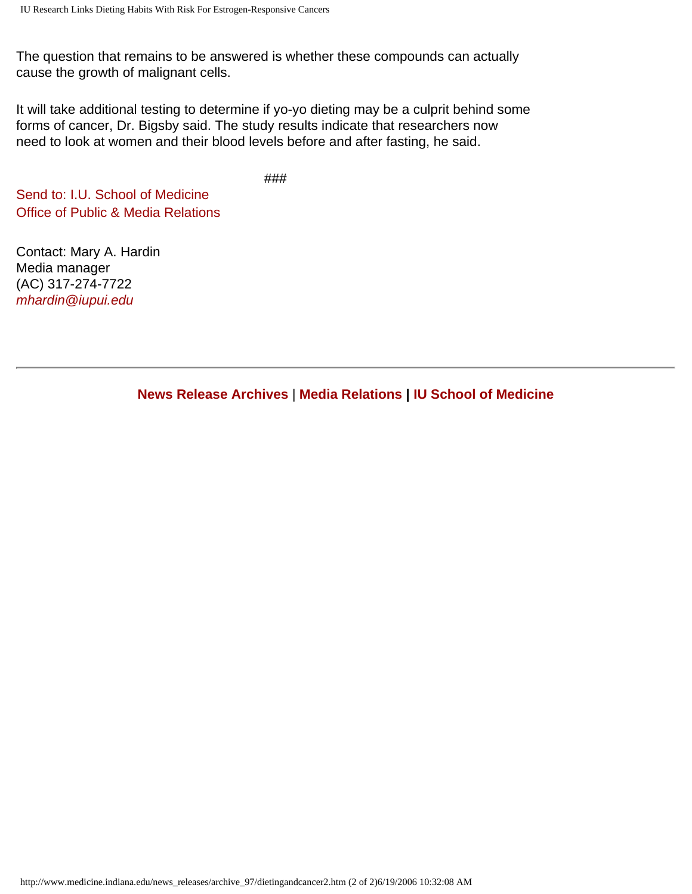The question that remains to be answered is whether these compounds can actually cause the growth of malignant cells.

It will take additional testing to determine if yo-yo dieting may be a culprit behind some forms of cancer, Dr. Bigsby said. The study results indicate that researchers now need to look at women and their blood levels before and after fasting, he said.

###

[Send to: I.U. School of Medicine](mailto:mbrunsma@iupui.edu) [Office of Public & Media Relations](mailto:mbrunsma@iupui.edu)

Contact: Mary A. Hardin Media manager (AC) 317-274-7722 *[mhardin@iupui.edu](mailto:mhardin@iupui.edu)*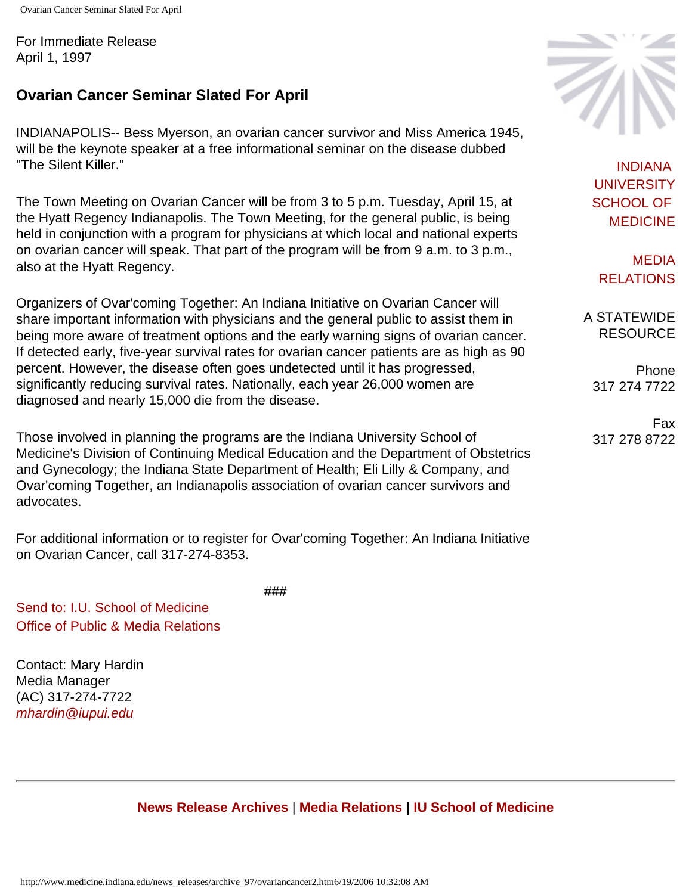For Immediate Release April 1, 1997

### **Ovarian Cancer Seminar Slated For April**

INDIANAPOLIS-- Bess Myerson, an ovarian cancer survivor and Miss America 1945, will be the keynote speaker at a free informational seminar on the disease dubbed "The Silent Killer."

The Town Meeting on Ovarian Cancer will be from 3 to 5 p.m. Tuesday, April 15, at the Hyatt Regency Indianapolis. The Town Meeting, for the general public, is being held in conjunction with a program for physicians at which local and national experts on ovarian cancer will speak. That part of the program will be from 9 a.m. to 3 p.m., also at the Hyatt Regency.

Organizers of Ovar'coming Together: An Indiana Initiative on Ovarian Cancer will share important information with physicians and the general public to assist them in being more aware of treatment options and the early warning signs of ovarian cancer. If detected early, five-year survival rates for ovarian cancer patients are as high as 90 percent. However, the disease often goes undetected until it has progressed, significantly reducing survival rates. Nationally, each year 26,000 women are diagnosed and nearly 15,000 die from the disease.

Those involved in planning the programs are the Indiana University School of Medicine's Division of Continuing Medical Education and the Department of Obstetrics and Gynecology; the Indiana State Department of Health; Eli Lilly & Company, and Ovar'coming Together, an Indianapolis association of ovarian cancer survivors and advocates.

For additional information or to register for Ovar'coming Together: An Indiana Initiative on Ovarian Cancer, call 317-274-8353.

###

[Send to: I.U. School of Medicine](mailto:mbrunsma@iupui.edu) [Office of Public & Media Relations](mailto:mbrunsma@iupui.edu)

Contact: Mary Hardin Media Manager (AC) 317-274-7722 *[mhardin@iupui.edu](mailto:mhardin@iupui.edu)*

**[News Release Archives](http://www.medicine.indiana.edu/news_releases/nra.html)** | **[Media Relations](http://www.medicine.indiana.edu/) | [IU School of Medicine](http://medicine.iu.edu/)**



[INDIANA](http://medicine.iu.edu/) [UNIVERSITY](http://medicine.iu.edu/)  [SCHOOL OF](http://medicine.iu.edu/) [MEDICINE](http://medicine.iu.edu/)

[MEDIA](http://www.medicine.indiana.edu/)  [RELATIONS](http://www.medicine.indiana.edu/)

A STATEWIDE RESOURCE

Phone 317 274 7722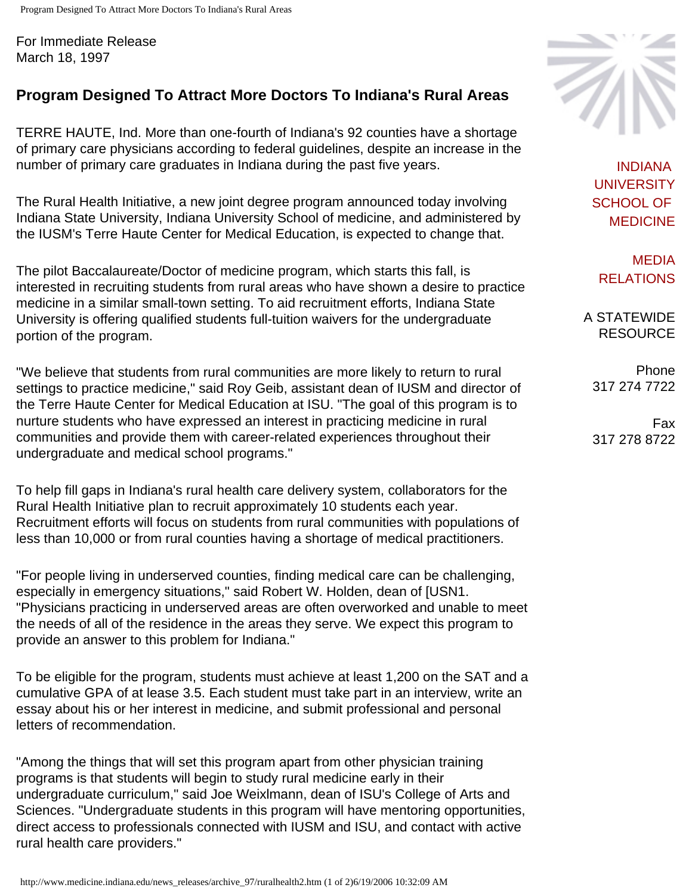For Immediate Release March 18, 1997

# **Program Designed To Attract More Doctors To Indiana's Rural Areas**

TERRE HAUTE, Ind. More than one-fourth of Indiana's 92 counties have a shortage of primary care physicians according to federal guidelines, despite an increase in the number of primary care graduates in Indiana during the past five years.

The Rural Health Initiative, a new joint degree program announced today involving Indiana State University, Indiana University School of medicine, and administered by the IUSM's Terre Haute Center for Medical Education, is expected to change that.

The pilot Baccalaureate/Doctor of medicine program, which starts this fall, is interested in recruiting students from rural areas who have shown a desire to practice medicine in a similar small-town setting. To aid recruitment efforts, Indiana State University is offering qualified students full-tuition waivers for the undergraduate portion of the program.

"We believe that students from rural communities are more likely to return to rural settings to practice medicine," said Roy Geib, assistant dean of IUSM and director of the Terre Haute Center for Medical Education at ISU. "The goal of this program is to nurture students who have expressed an interest in practicing medicine in rural communities and provide them with career-related experiences throughout their undergraduate and medical school programs."

To help fill gaps in Indiana's rural health care delivery system, collaborators for the Rural Health Initiative plan to recruit approximately 10 students each year. Recruitment efforts will focus on students from rural communities with populations of less than 10,000 or from rural counties having a shortage of medical practitioners.

"For people living in underserved counties, finding medical care can be challenging, especially in emergency situations," said Robert W. Holden, dean of [USN1. "Physicians practicing in underserved areas are often overworked and unable to meet the needs of all of the residence in the areas they serve. We expect this program to provide an answer to this problem for Indiana."

To be eligible for the program, students must achieve at least 1,200 on the SAT and a cumulative GPA of at lease 3.5. Each student must take part in an interview, write an essay about his or her interest in medicine, and submit professional and personal letters of recommendation.

"Among the things that will set this program apart from other physician training programs is that students will begin to study rural medicine early in their undergraduate curriculum," said Joe Weixlmann, dean of ISU's College of Arts and Sciences. "Undergraduate students in this program will have mentoring opportunities, direct access to professionals connected with IUSM and ISU, and contact with active rural health care providers."



[INDIANA](http://medicine.iu.edu/) [UNIVERSITY](http://medicine.iu.edu/)  [SCHOOL OF](http://medicine.iu.edu/) [MEDICINE](http://medicine.iu.edu/)

[MEDIA](http://www.medicine.indiana.edu/)  [RELATIONS](http://www.medicine.indiana.edu/)

A STATEWIDE RESOURCE

> Phone 317 274 7722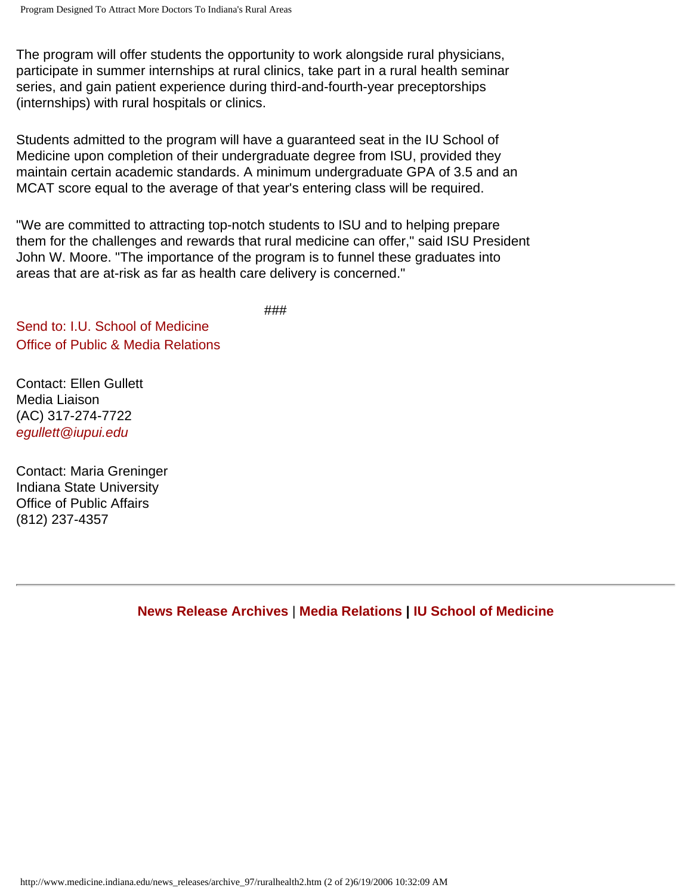The program will offer students the opportunity to work alongside rural physicians, participate in summer internships at rural clinics, take part in a rural health seminar series, and gain patient experience during third-and-fourth-year preceptorships (internships) with rural hospitals or clinics.

Students admitted to the program will have a guaranteed seat in the IU School of Medicine upon completion of their undergraduate degree from ISU, provided they maintain certain academic standards. A minimum undergraduate GPA of 3.5 and an MCAT score equal to the average of that year's entering class will be required.

"We are committed to attracting top-notch students to ISU and to helping prepare them for the challenges and rewards that rural medicine can offer," said ISU President John W. Moore. "The importance of the program is to funnel these graduates into areas that are at-risk as far as health care delivery is concerned."

###

[Send to: I.U. School of Medicine](mailto:mbrunsma@iupui.edu) [Office of Public & Media Relations](mailto:mbrunsma@iupui.edu)

Contact: Ellen Gullett Media Liaison (AC) 317-274-7722 *[egullett@iupui.edu](mailto:mbrunsma@iupui.edu)*

Contact: Maria Greninger Indiana State University Office of Public Affairs (812) 237-4357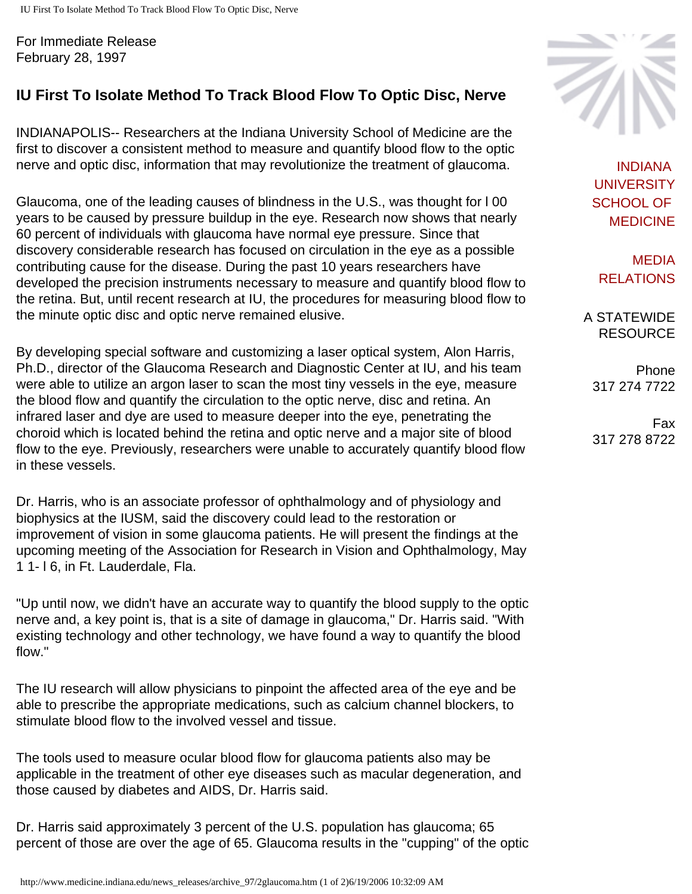For Immediate Release February 28, 1997

# **IU First To Isolate Method To Track Blood Flow To Optic Disc, Nerve**

INDIANAPOLIS-- Researchers at the Indiana University School of Medicine are the first to discover a consistent method to measure and quantify blood flow to the optic nerve and optic disc, information that may revolutionize the treatment of glaucoma.

Glaucoma, one of the leading causes of blindness in the U.S., was thought for l 00 years to be caused by pressure buildup in the eye. Research now shows that nearly 60 percent of individuals with glaucoma have normal eye pressure. Since that discovery considerable research has focused on circulation in the eye as a possible contributing cause for the disease. During the past 10 years researchers have developed the precision instruments necessary to measure and quantify blood flow to the retina. But, until recent research at IU, the procedures for measuring blood flow to the minute optic disc and optic nerve remained elusive.

By developing special software and customizing a laser optical system, Alon Harris, Ph.D., director of the Glaucoma Research and Diagnostic Center at IU, and his team were able to utilize an argon laser to scan the most tiny vessels in the eye, measure the blood flow and quantify the circulation to the optic nerve, disc and retina. An infrared laser and dye are used to measure deeper into the eye, penetrating the choroid which is located behind the retina and optic nerve and a major site of blood flow to the eye. Previously, researchers were unable to accurately quantify blood flow in these vessels.

Dr. Harris, who is an associate professor of ophthalmology and of physiology and biophysics at the IUSM, said the discovery could lead to the restoration or improvement of vision in some glaucoma patients. He will present the findings at the upcoming meeting of the Association for Research in Vision and Ophthalmology, May 1 1- l 6, in Ft. Lauderdale, Fla.

"Up until now, we didn't have an accurate way to quantify the blood supply to the optic nerve and, a key point is, that is a site of damage in glaucoma," Dr. Harris said. "With existing technology and other technology, we have found a way to quantify the blood flow."

The IU research will allow physicians to pinpoint the affected area of the eye and be able to prescribe the appropriate medications, such as calcium channel blockers, to stimulate blood flow to the involved vessel and tissue.

The tools used to measure ocular blood flow for glaucoma patients also may be applicable in the treatment of other eye diseases such as macular degeneration, and those caused by diabetes and AIDS, Dr. Harris said.

Dr. Harris said approximately 3 percent of the U.S. population has glaucoma; 65 percent of those are over the age of 65. Glaucoma results in the "cupping" of the optic



[INDIANA](http://medicine.iu.edu/) [UNIVERSITY](http://medicine.iu.edu/)  [SCHOOL OF](http://medicine.iu.edu/) [MEDICINE](http://medicine.iu.edu/)

[MEDIA](http://www.medicine.indiana.edu/)  [RELATIONS](http://www.medicine.indiana.edu/)

A STATEWIDE RESOURCE

Phone 317 274 7722